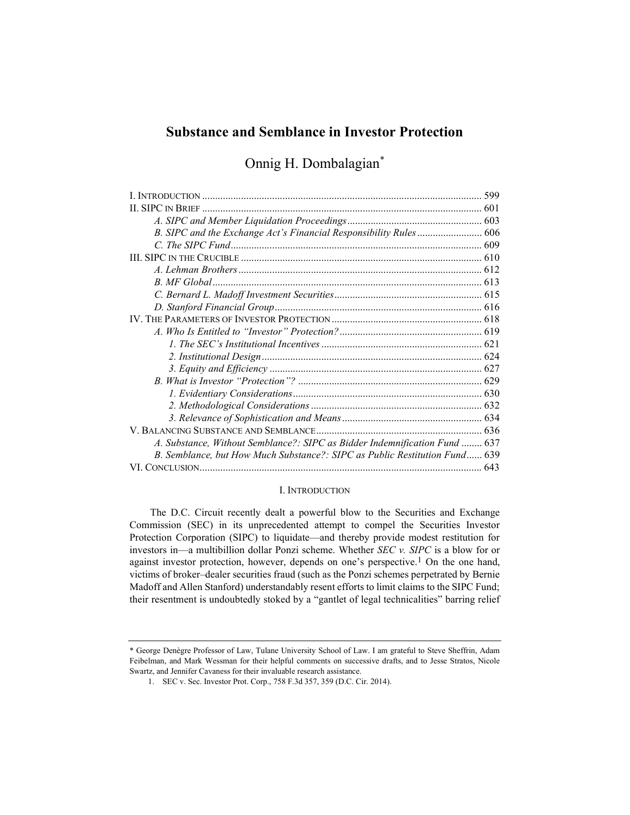# Substance and Semblance in Investor Protection

Onnig H. Dombalagian\*

| A. Substance, Without Semblance?: SIPC as Bidder Indemnification Fund  637 |  |
|----------------------------------------------------------------------------|--|
| B. Semblance, but How Much Substance?: SIPC as Public Restitution Fund 639 |  |
|                                                                            |  |

# I. INTRODUCTION

The D.C. Circuit recently dealt a powerful blow to the Securities and Exchange Commission (SEC) in its unprecedented attempt to compel the Securities Investor Protection Corporation (SIPC) to liquidate—and thereby provide modest restitution for investors in—a multibillion dollar Ponzi scheme. Whether SEC v. SIPC is a blow for or against investor protection, however, depends on one's perspective.<sup>1</sup> On the one hand, victims of broker–dealer securities fraud (such as the Ponzi schemes perpetrated by Bernie Madoff and Allen Stanford) understandably resent efforts to limit claims to the SIPC Fund; their resentment is undoubtedly stoked by a "gantlet of legal technicalities" barring relief

<sup>\*</sup> George Denègre Professor of Law, Tulane University School of Law. I am grateful to Steve Sheffrin, Adam Feibelman, and Mark Wessman for their helpful comments on successive drafts, and to Jesse Stratos, Nicole Swartz, and Jennifer Cavaness for their invaluable research assistance.

 <sup>1.</sup> SEC v. Sec. Investor Prot. Corp., 758 F.3d 357, 359 (D.C. Cir. 2014).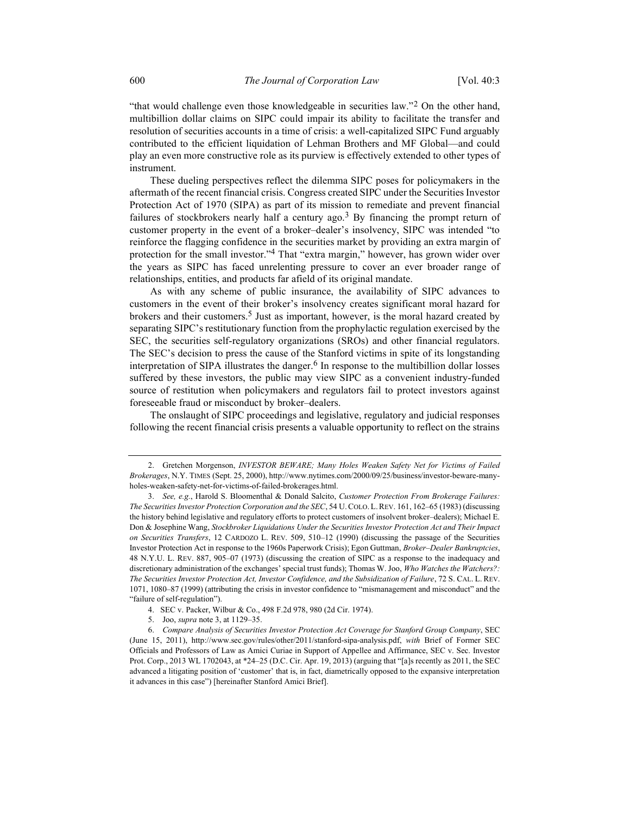"that would challenge even those knowledgeable in securities law."  $2^{\circ}$  On the other hand, multibillion dollar claims on SIPC could impair its ability to facilitate the transfer and resolution of securities accounts in a time of crisis: a well-capitalized SIPC Fund arguably contributed to the efficient liquidation of Lehman Brothers and MF Global—and could play an even more constructive role as its purview is effectively extended to other types of instrument.

These dueling perspectives reflect the dilemma SIPC poses for policymakers in the aftermath of the recent financial crisis. Congress created SIPC under the Securities Investor Protection Act of 1970 (SIPA) as part of its mission to remediate and prevent financial failures of stockbrokers nearly half a century ago.<sup>3</sup> By financing the prompt return of customer property in the event of a broker–dealer's insolvency, SIPC was intended "to reinforce the flagging confidence in the securities market by providing an extra margin of protection for the small investor."<sup>4</sup> That "extra margin," however, has grown wider over the years as SIPC has faced unrelenting pressure to cover an ever broader range of relationships, entities, and products far afield of its original mandate.

As with any scheme of public insurance, the availability of SIPC advances to customers in the event of their broker's insolvency creates significant moral hazard for brokers and their customers.<sup>5</sup> Just as important, however, is the moral hazard created by separating SIPC's restitutionary function from the prophylactic regulation exercised by the SEC, the securities self-regulatory organizations (SROs) and other financial regulators. The SEC's decision to press the cause of the Stanford victims in spite of its longstanding interpretation of SIPA illustrates the danger.<sup>6</sup> In response to the multibillion dollar losses suffered by these investors, the public may view SIPC as a convenient industry-funded source of restitution when policymakers and regulators fail to protect investors against foreseeable fraud or misconduct by broker–dealers.

The onslaught of SIPC proceedings and legislative, regulatory and judicial responses following the recent financial crisis presents a valuable opportunity to reflect on the strains

 <sup>2.</sup> Gretchen Morgenson, INVESTOR BEWARE; Many Holes Weaken Safety Net for Victims of Failed Brokerages, N.Y. TIMES (Sept. 25, 2000), http://www.nytimes.com/2000/09/25/business/investor-beware-manyholes-weaken-safety-net-for-victims-of-failed-brokerages.html.

 <sup>3.</sup> See, e.g., Harold S. Bloomenthal & Donald Salcito, Customer Protection From Brokerage Failures: The Securities Investor Protection Corporation and the SEC, 54 U.COLO. L.REV. 161, 162–65 (1983) (discussing the history behind legislative and regulatory efforts to protect customers of insolvent broker–dealers); Michael E. Don & Josephine Wang, Stockbroker Liquidations Under the Securities Investor Protection Act and Their Impact on Securities Transfers, 12 CARDOZO L. REV. 509, 510–12 (1990) (discussing the passage of the Securities Investor Protection Act in response to the 1960s Paperwork Crisis); Egon Guttman, Broker–Dealer Bankruptcies, 48 N.Y.U. L. REV. 887, 905–07 (1973) (discussing the creation of SIPC as a response to the inadequacy and discretionary administration of the exchanges' special trust funds); Thomas W. Joo, Who Watches the Watchers?: The Securities Investor Protection Act, Investor Confidence, and the Subsidization of Failure, 72 S. CAL. L. REV. 1071, 1080–87 (1999) (attributing the crisis in investor confidence to "mismanagement and misconduct" and the "failure of self-regulation").

 <sup>4.</sup> SEC v. Packer, Wilbur & Co., 498 F.2d 978, 980 (2d Cir. 1974).

 <sup>5.</sup> Joo, supra note 3, at 1129–35.

 <sup>6.</sup> Compare Analysis of Securities Investor Protection Act Coverage for Stanford Group Company, SEC (June 15, 2011), http://www.sec.gov/rules/other/2011/stanford-sipa-analysis.pdf, with Brief of Former SEC Officials and Professors of Law as Amici Curiae in Support of Appellee and Affirmance, SEC v. Sec. Investor Prot. Corp., 2013 WL 1702043, at \*24–25 (D.C. Cir. Apr. 19, 2013) (arguing that "[a]s recently as 2011, the SEC advanced a litigating position of 'customer' that is, in fact, diametrically opposed to the expansive interpretation it advances in this case") [hereinafter Stanford Amici Brief].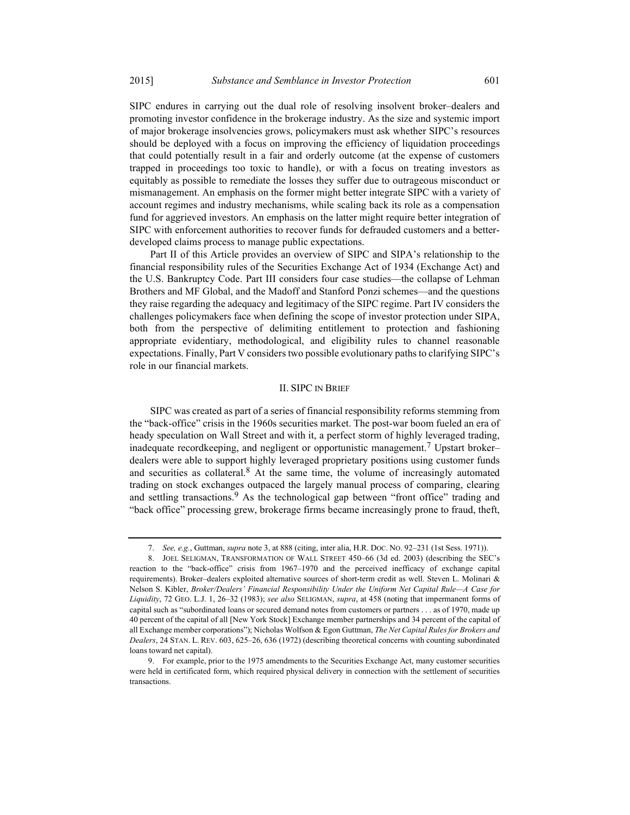SIPC endures in carrying out the dual role of resolving insolvent broker–dealers and promoting investor confidence in the brokerage industry. As the size and systemic import of major brokerage insolvencies grows, policymakers must ask whether SIPC's resources should be deployed with a focus on improving the efficiency of liquidation proceedings that could potentially result in a fair and orderly outcome (at the expense of customers trapped in proceedings too toxic to handle), or with a focus on treating investors as equitably as possible to remediate the losses they suffer due to outrageous misconduct or mismanagement. An emphasis on the former might better integrate SIPC with a variety of account regimes and industry mechanisms, while scaling back its role as a compensation fund for aggrieved investors. An emphasis on the latter might require better integration of SIPC with enforcement authorities to recover funds for defrauded customers and a betterdeveloped claims process to manage public expectations.

Part II of this Article provides an overview of SIPC and SIPA's relationship to the financial responsibility rules of the Securities Exchange Act of 1934 (Exchange Act) and the U.S. Bankruptcy Code. Part III considers four case studies—the collapse of Lehman Brothers and MF Global, and the Madoff and Stanford Ponzi schemes—and the questions they raise regarding the adequacy and legitimacy of the SIPC regime. Part IV considers the challenges policymakers face when defining the scope of investor protection under SIPA, both from the perspective of delimiting entitlement to protection and fashioning appropriate evidentiary, methodological, and eligibility rules to channel reasonable expectations. Finally, Part V considers two possible evolutionary paths to clarifying SIPC's role in our financial markets.

### II. SIPC IN BRIEF

SIPC was created as part of a series of financial responsibility reforms stemming from the "back-office" crisis in the 1960s securities market. The post-war boom fueled an era of heady speculation on Wall Street and with it, a perfect storm of highly leveraged trading, inadequate recordkeeping, and negligent or opportunistic management.7 Upstart broker– dealers were able to support highly leveraged proprietary positions using customer funds and securities as collateral. $8$  At the same time, the volume of increasingly automated trading on stock exchanges outpaced the largely manual process of comparing, clearing and settling transactions.<sup>9</sup> As the technological gap between "front office" trading and "back office" processing grew, brokerage firms became increasingly prone to fraud, theft,

<sup>7.</sup> See, e.g., Guttman, supra note 3, at 888 (citing, inter alia, H.R. Doc. No. 92–231 (1st Sess. 1971)).

 <sup>8.</sup> JOEL SELIGMAN, TRANSFORMATION OF WALL STREET 450–66 (3d ed. 2003) (describing the SEC's reaction to the "back-office" crisis from 1967–1970 and the perceived inefficacy of exchange capital requirements). Broker–dealers exploited alternative sources of short-term credit as well. Steven L. Molinari & Nelson S. Kibler, Broker/Dealers' Financial Responsibility Under the Uniform Net Capital Rule—A Case for Liquidity, 72 GEO. L.J. 1, 26-32 (1983); see also SELIGMAN, supra, at 458 (noting that impermanent forms of capital such as "subordinated loans or secured demand notes from customers or partners . . . as of 1970, made up 40 percent of the capital of all [New York Stock] Exchange member partnerships and 34 percent of the capital of all Exchange member corporations"); Nicholas Wolfson & Egon Guttman, The Net Capital Rules for Brokers and Dealers, 24 STAN. L. REV. 603, 625–26, 636 (1972) (describing theoretical concerns with counting subordinated loans toward net capital).

 <sup>9.</sup> For example, prior to the 1975 amendments to the Securities Exchange Act, many customer securities were held in certificated form, which required physical delivery in connection with the settlement of securities transactions.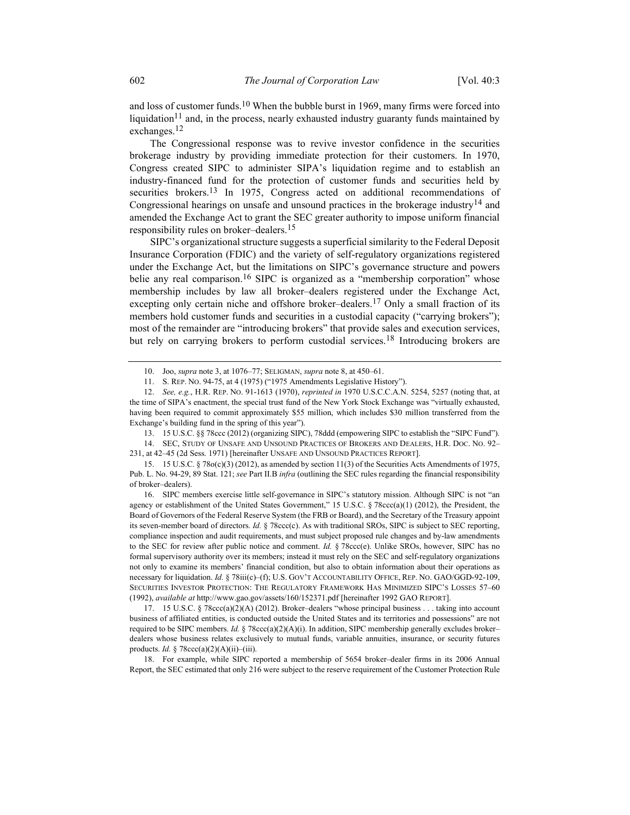and loss of customer funds.<sup>10</sup> When the bubble burst in 1969, many firms were forced into liquidation<sup>11</sup> and, in the process, nearly exhausted industry guaranty funds maintained by exchanges.12

The Congressional response was to revive investor confidence in the securities brokerage industry by providing immediate protection for their customers. In 1970, Congress created SIPC to administer SIPA's liquidation regime and to establish an industry-financed fund for the protection of customer funds and securities held by securities brokers.<sup>13</sup> In 1975, Congress acted on additional recommendations of Congressional hearings on unsafe and unsound practices in the brokerage industry<sup>14</sup> and amended the Exchange Act to grant the SEC greater authority to impose uniform financial responsibility rules on broker–dealers.<sup>15</sup>

SIPC's organizational structure suggests a superficial similarity to the Federal Deposit Insurance Corporation (FDIC) and the variety of self-regulatory organizations registered under the Exchange Act, but the limitations on SIPC's governance structure and powers belie any real comparison.<sup>16</sup> SIPC is organized as a "membership corporation" whose membership includes by law all broker–dealers registered under the Exchange Act, excepting only certain niche and offshore broker–dealers.<sup>17</sup> Only a small fraction of its members hold customer funds and securities in a custodial capacity ("carrying brokers"); most of the remainder are "introducing brokers" that provide sales and execution services, but rely on carrying brokers to perform custodial services.<sup>18</sup> Introducing brokers are

231, at 42–45 (2d Sess. 1971) [hereinafter UNSAFE AND UNSOUND PRACTICES REPORT].

 16. SIPC members exercise little self-governance in SIPC's statutory mission. Although SIPC is not "an agency or establishment of the United States Government," 15 U.S.C. § 78ccc(a)(1) (2012), the President, the Board of Governors of the Federal Reserve System (the FRB or Board), and the Secretary of the Treasury appoint its seven-member board of directors. Id. § 78ccc(c). As with traditional SROs, SIPC is subject to SEC reporting, compliance inspection and audit requirements, and must subject proposed rule changes and by-law amendments to the SEC for review after public notice and comment. Id.  $\frac{8}{2}$  78ccc(e). Unlike SROs, however, SIPC has no formal supervisory authority over its members; instead it must rely on the SEC and self-regulatory organizations not only to examine its members' financial condition, but also to obtain information about their operations as necessary for liquidation. Id. § 78iii(c)–(f); U.S. GOV'T ACCOUNTABILITY OFFICE, REP. NO. GAO/GGD-92-109, SECURITIES INVESTOR PROTECTION: THE REGULATORY FRAMEWORK HAS MINIMIZED SIPC'S LOSSES 57–60 (1992), available at http://www.gao.gov/assets/160/152371.pdf [hereinafter 1992 GAO REPORT].

 17. 15 U.S.C. § 78ccc(a)(2)(A) (2012). Broker–dealers "whose principal business . . . taking into account business of affiliated entities, is conducted outside the United States and its territories and possessions" are not required to be SIPC members. Id. § 78ccc(a)(2)(A)(i). In addition, SIPC membership generally excludes broker– dealers whose business relates exclusively to mutual funds, variable annuities, insurance, or security futures products. Id.  $\frac{5}{9}$  78 ccc(a)(2)(A)(ii)–(iii).

 18. For example, while SIPC reported a membership of 5654 broker–dealer firms in its 2006 Annual Report, the SEC estimated that only 216 were subject to the reserve requirement of the Customer Protection Rule

 <sup>10.</sup> Joo, supra note 3, at 1076–77; SELIGMAN, supra note 8, at 450–61.

 <sup>11.</sup> S. REP. NO. 94-75, at 4 (1975) ("1975 Amendments Legislative History").

<sup>12.</sup> See, e.g., H.R. REP. No. 91-1613 (1970), reprinted in 1970 U.S.C.C.A.N. 5254, 5257 (noting that, at the time of SIPA's enactment, the special trust fund of the New York Stock Exchange was "virtually exhausted, having been required to commit approximately \$55 million, which includes \$30 million transferred from the Exchange's building fund in the spring of this year").

 <sup>13. 15</sup> U.S.C. §§ 78ccc (2012) (organizing SIPC), 78ddd (empowering SIPC to establish the "SIPC Fund"). 14. SEC, STUDY OF UNSAFE AND UNSOUND PRACTICES OF BROKERS AND DEALERS, H.R. DOC. NO. 92–

 <sup>15. 15</sup> U.S.C. § 78o(c)(3) (2012), as amended by section 11(3) of the Securities Acts Amendments of 1975, Pub. L. No. 94-29, 89 Stat. 121; see Part II.B infra (outlining the SEC rules regarding the financial responsibility of broker–dealers).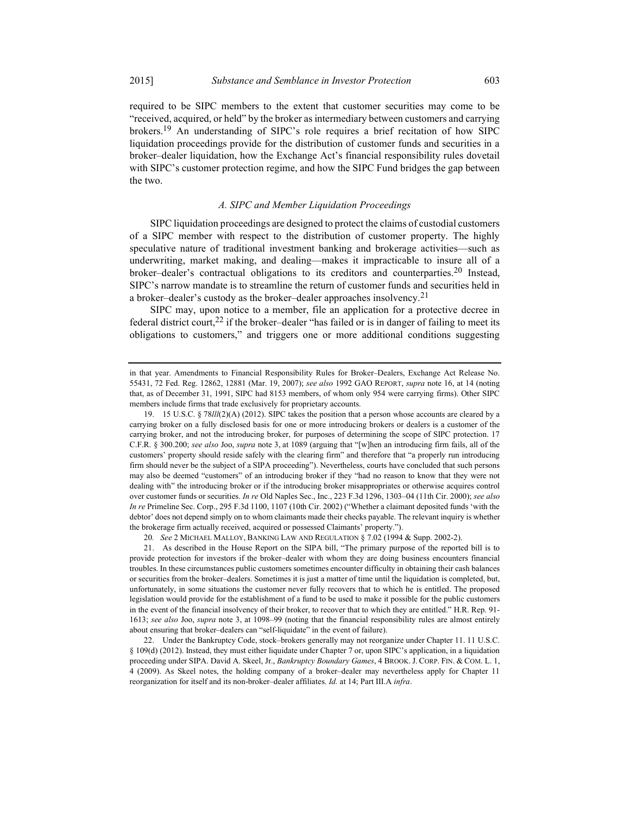required to be SIPC members to the extent that customer securities may come to be "received, acquired, or held" by the broker as intermediary between customers and carrying brokers.19 An understanding of SIPC's role requires a brief recitation of how SIPC liquidation proceedings provide for the distribution of customer funds and securities in a broker–dealer liquidation, how the Exchange Act's financial responsibility rules dovetail with SIPC's customer protection regime, and how the SIPC Fund bridges the gap between the two.

### A. SIPC and Member Liquidation Proceedings

SIPC liquidation proceedings are designed to protect the claims of custodial customers of a SIPC member with respect to the distribution of customer property. The highly speculative nature of traditional investment banking and brokerage activities—such as underwriting, market making, and dealing—makes it impracticable to insure all of a broker–dealer's contractual obligations to its creditors and counterparties.<sup>20</sup> Instead, SIPC's narrow mandate is to streamline the return of customer funds and securities held in a broker–dealer's custody as the broker–dealer approaches insolvency.<sup>21</sup>

SIPC may, upon notice to a member, file an application for a protective decree in federal district court,<sup>22</sup> if the broker–dealer "has failed or is in danger of failing to meet its obligations to customers," and triggers one or more additional conditions suggesting

20. See 2 MICHAEL MALLOY, BANKING LAW AND REGULATION § 7.02 (1994 & Supp. 2002-2).

in that year. Amendments to Financial Responsibility Rules for Broker–Dealers, Exchange Act Release No. 55431, 72 Fed. Reg. 12862, 12881 (Mar. 19, 2007); see also 1992 GAO REPORT, supra note 16, at 14 (noting that, as of December 31, 1991, SIPC had 8153 members, of whom only 954 were carrying firms). Other SIPC members include firms that trade exclusively for proprietary accounts.

 <sup>19. 15</sup> U.S.C. § 78lll(2)(A) (2012). SIPC takes the position that a person whose accounts are cleared by a carrying broker on a fully disclosed basis for one or more introducing brokers or dealers is a customer of the carrying broker, and not the introducing broker, for purposes of determining the scope of SIPC protection. 17 C.F.R. § 300.200; see also Joo, supra note 3, at 1089 (arguing that "[w]hen an introducing firm fails, all of the customers' property should reside safely with the clearing firm" and therefore that "a properly run introducing firm should never be the subject of a SIPA proceeding"). Nevertheless, courts have concluded that such persons may also be deemed "customers" of an introducing broker if they "had no reason to know that they were not dealing with" the introducing broker or if the introducing broker misappropriates or otherwise acquires control over customer funds or securities. In re Old Naples Sec., Inc., 223 F.3d 1296, 1303-04 (11th Cir. 2000); see also In re Primeline Sec. Corp., 295 F.3d 1100, 1107 (10th Cir. 2002) ("Whether a claimant deposited funds 'with the debtor' does not depend simply on to whom claimants made their checks payable. The relevant inquiry is whether the brokerage firm actually received, acquired or possessed Claimants' property.").

 <sup>21.</sup> As described in the House Report on the SIPA bill, "The primary purpose of the reported bill is to provide protection for investors if the broker–dealer with whom they are doing business encounters financial troubles. In these circumstances public customers sometimes encounter difficulty in obtaining their cash balances or securities from the broker–dealers. Sometimes it is just a matter of time until the liquidation is completed, but, unfortunately, in some situations the customer never fully recovers that to which he is entitled. The proposed legislation would provide for the establishment of a fund to be used to make it possible for the public customers in the event of the financial insolvency of their broker, to recover that to which they are entitled." H.R. Rep. 91- 1613; see also Joo, supra note 3, at 1098–99 (noting that the financial responsibility rules are almost entirely about ensuring that broker–dealers can "self-liquidate" in the event of failure).

 <sup>22.</sup> Under the Bankruptcy Code, stock–brokers generally may not reorganize under Chapter 11. 11 U.S.C. § 109(d) (2012). Instead, they must either liquidate under Chapter 7 or, upon SIPC's application, in a liquidation proceeding under SIPA. David A. Skeel, Jr., Bankruptcy Boundary Games, 4 BROOK. J. CORP. FIN. & COM. L. 1, 4 (2009). As Skeel notes, the holding company of a broker–dealer may nevertheless apply for Chapter 11 reorganization for itself and its non-broker–dealer affiliates. Id. at 14; Part III.A infra.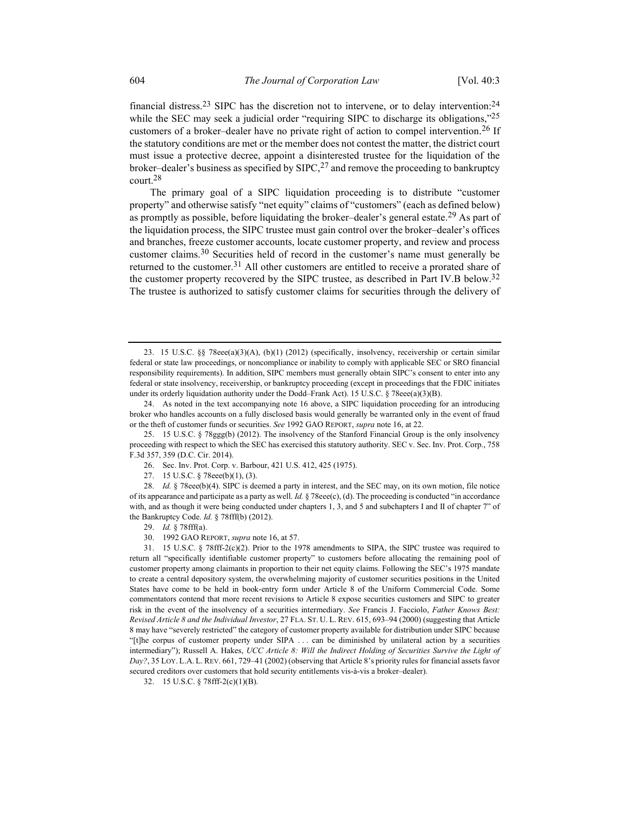financial distress.<sup>23</sup> SIPC has the discretion not to intervene, or to delay intervention:<sup>24</sup> while the SEC may seek a judicial order "requiring SIPC to discharge its obligations,"25 customers of a broker–dealer have no private right of action to compel intervention.<sup>26</sup> If the statutory conditions are met or the member does not contest the matter, the district court must issue a protective decree, appoint a disinterested trustee for the liquidation of the broker–dealer's business as specified by  $SIPC<sub>1</sub><sup>27</sup>$  and remove the proceeding to bankruptcy court.28

The primary goal of a SIPC liquidation proceeding is to distribute "customer property" and otherwise satisfy "net equity" claims of "customers" (each as defined below) as promptly as possible, before liquidating the broker–dealer's general estate.<sup>29</sup> As part of the liquidation process, the SIPC trustee must gain control over the broker–dealer's offices and branches, freeze customer accounts, locate customer property, and review and process customer claims.30 Securities held of record in the customer's name must generally be returned to the customer.<sup>31</sup> All other customers are entitled to receive a prorated share of the customer property recovered by the SIPC trustee, as described in Part IV.B below.32 The trustee is authorized to satisfy customer claims for securities through the delivery of

30. 1992 GAO REPORT, supra note 16, at 57.

 31. 15 U.S.C. § 78fff-2(c)(2). Prior to the 1978 amendments to SIPA, the SIPC trustee was required to return all "specifically identifiable customer property" to customers before allocating the remaining pool of customer property among claimants in proportion to their net equity claims. Following the SEC's 1975 mandate to create a central depository system, the overwhelming majority of customer securities positions in the United States have come to be held in book-entry form under Article 8 of the Uniform Commercial Code. Some commentators contend that more recent revisions to Article 8 expose securities customers and SIPC to greater risk in the event of the insolvency of a securities intermediary. See Francis J. Facciolo, Father Knows Best: Revised Article 8 and the Individual Investor, 27 FLA. ST. U. L. REV. 615, 693–94 (2000) (suggesting that Article 8 may have "severely restricted" the category of customer property available for distribution under SIPC because "[t]he corpus of customer property under SIPA . . . can be diminished by unilateral action by a securities intermediary"); Russell A. Hakes, UCC Article 8: Will the Indirect Holding of Securities Survive the Light of Day?, 35 LOY. L.A. L. REV. 661, 729-41 (2002) (observing that Article 8's priority rules for financial assets favor secured creditors over customers that hold security entitlements vis-à-vis a broker–dealer).

32. 15 U.S.C. § 78fff-2(c)(1)(B).

 <sup>23. 15</sup> U.S.C. §§ 78eee(a)(3)(A), (b)(1) (2012) (specifically, insolvency, receivership or certain similar federal or state law proceedings, or noncompliance or inability to comply with applicable SEC or SRO financial responsibility requirements). In addition, SIPC members must generally obtain SIPC's consent to enter into any federal or state insolvency, receivership, or bankruptcy proceeding (except in proceedings that the FDIC initiates under its orderly liquidation authority under the Dodd–Frank Act). 15 U.S.C. § 78eee(a)(3)(B).

 <sup>24.</sup> As noted in the text accompanying note 16 above, a SIPC liquidation proceeding for an introducing broker who handles accounts on a fully disclosed basis would generally be warranted only in the event of fraud or the theft of customer funds or securities. See 1992 GAO REPORT, supra note 16, at 22.

 <sup>25. 15</sup> U.S.C. § 78ggg(b) (2012). The insolvency of the Stanford Financial Group is the only insolvency proceeding with respect to which the SEC has exercised this statutory authority. SEC v. Sec. Inv. Prot. Corp., 758 F.3d 357, 359 (D.C. Cir. 2014).

 <sup>26.</sup> Sec. Inv. Prot. Corp. v. Barbour, 421 U.S. 412, 425 (1975).

 <sup>27. 15</sup> U.S.C. § 78eee(b)(1), (3).

<sup>28.</sup> Id. § 78eee(b)(4). SIPC is deemed a party in interest, and the SEC may, on its own motion, file notice of its appearance and participate as a party as well. Id. § 78eee(c), (d). The proceeding is conducted "in accordance with, and as though it were being conducted under chapters 1, 3, and 5 and subchapters I and II of chapter 7" of the Bankruptcy Code. Id. § 78fff(b) (2012).

 <sup>29.</sup> Id. § 78fff(a).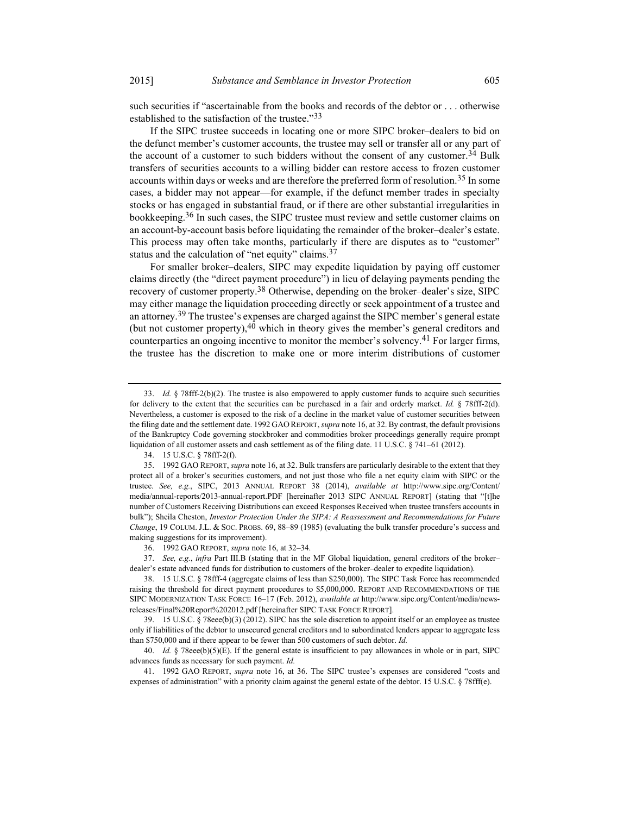such securities if "ascertainable from the books and records of the debtor or . . . otherwise established to the satisfaction of the trustee."33

If the SIPC trustee succeeds in locating one or more SIPC broker–dealers to bid on the defunct member's customer accounts, the trustee may sell or transfer all or any part of the account of a customer to such bidders without the consent of any customer.<sup>34</sup> Bulk transfers of securities accounts to a willing bidder can restore access to frozen customer accounts within days or weeks and are therefore the preferred form of resolution.<sup>35</sup> In some cases, a bidder may not appear—for example, if the defunct member trades in specialty stocks or has engaged in substantial fraud, or if there are other substantial irregularities in bookkeeping.<sup>36</sup> In such cases, the SIPC trustee must review and settle customer claims on an account-by-account basis before liquidating the remainder of the broker–dealer's estate. This process may often take months, particularly if there are disputes as to "customer" status and the calculation of "net equity" claims.<sup>37</sup>

For smaller broker–dealers, SIPC may expedite liquidation by paying off customer claims directly (the "direct payment procedure") in lieu of delaying payments pending the recovery of customer property.<sup>38</sup> Otherwise, depending on the broker-dealer's size, SIPC may either manage the liquidation proceeding directly or seek appointment of a trustee and an attorney.<sup>39</sup> The trustee's expenses are charged against the SIPC member's general estate (but not customer property), $4\overline{0}$  which in theory gives the member's general creditors and counterparties an ongoing incentive to monitor the member's solvency.<sup>41</sup> For larger firms, the trustee has the discretion to make one or more interim distributions of customer

 37. See, e.g., infra Part III.B (stating that in the MF Global liquidation, general creditors of the broker– dealer's estate advanced funds for distribution to customers of the broker–dealer to expedite liquidation).

<sup>33.</sup> Id. § 78fff-2(b)(2). The trustee is also empowered to apply customer funds to acquire such securities for delivery to the extent that the securities can be purchased in a fair and orderly market. Id.  $\S$  78fff-2(d). Nevertheless, a customer is exposed to the risk of a decline in the market value of customer securities between the filing date and the settlement date. 1992 GAO REPORT, supra note 16, at 32. By contrast, the default provisions of the Bankruptcy Code governing stockbroker and commodities broker proceedings generally require prompt liquidation of all customer assets and cash settlement as of the filing date. 11 U.S.C. § 741–61 (2012).

 <sup>34. 15</sup> U.S.C. § 78fff-2(f).

 <sup>35. 1992</sup> GAO REPORT, supra note 16, at 32. Bulk transfers are particularly desirable to the extent that they protect all of a broker's securities customers, and not just those who file a net equity claim with SIPC or the trustee. See, e.g., SIPC, 2013 ANNUAL REPORT 38 (2014), available at http://www.sipc.org/Content/ media/annual-reports/2013-annual-report.PDF [hereinafter 2013 SIPC ANNUAL REPORT] (stating that "[t]he number of Customers Receiving Distributions can exceed Responses Received when trustee transfers accounts in bulk"); Sheila Cheston, *Investor Protection Under the SIPA: A Reassessment and Recommendations for Future* Change, 19 COLUM. J.L. & SOC. PROBS. 69, 88–89 (1985) (evaluating the bulk transfer procedure's success and making suggestions for its improvement).

 <sup>36. 1992</sup> GAO REPORT, supra note 16, at 32–34.

 <sup>38. 15</sup> U.S.C. § 78fff-4 (aggregate claims of less than \$250,000). The SIPC Task Force has recommended raising the threshold for direct payment procedures to \$5,000,000. REPORT AND RECOMMENDATIONS OF THE SIPC MODERNIZATION TASK FORCE 16–17 (Feb. 2012), available at http://www.sipc.org/Content/media/newsreleases/Final%20Report%202012.pdf [hereinafter SIPC TASK FORCE REPORT].

 <sup>39. 15</sup> U.S.C. § 78eee(b)(3) (2012). SIPC has the sole discretion to appoint itself or an employee as trustee only if liabilities of the debtor to unsecured general creditors and to subordinated lenders appear to aggregate less than \$750,000 and if there appear to be fewer than 500 customers of such debtor. Id.

<sup>40.</sup> Id. § 78eee(b)(5)(E). If the general estate is insufficient to pay allowances in whole or in part, SIPC advances funds as necessary for such payment. Id.

 <sup>41. 1992</sup> GAO REPORT, supra note 16, at 36. The SIPC trustee's expenses are considered "costs and expenses of administration" with a priority claim against the general estate of the debtor. 15 U.S.C. § 78fff(e).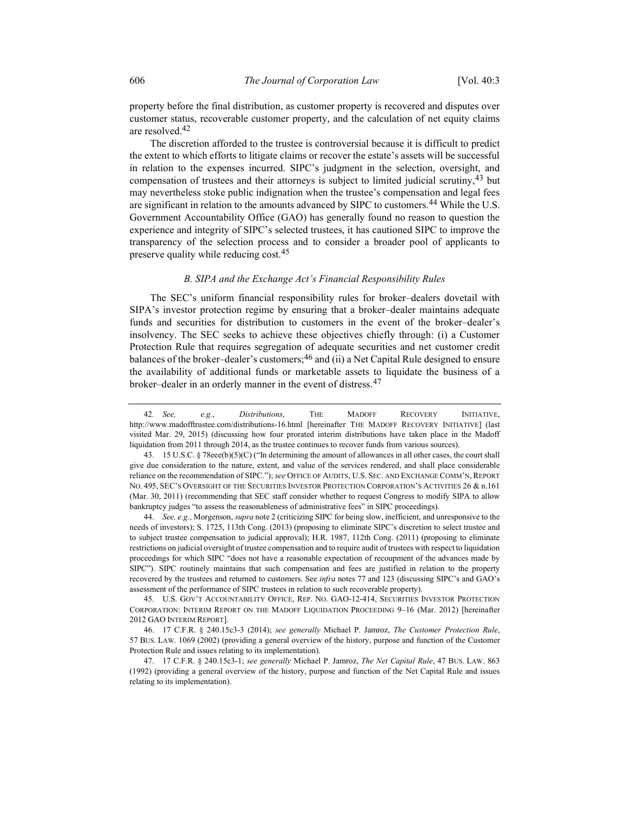property before the final distribution, as customer property is recovered and disputes over customer status, recoverable customer property, and the calculation of net equity claims are resolved.42

The discretion afforded to the trustee is controversial because it is difficult to predict the extent to which efforts to litigate claims or recover the estate's assets will be successful in relation to the expenses incurred. SIPC's judgment in the selection, oversight, and compensation of trustees and their attorneys is subject to limited judicial scrutiny,<sup>43</sup> but may nevertheless stoke public indignation when the trustee's compensation and legal fees are significant in relation to the amounts advanced by SIPC to customers.<sup>44</sup> While the U.S. Government Accountability Office (GAO) has generally found no reason to question the experience and integrity of SIPC's selected trustees, it has cautioned SIPC to improve the transparency of the selection process and to consider a broader pool of applicants to preserve quality while reducing cost.<sup>45</sup>

### B. SIPA and the Exchange Act's Financial Responsibility Rules

The SEC's uniform financial responsibility rules for broker–dealers dovetail with SIPA's investor protection regime by ensuring that a broker–dealer maintains adequate funds and securities for distribution to customers in the event of the broker–dealer's insolvency. The SEC seeks to achieve these objectives chiefly through: (i) a Customer Protection Rule that requires segregation of adequate securities and net customer credit balances of the broker–dealer's customers;<sup>46</sup> and (ii) a Net Capital Rule designed to ensure the availability of additional funds or marketable assets to liquidate the business of a broker–dealer in an orderly manner in the event of distress.47

<sup>42.</sup> See, e.g., Distributions, THE MADOFF RECOVERY INITIATIVE, http://www.madofftrustee.com/distributions-16.html [hereinafter THE MADOFF RECOVERY INITIATIVE] (last visited Mar. 29, 2015) (discussing how four prorated interim distributions have taken place in the Madoff liquidation from 2011 through 2014, as the trustee continues to recover funds from various sources).

 <sup>43. 15</sup> U.S.C. § 78eee(b)(5)(C) ("In determining the amount of allowances in all other cases, the court shall give due consideration to the nature, extent, and value of the services rendered, and shall place considerable reliance on the recommendation of SIPC."); see OFFICE OF AUDITS, U.S. SEC. AND EXCHANGE COMM'N, REPORT NO. 495, SEC'S OVERSIGHT OF THE SECURITIES INVESTOR PROTECTION CORPORATION'S ACTIVITIES 26 & n.161 (Mar. 30, 2011) (recommending that SEC staff consider whether to request Congress to modify SIPA to allow bankruptcy judges "to assess the reasonableness of administrative fees" in SIPC proceedings).

 <sup>44.</sup> See, e.g., Morgenson, supra note 2 (criticizing SIPC for being slow, inefficient, and unresponsive to the needs of investors); S. 1725, 113th Cong. (2013) (proposing to eliminate SIPC's discretion to select trustee and to subject trustee compensation to judicial approval); H.R. 1987, 112th Cong. (2011) (proposing to eliminate restrictions on judicial oversight of trustee compensation and to require audit of trustees with respect to liquidation proceedings for which SIPC "does not have a reasonable expectation of recoupment of the advances made by SIPC"). SIPC routinely maintains that such compensation and fees are justified in relation to the property recovered by the trustees and returned to customers. See infra notes 77 and 123 (discussing SIPC's and GAO's assessment of the performance of SIPC trustees in relation to such recoverable property).

 <sup>45.</sup> U.S. GOV'T ACCOUNTABILITY OFFICE, REP. NO. GAO-12-414, SECURITIES INVESTOR PROTECTION CORPORATION: INTERIM REPORT ON THE MADOFF LIQUIDATION PROCEEDING 9–16 (Mar. 2012) [hereinafter 2012 GAO INTERIM REPORT].

 <sup>46. 17</sup> C.F.R. § 240.15c3-3 (2014); see generally Michael P. Jamroz, The Customer Protection Rule, 57 BUS. LAW. 1069 (2002) (providing a general overview of the history, purpose and function of the Customer Protection Rule and issues relating to its implementation).

<sup>47. 17</sup> C.F.R. § 240.15c3-1; see generally Michael P. Jamroz, The Net Capital Rule, 47 BUS. LAW. 863 (1992) (providing a general overview of the history, purpose and function of the Net Capital Rule and issues relating to its implementation).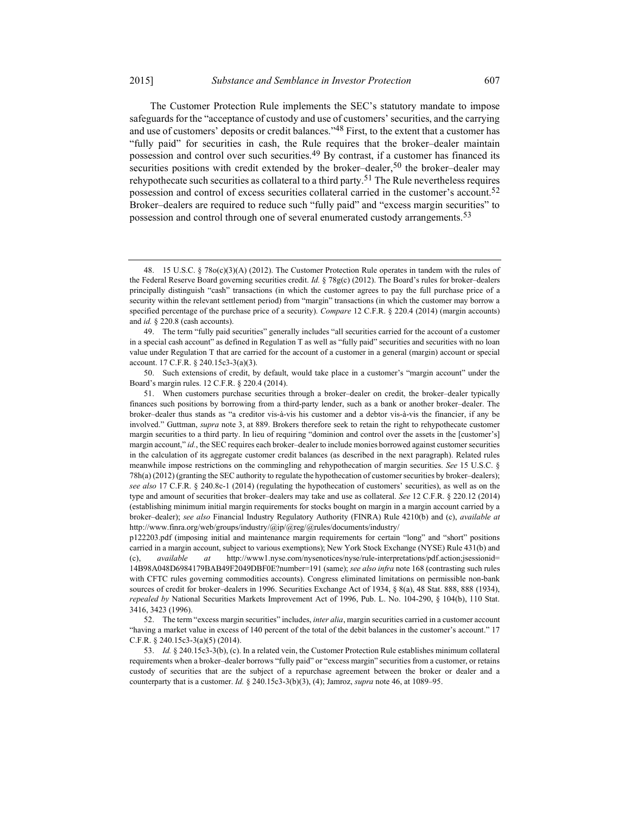The Customer Protection Rule implements the SEC's statutory mandate to impose safeguards for the "acceptance of custody and use of customers' securities, and the carrying and use of customers' deposits or credit balances."<sup>48</sup> First, to the extent that a customer has "fully paid" for securities in cash, the Rule requires that the broker–dealer maintain possession and control over such securities.<sup>49</sup> By contrast, if a customer has financed its securities positions with credit extended by the broker–dealer,<sup>50</sup> the broker–dealer may rehypothecate such securities as collateral to a third party.<sup>51</sup> The Rule nevertheless requires possession and control of excess securities collateral carried in the customer's account.<sup>52</sup> Broker–dealers are required to reduce such "fully paid" and "excess margin securities" to possession and control through one of several enumerated custody arrangements.<sup>53</sup>

 50. Such extensions of credit, by default, would take place in a customer's "margin account" under the Board's margin rules. 12 C.F.R. § 220.4 (2014).

 <sup>48. 15</sup> U.S.C. § 78o(c)(3)(A) (2012). The Customer Protection Rule operates in tandem with the rules of the Federal Reserve Board governing securities credit. Id. § 78g(c) (2012). The Board's rules for broker–dealers principally distinguish "cash" transactions (in which the customer agrees to pay the full purchase price of a security within the relevant settlement period) from "margin" transactions (in which the customer may borrow a specified percentage of the purchase price of a security). Compare 12 C.F.R. § 220.4 (2014) (margin accounts) and id. § 220.8 (cash accounts).

 <sup>49.</sup> The term "fully paid securities" generally includes "all securities carried for the account of a customer in a special cash account" as defined in Regulation T as well as "fully paid" securities and securities with no loan value under Regulation T that are carried for the account of a customer in a general (margin) account or special account. 17 C.F.R. § 240.15c3-3(a)(3).

 <sup>51.</sup> When customers purchase securities through a broker–dealer on credit, the broker–dealer typically finances such positions by borrowing from a third-party lender, such as a bank or another broker–dealer. The broker–dealer thus stands as "a creditor vis-à-vis his customer and a debtor vis-à-vis the financier, if any be involved." Guttman, supra note 3, at 889. Brokers therefore seek to retain the right to rehypothecate customer margin securities to a third party. In lieu of requiring "dominion and control over the assets in the [customer's] margin account," id., the SEC requires each broker-dealer to include monies borrowed against customer securities in the calculation of its aggregate customer credit balances (as described in the next paragraph). Related rules meanwhile impose restrictions on the commingling and rehypothecation of margin securities. See 15 U.S.C. § 78h(a) (2012) (granting the SEC authority to regulate the hypothecation of customer securities by broker–dealers); see also 17 C.F.R. § 240.8c-1 (2014) (regulating the hypothecation of customers' securities), as well as on the type and amount of securities that broker–dealers may take and use as collateral. See 12 C.F.R. § 220.12 (2014) (establishing minimum initial margin requirements for stocks bought on margin in a margin account carried by a broker–dealer); see also Financial Industry Regulatory Authority (FINRA) Rule 4210(b) and (c), available at http://www.finra.org/web/groups/industry/@ip/@reg/@rules/documents/industry/

p122203.pdf (imposing initial and maintenance margin requirements for certain "long" and "short" positions carried in a margin account, subject to various exemptions); New York Stock Exchange (NYSE) Rule 431(b) and (c), available at http://www1.nyse.com/nysenotices/nyse/rule-interpretations/pdf.action;jsessionid= 14B98A048D6984179BAB49F2049DBF0E?number=191 (same); see also infra note 168 (contrasting such rules with CFTC rules governing commodities accounts). Congress eliminated limitations on permissible non-bank sources of credit for broker–dealers in 1996. Securities Exchange Act of 1934, § 8(a), 48 Stat. 888, 888 (1934), repealed by National Securities Markets Improvement Act of 1996, Pub. L. No. 104-290, § 104(b), 110 Stat. 3416, 3423 (1996).

 <sup>52.</sup> The term "excess margin securities" includes, inter alia, margin securities carried in a customer account "having a market value in excess of 140 percent of the total of the debit balances in the customer's account." 17 C.F.R. § 240.15c3-3(a)(5) (2014).

 <sup>53.</sup> Id. § 240.15c3-3(b), (c). In a related vein, the Customer Protection Rule establishes minimum collateral requirements when a broker–dealer borrows "fully paid" or "excess margin" securities from a customer, or retains custody of securities that are the subject of a repurchase agreement between the broker or dealer and a counterparty that is a customer. Id. § 240.15c3-3(b)(3), (4); Jamroz, *supra* note 46, at 1089–95.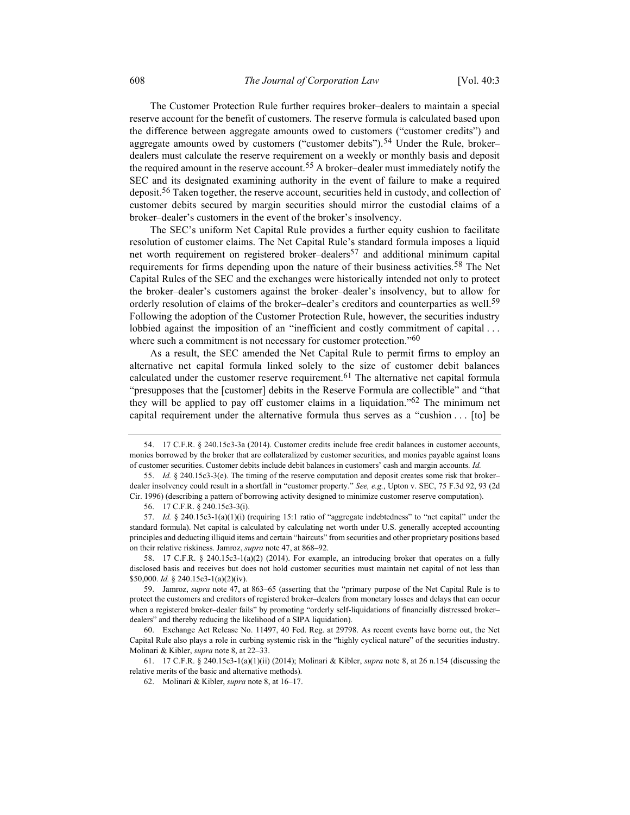The Customer Protection Rule further requires broker–dealers to maintain a special reserve account for the benefit of customers. The reserve formula is calculated based upon the difference between aggregate amounts owed to customers ("customer credits") and aggregate amounts owed by customers ("customer debits").<sup>54</sup> Under the Rule, broker– dealers must calculate the reserve requirement on a weekly or monthly basis and deposit the required amount in the reserve account.<sup>55</sup> A broker–dealer must immediately notify the SEC and its designated examining authority in the event of failure to make a required deposit.<sup>56</sup> Taken together, the reserve account, securities held in custody, and collection of customer debits secured by margin securities should mirror the custodial claims of a broker–dealer's customers in the event of the broker's insolvency.

The SEC's uniform Net Capital Rule provides a further equity cushion to facilitate resolution of customer claims. The Net Capital Rule's standard formula imposes a liquid net worth requirement on registered broker–dealers<sup>57</sup> and additional minimum capital requirements for firms depending upon the nature of their business activities.<sup>58</sup> The Net Capital Rules of the SEC and the exchanges were historically intended not only to protect the broker–dealer's customers against the broker–dealer's insolvency, but to allow for orderly resolution of claims of the broker–dealer's creditors and counterparties as well.<sup>59</sup> Following the adoption of the Customer Protection Rule, however, the securities industry lobbied against the imposition of an "inefficient and costly commitment of capital ... where such a commitment is not necessary for customer protection."<sup>60</sup>

As a result, the SEC amended the Net Capital Rule to permit firms to employ an alternative net capital formula linked solely to the size of customer debit balances calculated under the customer reserve requirement.<sup>61</sup> The alternative net capital formula "presupposes that the [customer] debits in the Reserve Formula are collectible" and "that they will be applied to pay off customer claims in a liquidation."62 The minimum net capital requirement under the alternative formula thus serves as a "cushion . . . [to] be

 <sup>54. 17</sup> C.F.R. § 240.15c3-3a (2014). Customer credits include free credit balances in customer accounts, monies borrowed by the broker that are collateralized by customer securities, and monies payable against loans of customer securities. Customer debits include debit balances in customers' cash and margin accounts. Id.

 <sup>55.</sup> Id. § 240.15c3-3(e). The timing of the reserve computation and deposit creates some risk that broker– dealer insolvency could result in a shortfall in "customer property." See, e.g., Upton v. SEC, 75 F.3d 92, 93 (2d Cir. 1996) (describing a pattern of borrowing activity designed to minimize customer reserve computation).

 <sup>56. 17</sup> C.F.R. § 240.15c3-3(i).

 <sup>57.</sup> Id. § 240.15c3-1(a)(1)(i) (requiring 15:1 ratio of "aggregate indebtedness" to "net capital" under the standard formula). Net capital is calculated by calculating net worth under U.S. generally accepted accounting principles and deducting illiquid items and certain "haircuts" from securities and other proprietary positions based on their relative riskiness. Jamroz, supra note 47, at 868–92.

 <sup>58. 17</sup> C.F.R. § 240.15c3-1(a)(2) (2014). For example, an introducing broker that operates on a fully disclosed basis and receives but does not hold customer securities must maintain net capital of not less than \$50,000. Id. § 240.15c3-1(a)(2)(iv).

 <sup>59.</sup> Jamroz, supra note 47, at 863–65 (asserting that the "primary purpose of the Net Capital Rule is to protect the customers and creditors of registered broker–dealers from monetary losses and delays that can occur when a registered broker–dealer fails" by promoting "orderly self-liquidations of financially distressed broker– dealers" and thereby reducing the likelihood of a SIPA liquidation).

 <sup>60.</sup> Exchange Act Release No. 11497, 40 Fed. Reg. at 29798. As recent events have borne out, the Net Capital Rule also plays a role in curbing systemic risk in the "highly cyclical nature" of the securities industry. Molinari & Kibler, *supra* note 8, at 22-33.

 <sup>61. 17</sup> C.F.R. § 240.15c3-1(a)(1)(ii) (2014); Molinari & Kibler, supra note 8, at 26 n.154 (discussing the relative merits of the basic and alternative methods).

 <sup>62.</sup> Molinari & Kibler, supra note 8, at 16–17.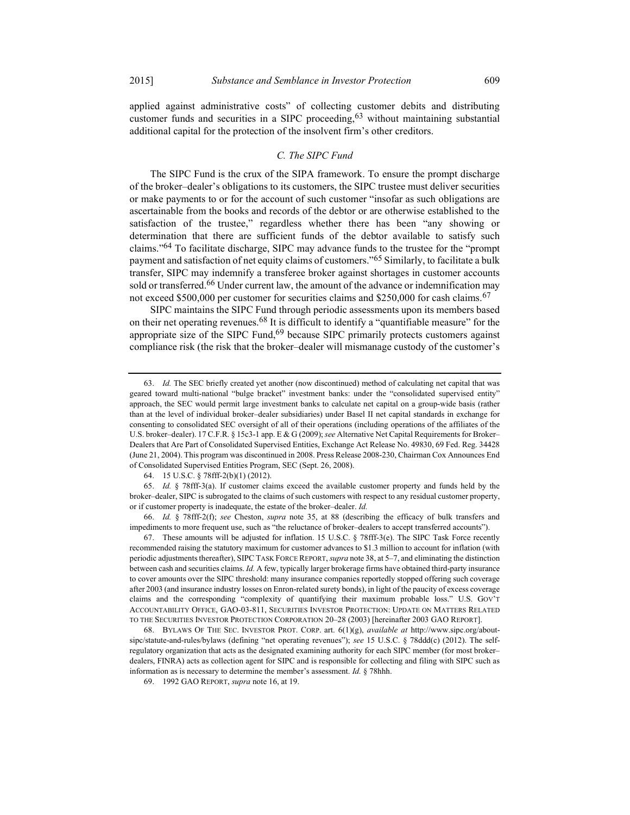applied against administrative costs" of collecting customer debits and distributing customer funds and securities in a SIPC proceeding,  $63$  without maintaining substantial additional capital for the protection of the insolvent firm's other creditors.

### C. The SIPC Fund

The SIPC Fund is the crux of the SIPA framework. To ensure the prompt discharge of the broker–dealer's obligations to its customers, the SIPC trustee must deliver securities or make payments to or for the account of such customer "insofar as such obligations are ascertainable from the books and records of the debtor or are otherwise established to the satisfaction of the trustee," regardless whether there has been "any showing or determination that there are sufficient funds of the debtor available to satisfy such claims."64 To facilitate discharge, SIPC may advance funds to the trustee for the "prompt payment and satisfaction of net equity claims of customers."<sup>65</sup> Similarly, to facilitate a bulk transfer, SIPC may indemnify a transferee broker against shortages in customer accounts sold or transferred.<sup>66</sup> Under current law, the amount of the advance or indemnification may not exceed \$500,000 per customer for securities claims and \$250,000 for cash claims.<sup>67</sup>

SIPC maintains the SIPC Fund through periodic assessments upon its members based on their net operating revenues.<sup>68</sup> It is difficult to identify a "quantifiable measure" for the appropriate size of the SIPC Fund,  $69$  because SIPC primarily protects customers against compliance risk (the risk that the broker–dealer will mismanage custody of the customer's

 <sup>63.</sup> Id. The SEC briefly created yet another (now discontinued) method of calculating net capital that was geared toward multi-national "bulge bracket" investment banks: under the "consolidated supervised entity" approach, the SEC would permit large investment banks to calculate net capital on a group-wide basis (rather than at the level of individual broker–dealer subsidiaries) under Basel II net capital standards in exchange for consenting to consolidated SEC oversight of all of their operations (including operations of the affiliates of the U.S. broker–dealer). 17 C.F.R. § 15c3-1 app. E & G (2009); see Alternative Net Capital Requirements for Broker– Dealers that Are Part of Consolidated Supervised Entities, Exchange Act Release No. 49830, 69 Fed. Reg. 34428 (June 21, 2004). This program was discontinued in 2008. Press Release 2008-230, Chairman Cox Announces End of Consolidated Supervised Entities Program, SEC (Sept. 26, 2008).

 <sup>64. 15</sup> U.S.C. § 78fff-2(b)(1) (2012).

 <sup>65.</sup> Id. § 78fff-3(a). If customer claims exceed the available customer property and funds held by the broker–dealer, SIPC is subrogated to the claims of such customers with respect to any residual customer property, or if customer property is inadequate, the estate of the broker–dealer. Id.

 <sup>66.</sup> Id. § 78fff-2(f); see Cheston, supra note 35, at 88 (describing the efficacy of bulk transfers and impediments to more frequent use, such as "the reluctance of broker–dealers to accept transferred accounts").

 <sup>67.</sup> These amounts will be adjusted for inflation. 15 U.S.C. § 78fff-3(e). The SIPC Task Force recently recommended raising the statutory maximum for customer advances to \$1.3 million to account for inflation (with periodic adjustments thereafter), SIPC TASK FORCE REPORT, supra note 38, at 5-7, and eliminating the distinction between cash and securities claims. Id. A few, typically larger brokerage firms have obtained third-party insurance to cover amounts over the SIPC threshold: many insurance companies reportedly stopped offering such coverage after 2003 (and insurance industry losses on Enron-related surety bonds), in light of the paucity of excess coverage claims and the corresponding "complexity of quantifying their maximum probable loss." U.S. GOV'T ACCOUNTABILITY OFFICE, GAO-03-811, SECURITIES INVESTOR PROTECTION: UPDATE ON MATTERS RELATED TO THE SECURITIES INVESTOR PROTECTION CORPORATION 20–28 (2003) [hereinafter 2003 GAO REPORT].

<sup>68.</sup> BYLAWS OF THE SEC. INVESTOR PROT. CORP. art.  $6(1)(g)$ , *available at http://www.sipc.org/about*sipc/statute-and-rules/bylaws (defining "net operating revenues"); see 15 U.S.C. § 78ddd(c) (2012). The selfregulatory organization that acts as the designated examining authority for each SIPC member (for most broker– dealers, FINRA) acts as collection agent for SIPC and is responsible for collecting and filing with SIPC such as information as is necessary to determine the member's assessment. Id. § 78hhh.

 <sup>69. 1992</sup> GAO REPORT, supra note 16, at 19.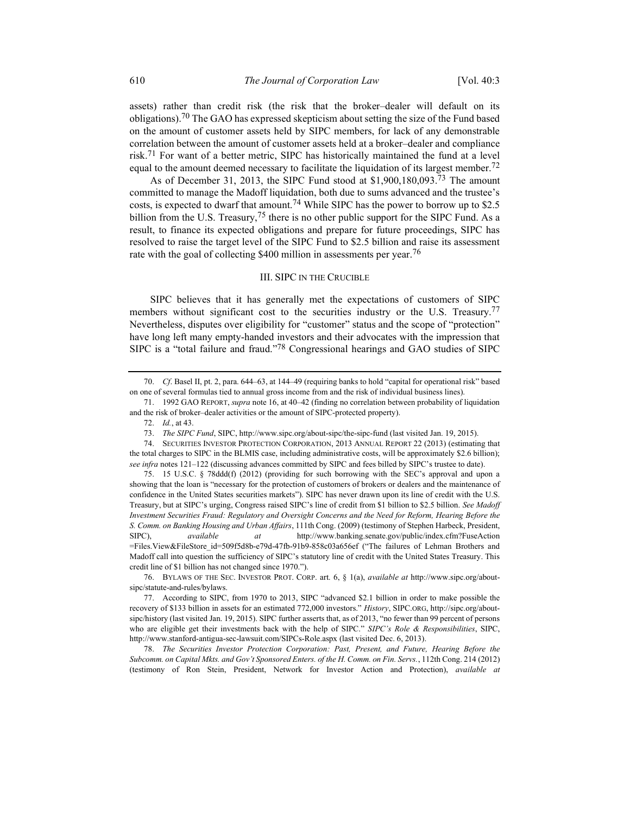assets) rather than credit risk (the risk that the broker–dealer will default on its obligations).<sup>70</sup> The GAO has expressed skepticism about setting the size of the Fund based on the amount of customer assets held by SIPC members, for lack of any demonstrable correlation between the amount of customer assets held at a broker–dealer and compliance risk.71 For want of a better metric, SIPC has historically maintained the fund at a level equal to the amount deemed necessary to facilitate the liquidation of its largest member.<sup>72</sup>

As of December 31, 2013, the SIPC Fund stood at \$1,900,180,093.73 The amount committed to manage the Madoff liquidation, both due to sums advanced and the trustee's costs, is expected to dwarf that amount.<sup>74</sup> While SIPC has the power to borrow up to \$2.5 billion from the U.S. Treasury,  $75$  there is no other public support for the SIPC Fund. As a result, to finance its expected obligations and prepare for future proceedings, SIPC has resolved to raise the target level of the SIPC Fund to \$2.5 billion and raise its assessment rate with the goal of collecting \$400 million in assessments per year.<sup>76</sup>

# III. SIPC IN THE CRUCIBLE

SIPC believes that it has generally met the expectations of customers of SIPC members without significant cost to the securities industry or the U.S. Treasury.<sup>77</sup> Nevertheless, disputes over eligibility for "customer" status and the scope of "protection" have long left many empty-handed investors and their advocates with the impression that SIPC is a "total failure and fraud."78 Congressional hearings and GAO studies of SIPC

73. The SIPC Fund, SIPC, http://www.sipc.org/about-sipc/the-sipc-fund (last visited Jan. 19, 2015).

 78. The Securities Investor Protection Corporation: Past, Present, and Future, Hearing Before the Subcomm. on Capital Mkts. and Gov't Sponsored Enters. of the H. Comm. on Fin. Servs., 112th Cong. 214 (2012) (testimony of Ron Stein, President, Network for Investor Action and Protection), available at

 <sup>70.</sup> Cf. Basel II, pt. 2, para. 644–63, at 144–49 (requiring banks to hold "capital for operational risk" based on one of several formulas tied to annual gross income from and the risk of individual business lines).

 <sup>71. 1992</sup> GAO REPORT, supra note 16, at 40–42 (finding no correlation between probability of liquidation and the risk of broker–dealer activities or the amount of SIPC-protected property).

 <sup>72.</sup> Id., at 43.

 <sup>74.</sup> SECURITIES INVESTOR PROTECTION CORPORATION, 2013 ANNUAL REPORT 22 (2013) (estimating that the total charges to SIPC in the BLMIS case, including administrative costs, will be approximately \$2.6 billion); see infra notes 121-122 (discussing advances committed by SIPC and fees billed by SIPC's trustee to date).

 <sup>75. 15</sup> U.S.C. § 78ddd(f) (2012) (providing for such borrowing with the SEC's approval and upon a showing that the loan is "necessary for the protection of customers of brokers or dealers and the maintenance of confidence in the United States securities markets"). SIPC has never drawn upon its line of credit with the U.S. Treasury, but at SIPC's urging, Congress raised SIPC's line of credit from \$1 billion to \$2.5 billion. See Madoff Investment Securities Fraud: Regulatory and Oversight Concerns and the Need for Reform, Hearing Before the S. Comm. on Banking Housing and Urban Affairs, 111th Cong. (2009) (testimony of Stephen Harbeck, President, SIPC), available at http://www.banking.senate.gov/public/index.cfm?FuseAction =Files.View&FileStore\_id=509f5d8b-e79d-47fb-91b9-858c03a656ef ("The failures of Lehman Brothers and Madoff call into question the sufficiency of SIPC's statutory line of credit with the United States Treasury. This credit line of \$1 billion has not changed since 1970.").

 <sup>76.</sup> BYLAWS OF THE SEC. INVESTOR PROT. CORP. art. 6, § 1(a), available at http://www.sipc.org/aboutsipc/statute-and-rules/bylaws.

 <sup>77.</sup> According to SIPC, from 1970 to 2013, SIPC "advanced \$2.1 billion in order to make possible the recovery of \$133 billion in assets for an estimated 772,000 investors." History, SIPC.ORG, http://sipc.org/aboutsipc/history (last visited Jan. 19, 2015). SIPC further asserts that, as of 2013, "no fewer than 99 percent of persons who are eligible get their investments back with the help of SIPC." SIPC's Role & Responsibilities, SIPC, http://www.stanford-antigua-sec-lawsuit.com/SIPCs-Role.aspx (last visited Dec. 6, 2013).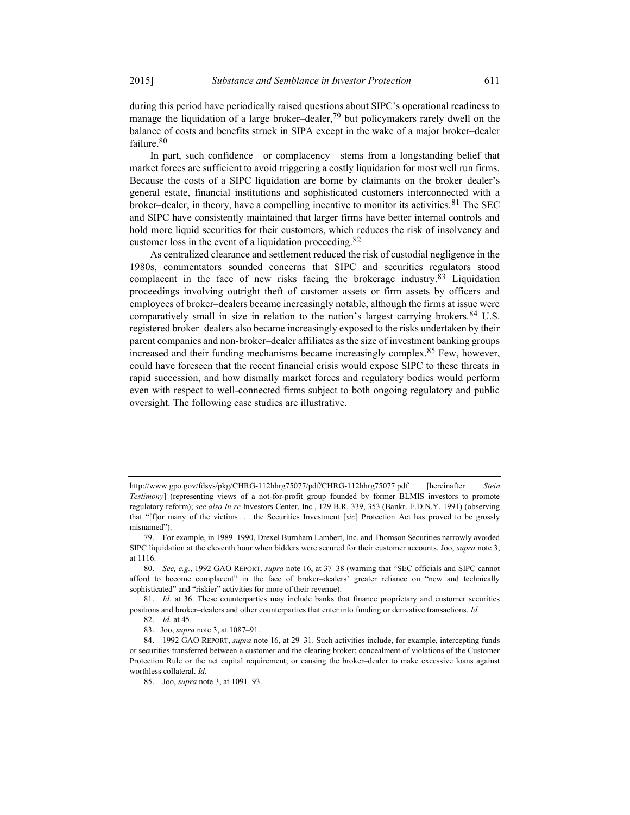during this period have periodically raised questions about SIPC's operational readiness to manage the liquidation of a large broker–dealer,<sup>79</sup> but policymakers rarely dwell on the balance of costs and benefits struck in SIPA except in the wake of a major broker–dealer failure.<sup>80</sup>

In part, such confidence—or complacency—stems from a longstanding belief that market forces are sufficient to avoid triggering a costly liquidation for most well run firms. Because the costs of a SIPC liquidation are borne by claimants on the broker–dealer's general estate, financial institutions and sophisticated customers interconnected with a broker–dealer, in theory, have a compelling incentive to monitor its activities.<sup>81</sup> The SEC and SIPC have consistently maintained that larger firms have better internal controls and hold more liquid securities for their customers, which reduces the risk of insolvency and customer loss in the event of a liquidation proceeding.82

As centralized clearance and settlement reduced the risk of custodial negligence in the 1980s, commentators sounded concerns that SIPC and securities regulators stood complacent in the face of new risks facing the brokerage industry.83 Liquidation proceedings involving outright theft of customer assets or firm assets by officers and employees of broker–dealers became increasingly notable, although the firms at issue were comparatively small in size in relation to the nation's largest carrying brokers.<sup>84</sup> U.S. registered broker–dealers also became increasingly exposed to the risks undertaken by their parent companies and non-broker–dealer affiliates as the size of investment banking groups increased and their funding mechanisms became increasingly complex.85 Few, however, could have foreseen that the recent financial crisis would expose SIPC to these threats in rapid succession, and how dismally market forces and regulatory bodies would perform even with respect to well-connected firms subject to both ongoing regulatory and public oversight. The following case studies are illustrative.

http://www.gpo.gov/fdsys/pkg/CHRG-112hhrg75077/pdf/CHRG-112hhrg75077.pdf [hereinafter Stein Testimony] (representing views of a not-for-profit group founded by former BLMIS investors to promote regulatory reform); see also In re Investors Center, Inc., 129 B.R. 339, 353 (Bankr. E.D.N.Y. 1991) (observing that "[f]or many of the victims . . . the Securities Investment [sic] Protection Act has proved to be grossly misnamed").

 <sup>79.</sup> For example, in 1989–1990, Drexel Burnham Lambert, Inc. and Thomson Securities narrowly avoided SIPC liquidation at the eleventh hour when bidders were secured for their customer accounts. Joo, supra note 3, at 1116.

 <sup>80.</sup> See, e.g., 1992 GAO REPORT, supra note 16, at 37–38 (warning that "SEC officials and SIPC cannot afford to become complacent" in the face of broker–dealers' greater reliance on "new and technically sophisticated" and "riskier" activities for more of their revenue).

<sup>81.</sup> Id. at 36. These counterparties may include banks that finance proprietary and customer securities positions and broker–dealers and other counterparties that enter into funding or derivative transactions. Id.

 <sup>82.</sup> Id. at 45.

 <sup>83.</sup> Joo, supra note 3, at 1087–91.

<sup>84. 1992</sup> GAO REPORT, *supra* note 16, at 29–31. Such activities include, for example, intercepting funds or securities transferred between a customer and the clearing broker; concealment of violations of the Customer Protection Rule or the net capital requirement; or causing the broker–dealer to make excessive loans against worthless collateral. Id.

 <sup>85.</sup> Joo, supra note 3, at 1091–93.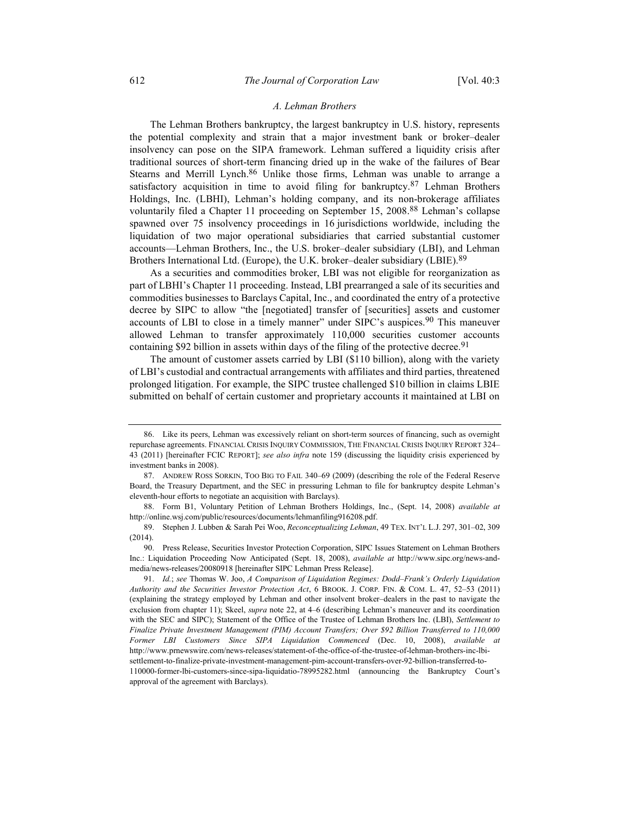### A. Lehman Brothers

The Lehman Brothers bankruptcy, the largest bankruptcy in U.S. history, represents the potential complexity and strain that a major investment bank or broker–dealer insolvency can pose on the SIPA framework. Lehman suffered a liquidity crisis after traditional sources of short-term financing dried up in the wake of the failures of Bear Stearns and Merrill Lynch.<sup>86</sup> Unlike those firms, Lehman was unable to arrange a satisfactory acquisition in time to avoid filing for bankruptcy.87 Lehman Brothers Holdings, Inc. (LBHI), Lehman's holding company, and its non-brokerage affiliates voluntarily filed a Chapter 11 proceeding on September 15, 2008.88 Lehman's collapse spawned over 75 insolvency proceedings in 16 jurisdictions worldwide, including the liquidation of two major operational subsidiaries that carried substantial customer accounts—Lehman Brothers, Inc., the U.S. broker–dealer subsidiary (LBI), and Lehman Brothers International Ltd. (Europe), the U.K. broker–dealer subsidiary (LBIE).<sup>89</sup>

As a securities and commodities broker, LBI was not eligible for reorganization as part of LBHI's Chapter 11 proceeding. Instead, LBI prearranged a sale of its securities and commodities businesses to Barclays Capital, Inc., and coordinated the entry of a protective decree by SIPC to allow "the [negotiated] transfer of [securities] assets and customer accounts of LBI to close in a timely manner" under SIPC's auspices.<sup>90</sup> This maneuver allowed Lehman to transfer approximately 110,000 securities customer accounts containing \$92 billion in assets within days of the filing of the protective decree.<sup>91</sup>

The amount of customer assets carried by LBI (\$110 billion), along with the variety of LBI's custodial and contractual arrangements with affiliates and third parties, threatened prolonged litigation. For example, the SIPC trustee challenged \$10 billion in claims LBIE submitted on behalf of certain customer and proprietary accounts it maintained at LBI on

 <sup>86.</sup> Like its peers, Lehman was excessively reliant on short-term sources of financing, such as overnight repurchase agreements. FINANCIAL CRISIS INQUIRY COMMISSION, THE FINANCIAL CRISIS INQUIRY REPORT 324– 43 (2011) [hereinafter FCIC REPORT]; see also infra note 159 (discussing the liquidity crisis experienced by investment banks in 2008).

 <sup>87.</sup> ANDREW ROSS SORKIN, TOO BIG TO FAIL 340–69 (2009) (describing the role of the Federal Reserve Board, the Treasury Department, and the SEC in pressuring Lehman to file for bankruptcy despite Lehman's eleventh-hour efforts to negotiate an acquisition with Barclays).

 <sup>88.</sup> Form B1, Voluntary Petition of Lehman Brothers Holdings, Inc., (Sept. 14, 2008) available at http://online.wsj.com/public/resources/documents/lehmanfiling916208.pdf.

 <sup>89.</sup> Stephen J. Lubben & Sarah Pei Woo, Reconceptualizing Lehman, 49 TEX. INT'L L.J. 297, 301–02, 309 (2014).

 <sup>90.</sup> Press Release, Securities Investor Protection Corporation, SIPC Issues Statement on Lehman Brothers Inc.: Liquidation Proceeding Now Anticipated (Sept. 18, 2008), available at http://www.sipc.org/news-andmedia/news-releases/20080918 [hereinafter SIPC Lehman Press Release].

 <sup>91.</sup> Id.; see Thomas W. Joo, A Comparison of Liquidation Regimes: Dodd–Frank's Orderly Liquidation Authority and the Securities Investor Protection Act, 6 BROOK. J. CORP. FIN. & COM. L. 47, 52–53 (2011) (explaining the strategy employed by Lehman and other insolvent broker–dealers in the past to navigate the exclusion from chapter 11); Skeel, *supra* note 22, at 4–6 (describing Lehman's maneuver and its coordination with the SEC and SIPC); Statement of the Office of the Trustee of Lehman Brothers Inc. (LBI), Settlement to Finalize Private Investment Management (PIM) Account Transfers; Over \$92 Billion Transferred to 110,000 Former LBI Customers Since SIPA Liquidation Commenced (Dec. 10, 2008), available at http://www.prnewswire.com/news-releases/statement-of-the-office-of-the-trustee-of-lehman-brothers-inc-lbisettlement-to-finalize-private-investment-management-pim-account-transfers-over-92-billion-transferred-to-

<sup>110000-</sup>former-lbi-customers-since-sipa-liquidatio-78995282.html (announcing the Bankruptcy Court's approval of the agreement with Barclays).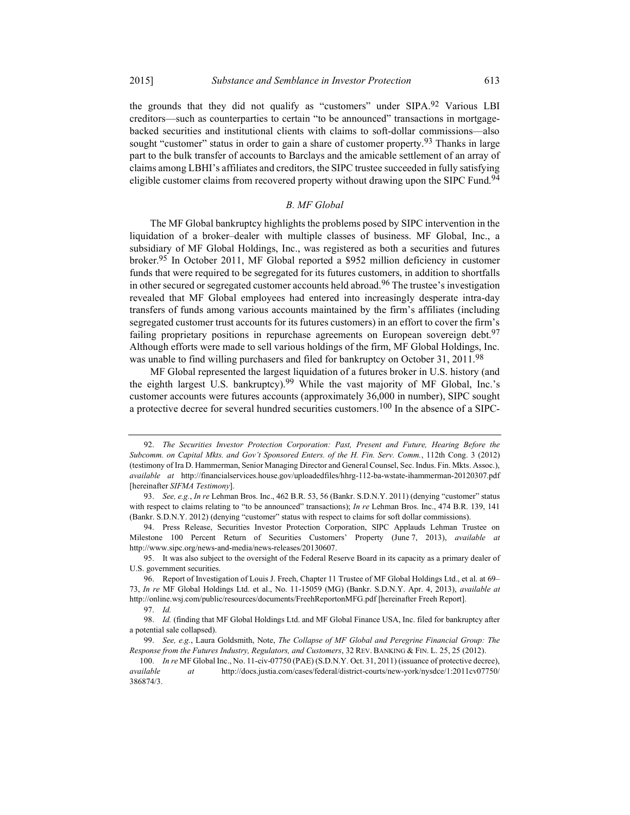the grounds that they did not qualify as "customers" under  $SIPA$ .<sup>92</sup> Various LBI creditors—such as counterparties to certain "to be announced" transactions in mortgagebacked securities and institutional clients with claims to soft-dollar commissions—also sought "customer" status in order to gain a share of customer property.<sup>93</sup> Thanks in large part to the bulk transfer of accounts to Barclays and the amicable settlement of an array of claims among LBHI's affiliates and creditors, the SIPC trustee succeeded in fully satisfying eligible customer claims from recovered property without drawing upon the SIPC Fund.<sup>94</sup>

# B. MF Global

The MF Global bankruptcy highlights the problems posed by SIPC intervention in the liquidation of a broker–dealer with multiple classes of business. MF Global, Inc., a subsidiary of MF Global Holdings, Inc., was registered as both a securities and futures broker.95 In October 2011, MF Global reported a \$952 million deficiency in customer funds that were required to be segregated for its futures customers, in addition to shortfalls in other secured or segregated customer accounts held abroad.<sup>96</sup> The trustee's investigation revealed that MF Global employees had entered into increasingly desperate intra-day transfers of funds among various accounts maintained by the firm's affiliates (including segregated customer trust accounts for its futures customers) in an effort to cover the firm's failing proprietary positions in repurchase agreements on European sovereign debt.<sup>97</sup> Although efforts were made to sell various holdings of the firm, MF Global Holdings, Inc. was unable to find willing purchasers and filed for bankruptcy on October 31, 2011.<sup>98</sup>

MF Global represented the largest liquidation of a futures broker in U.S. history (and the eighth largest U.S. bankruptcy).<sup>99</sup> While the vast majority of MF Global, Inc.'s customer accounts were futures accounts (approximately 36,000 in number), SIPC sought a protective decree for several hundred securities customers.<sup>100</sup> In the absence of a SIPC-

 <sup>92.</sup> The Securities Investor Protection Corporation: Past, Present and Future, Hearing Before the Subcomm. on Capital Mkts. and Gov't Sponsored Enters. of the H. Fin. Serv. Comm., 112th Cong. 3 (2012) (testimony of Ira D. Hammerman, Senior Managing Director and General Counsel, Sec. Indus. Fin. Mkts. Assoc.), available at http://financialservices.house.gov/uploadedfiles/hhrg-112-ba-wstate-ihammerman-20120307.pdf [hereinafter SIFMA Testimony].

<sup>93.</sup> See, e.g., In re Lehman Bros. Inc., 462 B.R. 53, 56 (Bankr. S.D.N.Y. 2011) (denying "customer" status with respect to claims relating to "to be announced" transactions); In re Lehman Bros. Inc., 474 B.R. 139, 141 (Bankr. S.D.N.Y. 2012) (denying "customer" status with respect to claims for soft dollar commissions).

 <sup>94.</sup> Press Release, Securities Investor Protection Corporation, SIPC Applauds Lehman Trustee on Milestone 100 Percent Return of Securities Customers' Property (June 7, 2013), available at http://www.sipc.org/news-and-media/news-releases/20130607.

 <sup>95.</sup> It was also subject to the oversight of the Federal Reserve Board in its capacity as a primary dealer of U.S. government securities.

 <sup>96.</sup> Report of Investigation of Louis J. Freeh, Chapter 11 Trustee of MF Global Holdings Ltd., et al. at 69– 73, In re MF Global Holdings Ltd. et al., No. 11-15059 (MG) (Bankr. S.D.N.Y. Apr. 4, 2013), available at http://online.wsj.com/public/resources/documents/FreehReportonMFG.pdf [hereinafter Freeh Report].

 <sup>97.</sup> Id.

 <sup>98.</sup> Id. (finding that MF Global Holdings Ltd. and MF Global Finance USA, Inc. filed for bankruptcy after a potential sale collapsed).

<sup>99.</sup> See, e.g., Laura Goldsmith, Note, The Collapse of MF Global and Peregrine Financial Group: The Response from the Futures Industry, Regulators, and Customers, 32 REV. BANKING & FIN. L. 25, 25 (2012).

<sup>100.</sup> In re MF Global Inc., No. 11-civ-07750 (PAE) (S.D.N.Y. Oct. 31, 2011) (issuance of protective decree), available at http://docs.justia.com/cases/federal/district-courts/new-york/nysdce/1:2011cv07750/ 386874/3.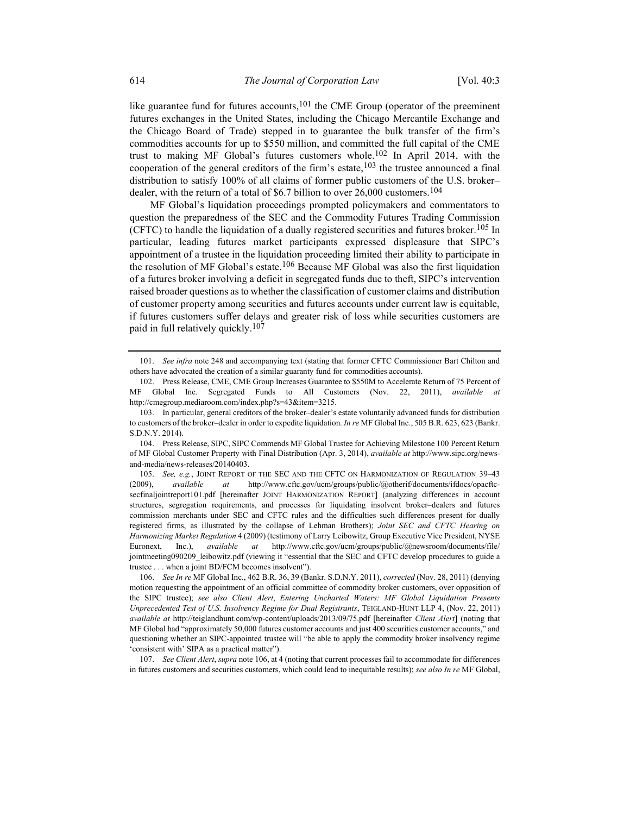like guarantee fund for futures accounts,<sup>101</sup> the CME Group (operator of the preeminent futures exchanges in the United States, including the Chicago Mercantile Exchange and the Chicago Board of Trade) stepped in to guarantee the bulk transfer of the firm's commodities accounts for up to \$550 million, and committed the full capital of the CME trust to making MF Global's futures customers whole.102 In April 2014, with the cooperation of the general creditors of the firm's estate,  $103$  the trustee announced a final distribution to satisfy 100% of all claims of former public customers of the U.S. broker– dealer, with the return of a total of \$6.7 billion to over  $26,000$  customers.<sup>104</sup>

MF Global's liquidation proceedings prompted policymakers and commentators to question the preparedness of the SEC and the Commodity Futures Trading Commission (CFTC) to handle the liquidation of a dually registered securities and futures broker.<sup>105</sup> In particular, leading futures market participants expressed displeasure that SIPC's appointment of a trustee in the liquidation proceeding limited their ability to participate in the resolution of MF Global's estate.<sup>106</sup> Because MF Global was also the first liquidation of a futures broker involving a deficit in segregated funds due to theft, SIPC's intervention raised broader questions as to whether the classification of customer claims and distribution of customer property among securities and futures accounts under current law is equitable, if futures customers suffer delays and greater risk of loss while securities customers are paid in full relatively quickly.107

<sup>101.</sup> See infra note 248 and accompanying text (stating that former CFTC Commissioner Bart Chilton and others have advocated the creation of a similar guaranty fund for commodities accounts).

 <sup>102.</sup> Press Release, CME, CME Group Increases Guarantee to \$550M to Accelerate Return of 75 Percent of MF Global Inc. Segregated Funds to All Customers (Nov. 22, 2011), available at http://cmegroup.mediaroom.com/index.php?s=43&item=3215.

 <sup>103.</sup> In particular, general creditors of the broker–dealer's estate voluntarily advanced funds for distribution to customers of the broker–dealer in order to expedite liquidation. In re MF Global Inc., 505 B.R. 623, 623 (Bankr. S.D.N.Y. 2014).

 <sup>104.</sup> Press Release, SIPC, SIPC Commends MF Global Trustee for Achieving Milestone 100 Percent Return of MF Global Customer Property with Final Distribution (Apr. 3, 2014), available at http://www.sipc.org/newsand-media/news-releases/20140403.

<sup>105.</sup> See, e.g., JOINT REPORT OF THE SEC AND THE CFTC ON HARMONIZATION OF REGULATION 39-43 (2009), available at http://www.cftc.gov/ucm/groups/public/@otherif/documents/ifdocs/opacftcsecfinaljointreport101.pdf [hereinafter JOINT HARMONIZATION REPORT] (analyzing differences in account structures, segregation requirements, and processes for liquidating insolvent broker–dealers and futures commission merchants under SEC and CFTC rules and the difficulties such differences present for dually registered firms, as illustrated by the collapse of Lehman Brothers); Joint SEC and CFTC Hearing on Harmonizing Market Regulation 4 (2009) (testimony of Larry Leibowitz, Group Executive Vice President, NYSE Euronext, Inc.), *available at* http://www.cftc.gov/ucm/groups/public/@newsroom/documents/file/ jointmeeting090209\_leibowitz.pdf (viewing it "essential that the SEC and CFTC develop procedures to guide a trustee . . . when a joint BD/FCM becomes insolvent").

 <sup>106.</sup> See In re MF Global Inc., 462 B.R. 36, 39 (Bankr. S.D.N.Y. 2011), corrected (Nov. 28, 2011) (denying motion requesting the appointment of an official committee of commodity broker customers, over opposition of the SIPC trustee); see also Client Alert, Entering Uncharted Waters: MF Global Liquidation Presents Unprecedented Test of U.S. Insolvency Regime for Dual Registrants, TEIGLAND-HUNT LLP 4, (Nov. 22, 2011) available at http://teiglandhunt.com/wp-content/uploads/2013/09/75.pdf [hereinafter Client Alert] (noting that MF Global had "approximately 50,000 futures customer accounts and just 400 securities customer accounts," and questioning whether an SIPC-appointed trustee will "be able to apply the commodity broker insolvency regime 'consistent with' SIPA as a practical matter").

<sup>107.</sup> See Client Alert, supra note 106, at 4 (noting that current processes fail to accommodate for differences in futures customers and securities customers, which could lead to inequitable results); see also In re MF Global,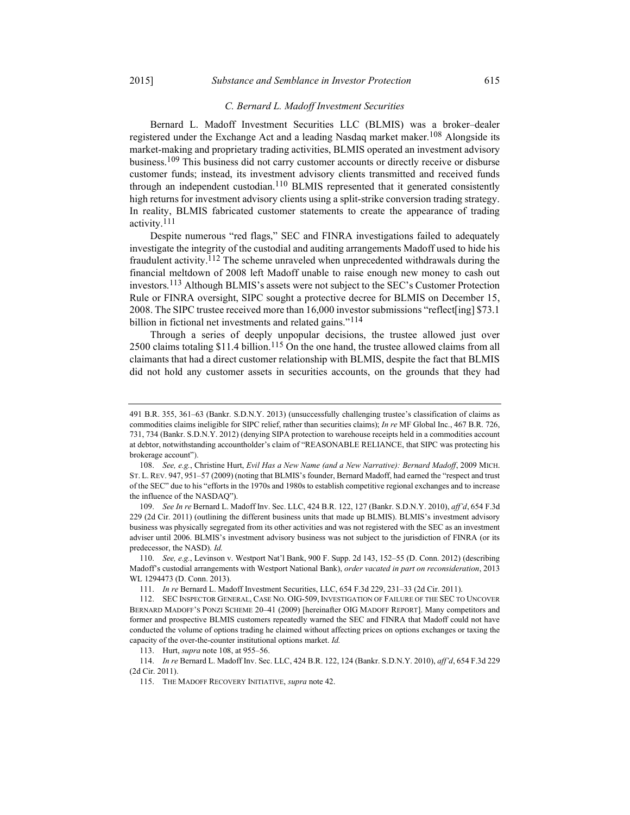### C. Bernard L. Madoff Investment Securities

Bernard L. Madoff Investment Securities LLC (BLMIS) was a broker–dealer registered under the Exchange Act and a leading Nasdaq market maker.<sup>108</sup> Alongside its market-making and proprietary trading activities, BLMIS operated an investment advisory business.<sup>109</sup> This business did not carry customer accounts or directly receive or disburse customer funds; instead, its investment advisory clients transmitted and received funds through an independent custodian.<sup>110</sup> BLMIS represented that it generated consistently high returns for investment advisory clients using a split-strike conversion trading strategy. In reality, BLMIS fabricated customer statements to create the appearance of trading activity.111

Despite numerous "red flags," SEC and FINRA investigations failed to adequately investigate the integrity of the custodial and auditing arrangements Madoff used to hide his fraudulent activity.112 The scheme unraveled when unprecedented withdrawals during the financial meltdown of 2008 left Madoff unable to raise enough new money to cash out investors.113 Although BLMIS's assets were not subject to the SEC's Customer Protection Rule or FINRA oversight, SIPC sought a protective decree for BLMIS on December 15, 2008. The SIPC trustee received more than 16,000 investor submissions "reflect[ing] \$73.1 billion in fictional net investments and related gains."<sup>114</sup>

Through a series of deeply unpopular decisions, the trustee allowed just over 2500 claims totaling  $$11.4$  billion.<sup>115</sup> On the one hand, the trustee allowed claims from all claimants that had a direct customer relationship with BLMIS, despite the fact that BLMIS did not hold any customer assets in securities accounts, on the grounds that they had

<sup>491</sup> B.R. 355, 361–63 (Bankr. S.D.N.Y. 2013) (unsuccessfully challenging trustee's classification of claims as commodities claims ineligible for SIPC relief, rather than securities claims); In re MF Global Inc., 467 B.R. 726, 731, 734 (Bankr. S.D.N.Y. 2012) (denying SIPA protection to warehouse receipts held in a commodities account at debtor, notwithstanding accountholder's claim of "REASONABLE RELIANCE, that SIPC was protecting his brokerage account").

 <sup>108.</sup> See, e.g., Christine Hurt, Evil Has a New Name (and a New Narrative): Bernard Madoff, 2009 MICH. ST. L. REV. 947, 951–57 (2009) (noting that BLMIS's founder, Bernard Madoff, had earned the "respect and trust of the SEC" due to his "efforts in the 1970s and 1980s to establish competitive regional exchanges and to increase the influence of the NASDAQ").

 <sup>109.</sup> See In re Bernard L. Madoff Inv. Sec. LLC, 424 B.R. 122, 127 (Bankr. S.D.N.Y. 2010), aff'd, 654 F.3d 229 (2d Cir. 2011) (outlining the different business units that made up BLMIS). BLMIS's investment advisory business was physically segregated from its other activities and was not registered with the SEC as an investment adviser until 2006. BLMIS's investment advisory business was not subject to the jurisdiction of FINRA (or its predecessor, the NASD). Id.

 <sup>110.</sup> See, e.g., Levinson v. Westport Nat'l Bank, 900 F. Supp. 2d 143, 152–55 (D. Conn. 2012) (describing Madoff's custodial arrangements with Westport National Bank), order vacated in part on reconsideration, 2013 WL 1294473 (D. Conn. 2013).

 <sup>111.</sup> In re Bernard L. Madoff Investment Securities, LLC, 654 F.3d 229, 231–33 (2d Cir. 2011).

 <sup>112.</sup> SEC INSPECTOR GENERAL, CASE NO. OIG-509, INVESTIGATION OF FAILURE OF THE SEC TO UNCOVER BERNARD MADOFF'S PONZI SCHEME 20–41 (2009) [hereinafter OIG MADOFF REPORT]. Many competitors and former and prospective BLMIS customers repeatedly warned the SEC and FINRA that Madoff could not have conducted the volume of options trading he claimed without affecting prices on options exchanges or taxing the capacity of the over-the-counter institutional options market. Id.

<sup>113.</sup> Hurt, *supra* note 108, at 955–56.

 <sup>114.</sup> In re Bernard L. Madoff Inv. Sec. LLC, 424 B.R. 122, 124 (Bankr. S.D.N.Y. 2010), aff'd, 654 F.3d 229 (2d Cir. 2011).

<sup>115.</sup> THE MADOFF RECOVERY INITIATIVE, supra note 42.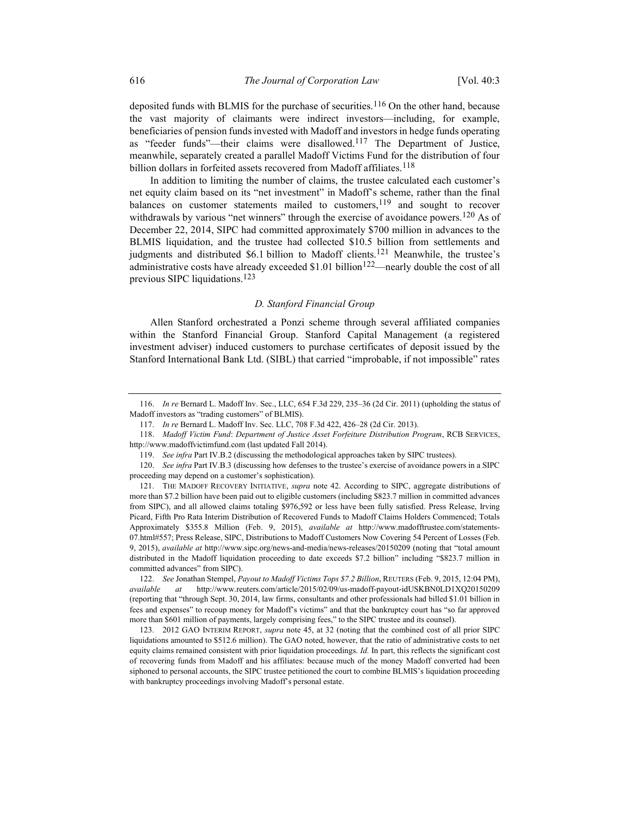deposited funds with BLMIS for the purchase of securities.<sup>116</sup> On the other hand, because the vast majority of claimants were indirect investors—including, for example, beneficiaries of pension funds invested with Madoff and investors in hedge funds operating as "feeder funds"—their claims were disallowed.117 The Department of Justice, meanwhile, separately created a parallel Madoff Victims Fund for the distribution of four billion dollars in forfeited assets recovered from Madoff affiliates.<sup>118</sup>

In addition to limiting the number of claims, the trustee calculated each customer's net equity claim based on its "net investment" in Madoff's scheme, rather than the final balances on customer statements mailed to customers,  $119$  and sought to recover withdrawals by various "net winners" through the exercise of avoidance powers.<sup>120</sup> As of December 22, 2014, SIPC had committed approximately \$700 million in advances to the BLMIS liquidation, and the trustee had collected \$10.5 billion from settlements and judgments and distributed \$6.1 billion to Madoff clients.<sup>121</sup> Meanwhile, the trustee's administrative costs have already exceeded  $$1.01$  billion<sup>122</sup>—nearly double the cost of all previous SIPC liquidations.<sup>123</sup>

### D. Stanford Financial Group

Allen Stanford orchestrated a Ponzi scheme through several affiliated companies within the Stanford Financial Group. Stanford Capital Management (a registered investment adviser) induced customers to purchase certificates of deposit issued by the Stanford International Bank Ltd. (SIBL) that carried "improbable, if not impossible" rates

 <sup>116.</sup> In re Bernard L. Madoff Inv. Sec., LLC, 654 F.3d 229, 235–36 (2d Cir. 2011) (upholding the status of Madoff investors as "trading customers" of BLMIS).

 <sup>117.</sup> In re Bernard L. Madoff Inv. Sec. LLC, 708 F.3d 422, 426–28 (2d Cir. 2013).

 <sup>118.</sup> Madoff Victim Fund: Department of Justice Asset Forfeiture Distribution Program, RCB SERVICES, http://www.madoffvictimfund.com (last updated Fall 2014).

 <sup>119.</sup> See infra Part IV.B.2 (discussing the methodological approaches taken by SIPC trustees).

 <sup>120.</sup> See infra Part IV.B.3 (discussing how defenses to the trustee's exercise of avoidance powers in a SIPC proceeding may depend on a customer's sophistication).

<sup>121.</sup> THE MADOFF RECOVERY INITIATIVE, *supra* note 42. According to SIPC, aggregate distributions of more than \$7.2 billion have been paid out to eligible customers (including \$823.7 million in committed advances from SIPC), and all allowed claims totaling \$976,592 or less have been fully satisfied. Press Release, Irving Picard, Fifth Pro Rata Interim Distribution of Recovered Funds to Madoff Claims Holders Commenced; Totals Approximately \$355.8 Million (Feb. 9, 2015), available at http://www.madofftrustee.com/statements-07.html#557; Press Release, SIPC, Distributions to Madoff Customers Now Covering 54 Percent of Losses (Feb. 9, 2015), available at http://www.sipc.org/news-and-media/news-releases/20150209 (noting that "total amount distributed in the Madoff liquidation proceeding to date exceeds \$7.2 billion" including "\$823.7 million in committed advances" from SIPC).

<sup>122.</sup> See Jonathan Stempel, Payout to Madoff Victims Tops \$7.2 Billion, REUTERS (Feb. 9, 2015, 12:04 PM), available at http://www.reuters.com/article/2015/02/09/us-madoff-payout-idUSKBN0LD1XQ20150209 (reporting that "through Sept. 30, 2014, law firms, consultants and other professionals had billed \$1.01 billion in fees and expenses" to recoup money for Madoff's victims" and that the bankruptcy court has "so far approved more than \$601 million of payments, largely comprising fees," to the SIPC trustee and its counsel).

 <sup>123. 2012</sup> GAO INTERIM REPORT, supra note 45, at 32 (noting that the combined cost of all prior SIPC liquidations amounted to \$512.6 million). The GAO noted, however, that the ratio of administrative costs to net equity claims remained consistent with prior liquidation proceedings. Id. In part, this reflects the significant cost of recovering funds from Madoff and his affiliates: because much of the money Madoff converted had been siphoned to personal accounts, the SIPC trustee petitioned the court to combine BLMIS's liquidation proceeding with bankruptcy proceedings involving Madoff's personal estate.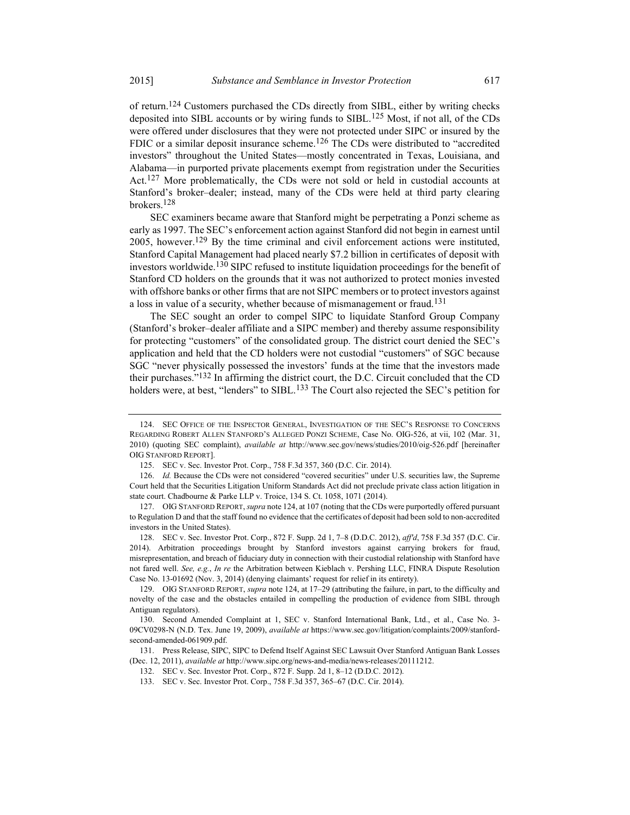of return.<sup>124</sup> Customers purchased the CDs directly from SIBL, either by writing checks deposited into SIBL accounts or by wiring funds to SIBL.125 Most, if not all, of the CDs were offered under disclosures that they were not protected under SIPC or insured by the FDIC or a similar deposit insurance scheme.<sup>126</sup> The CDs were distributed to "accredited investors" throughout the United States—mostly concentrated in Texas, Louisiana, and Alabama—in purported private placements exempt from registration under the Securities Act.127 More problematically, the CDs were not sold or held in custodial accounts at Stanford's broker–dealer; instead, many of the CDs were held at third party clearing brokers.128

SEC examiners became aware that Stanford might be perpetrating a Ponzi scheme as early as 1997. The SEC's enforcement action against Stanford did not begin in earnest until 2005, however.129 By the time criminal and civil enforcement actions were instituted, Stanford Capital Management had placed nearly \$7.2 billion in certificates of deposit with investors worldwide.<sup>130</sup> SIPC refused to institute liquidation proceedings for the benefit of Stanford CD holders on the grounds that it was not authorized to protect monies invested with offshore banks or other firms that are not SIPC members or to protect investors against a loss in value of a security, whether because of mismanagement or fraud.<sup>131</sup>

The SEC sought an order to compel SIPC to liquidate Stanford Group Company (Stanford's broker–dealer affiliate and a SIPC member) and thereby assume responsibility for protecting "customers" of the consolidated group. The district court denied the SEC's application and held that the CD holders were not custodial "customers" of SGC because SGC "never physically possessed the investors' funds at the time that the investors made their purchases."<sup>132</sup> In affirming the district court, the D.C. Circuit concluded that the CD holders were, at best, "lenders" to SIBL.<sup>133</sup> The Court also rejected the SEC's petition for

 <sup>124.</sup> SEC OFFICE OF THE INSPECTOR GENERAL, INVESTIGATION OF THE SEC'S RESPONSE TO CONCERNS REGARDING ROBERT ALLEN STANFORD'S ALLEGED PONZI SCHEME, Case No. OIG-526, at vii, 102 (Mar. 31, 2010) (quoting SEC complaint), available at http://www.sec.gov/news/studies/2010/oig-526.pdf [hereinafter OIG STANFORD REPORT].

 <sup>125.</sup> SEC v. Sec. Investor Prot. Corp., 758 F.3d 357, 360 (D.C. Cir. 2014).

 <sup>126.</sup> Id. Because the CDs were not considered "covered securities" under U.S. securities law, the Supreme Court held that the Securities Litigation Uniform Standards Act did not preclude private class action litigation in state court. Chadbourne & Parke LLP v. Troice, 134 S. Ct. 1058, 1071 (2014).

 <sup>127.</sup> OIG STANFORD REPORT, supra note 124, at 107 (noting that the CDs were purportedly offered pursuant to Regulation D and that the staff found no evidence that the certificates of deposit had been sold to non-accredited investors in the United States).

 <sup>128.</sup> SEC v. Sec. Investor Prot. Corp., 872 F. Supp. 2d 1, 7–8 (D.D.C. 2012), aff'd, 758 F.3d 357 (D.C. Cir. 2014). Arbitration proceedings brought by Stanford investors against carrying brokers for fraud, misrepresentation, and breach of fiduciary duty in connection with their custodial relationship with Stanford have not fared well. See, e.g., In re the Arbitration between Kieblach v. Pershing LLC, FINRA Dispute Resolution Case No. 13-01692 (Nov. 3, 2014) (denying claimants' request for relief in its entirety).

 <sup>129.</sup> OIG STANFORD REPORT, supra note 124, at 17–29 (attributing the failure, in part, to the difficulty and novelty of the case and the obstacles entailed in compelling the production of evidence from SIBL through Antiguan regulators).

 <sup>130.</sup> Second Amended Complaint at 1, SEC v. Stanford International Bank, Ltd., et al., Case No. 3- 09CV0298-N (N.D. Tex. June 19, 2009), *available at https://www.sec.gov/litigation/complaints/2009/stanford*second-amended-061909.pdf.

 <sup>131.</sup> Press Release, SIPC, SIPC to Defend Itself Against SEC Lawsuit Over Stanford Antiguan Bank Losses (Dec. 12, 2011), available at http://www.sipc.org/news-and-media/news-releases/20111212.

 <sup>132.</sup> SEC v. Sec. Investor Prot. Corp., 872 F. Supp. 2d 1, 8–12 (D.D.C. 2012).

 <sup>133.</sup> SEC v. Sec. Investor Prot. Corp., 758 F.3d 357, 365–67 (D.C. Cir. 2014).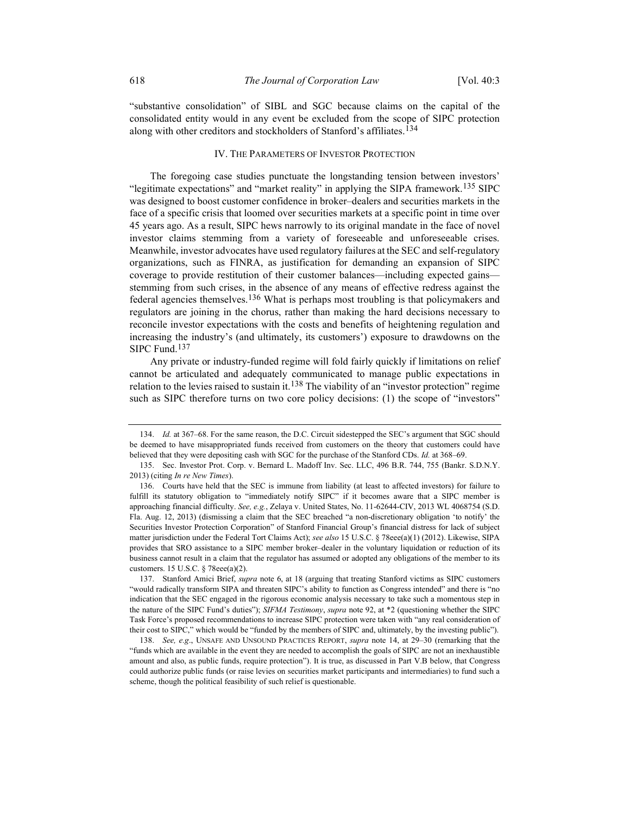"substantive consolidation" of SIBL and SGC because claims on the capital of the consolidated entity would in any event be excluded from the scope of SIPC protection along with other creditors and stockholders of Stanford's affiliates.<sup>134</sup>

### IV. THE PARAMETERS OF INVESTOR PROTECTION

The foregoing case studies punctuate the longstanding tension between investors' "legitimate expectations" and "market reality" in applying the SIPA framework.<sup>135</sup> SIPC was designed to boost customer confidence in broker–dealers and securities markets in the face of a specific crisis that loomed over securities markets at a specific point in time over 45 years ago. As a result, SIPC hews narrowly to its original mandate in the face of novel investor claims stemming from a variety of foreseeable and unforeseeable crises. Meanwhile, investor advocates have used regulatory failures at the SEC and self-regulatory organizations, such as FINRA, as justification for demanding an expansion of SIPC coverage to provide restitution of their customer balances—including expected gains stemming from such crises, in the absence of any means of effective redress against the federal agencies themselves.<sup>136</sup> What is perhaps most troubling is that policymakers and regulators are joining in the chorus, rather than making the hard decisions necessary to reconcile investor expectations with the costs and benefits of heightening regulation and increasing the industry's (and ultimately, its customers') exposure to drawdowns on the SIPC Fund.137

Any private or industry-funded regime will fold fairly quickly if limitations on relief cannot be articulated and adequately communicated to manage public expectations in relation to the levies raised to sustain it.<sup>138</sup> The viability of an "investor protection" regime such as SIPC therefore turns on two core policy decisions: (1) the scope of "investors"

 <sup>134.</sup> Id. at 367–68. For the same reason, the D.C. Circuit sidestepped the SEC's argument that SGC should be deemed to have misappropriated funds received from customers on the theory that customers could have believed that they were depositing cash with SGC for the purchase of the Stanford CDs. Id. at 368–69.

 <sup>135.</sup> Sec. Investor Prot. Corp. v. Bernard L. Madoff Inv. Sec. LLC, 496 B.R. 744, 755 (Bankr. S.D.N.Y. 2013) (citing In re New Times).

 <sup>136.</sup> Courts have held that the SEC is immune from liability (at least to affected investors) for failure to fulfill its statutory obligation to "immediately notify SIPC" if it becomes aware that a SIPC member is approaching financial difficulty. See, e.g., Zelaya v. United States, No. 11-62644-CIV, 2013 WL 4068754 (S.D. Fla. Aug. 12, 2013) (dismissing a claim that the SEC breached "a non-discretionary obligation 'to notify' the Securities Investor Protection Corporation" of Stanford Financial Group's financial distress for lack of subject matter jurisdiction under the Federal Tort Claims Act); see also 15 U.S.C. § 78eee(a)(1) (2012). Likewise, SIPA provides that SRO assistance to a SIPC member broker–dealer in the voluntary liquidation or reduction of its business cannot result in a claim that the regulator has assumed or adopted any obligations of the member to its customers. 15 U.S.C. § 78eee(a)(2).

<sup>137.</sup> Stanford Amici Brief, *supra* note 6, at 18 (arguing that treating Stanford victims as SIPC customers "would radically transform SIPA and threaten SIPC's ability to function as Congress intended" and there is "no indication that the SEC engaged in the rigorous economic analysis necessary to take such a momentous step in the nature of the SIPC Fund's duties"); SIFMA Testimony, supra note 92, at \*2 (questioning whether the SIPC Task Force's proposed recommendations to increase SIPC protection were taken with "any real consideration of their cost to SIPC," which would be "funded by the members of SIPC and, ultimately, by the investing public").

 <sup>138.</sup> See, e.g., UNSAFE AND UNSOUND PRACTICES REPORT, supra note 14, at 29–30 (remarking that the "funds which are available in the event they are needed to accomplish the goals of SIPC are not an inexhaustible amount and also, as public funds, require protection"). It is true, as discussed in Part V.B below, that Congress could authorize public funds (or raise levies on securities market participants and intermediaries) to fund such a scheme, though the political feasibility of such relief is questionable.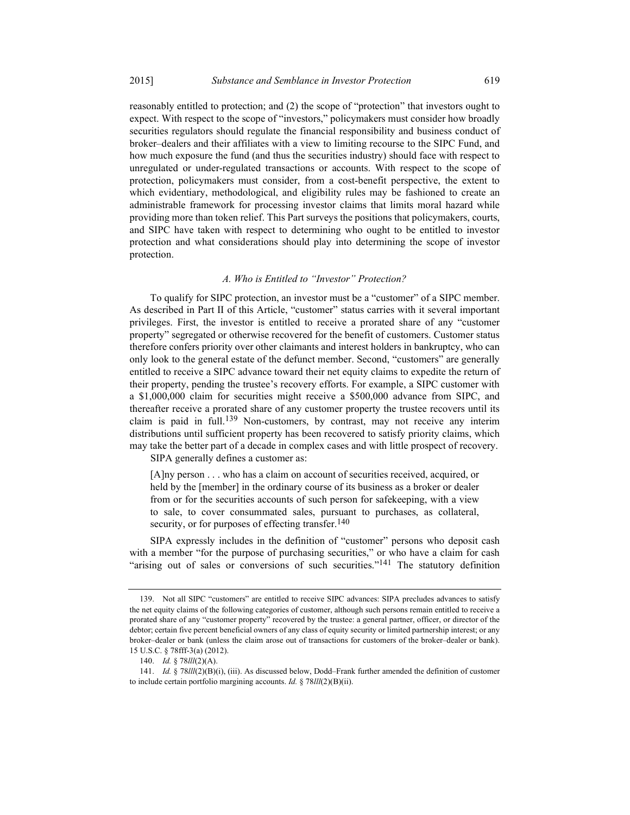reasonably entitled to protection; and (2) the scope of "protection" that investors ought to expect. With respect to the scope of "investors," policymakers must consider how broadly securities regulators should regulate the financial responsibility and business conduct of broker–dealers and their affiliates with a view to limiting recourse to the SIPC Fund, and how much exposure the fund (and thus the securities industry) should face with respect to unregulated or under-regulated transactions or accounts. With respect to the scope of protection, policymakers must consider, from a cost-benefit perspective, the extent to which evidentiary, methodological, and eligibility rules may be fashioned to create an administrable framework for processing investor claims that limits moral hazard while providing more than token relief. This Part surveys the positions that policymakers, courts, and SIPC have taken with respect to determining who ought to be entitled to investor protection and what considerations should play into determining the scope of investor protection.

### A. Who is Entitled to "Investor" Protection?

To qualify for SIPC protection, an investor must be a "customer" of a SIPC member. As described in Part II of this Article, "customer" status carries with it several important privileges. First, the investor is entitled to receive a prorated share of any "customer property" segregated or otherwise recovered for the benefit of customers. Customer status therefore confers priority over other claimants and interest holders in bankruptcy, who can only look to the general estate of the defunct member. Second, "customers" are generally entitled to receive a SIPC advance toward their net equity claims to expedite the return of their property, pending the trustee's recovery efforts. For example, a SIPC customer with a \$1,000,000 claim for securities might receive a \$500,000 advance from SIPC, and thereafter receive a prorated share of any customer property the trustee recovers until its claim is paid in full.<sup>139</sup> Non-customers, by contrast, may not receive any interim distributions until sufficient property has been recovered to satisfy priority claims, which may take the better part of a decade in complex cases and with little prospect of recovery.

SIPA generally defines a customer as:

[A]ny person . . . who has a claim on account of securities received, acquired, or held by the [member] in the ordinary course of its business as a broker or dealer from or for the securities accounts of such person for safekeeping, with a view to sale, to cover consummated sales, pursuant to purchases, as collateral, security, or for purposes of effecting transfer.  $140$ 

SIPA expressly includes in the definition of "customer" persons who deposit cash with a member "for the purpose of purchasing securities," or who have a claim for cash "arising out of sales or conversions of such securities."<sup>141</sup> The statutory definition

 <sup>139.</sup> Not all SIPC "customers" are entitled to receive SIPC advances: SIPA precludes advances to satisfy the net equity claims of the following categories of customer, although such persons remain entitled to receive a prorated share of any "customer property" recovered by the trustee: a general partner, officer, or director of the debtor; certain five percent beneficial owners of any class of equity security or limited partnership interest; or any broker–dealer or bank (unless the claim arose out of transactions for customers of the broker–dealer or bank). 15 U.S.C. § 78fff-3(a) (2012).

<sup>140.</sup> *Id.* § 78*lll*(2)(A).

 <sup>141.</sup> Id. § 78lll(2)(B)(i), (iii). As discussed below, Dodd–Frank further amended the definition of customer to include certain portfolio margining accounts. Id.  $\S 78$ III(2)(B)(ii).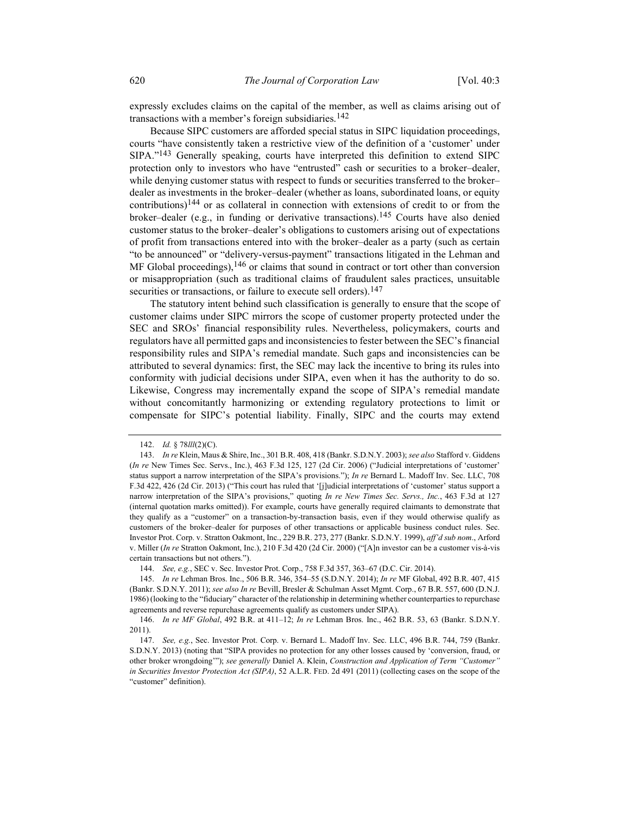expressly excludes claims on the capital of the member, as well as claims arising out of transactions with a member's foreign subsidiaries.<sup>142</sup>

Because SIPC customers are afforded special status in SIPC liquidation proceedings, courts "have consistently taken a restrictive view of the definition of a 'customer' under SIPA."143 Generally speaking, courts have interpreted this definition to extend SIPC protection only to investors who have "entrusted" cash or securities to a broker–dealer, while denying customer status with respect to funds or securities transferred to the broker– dealer as investments in the broker–dealer (whether as loans, subordinated loans, or equity contributions)<sup>144</sup> or as collateral in connection with extensions of credit to or from the broker–dealer (e.g., in funding or derivative transactions).<sup>145</sup> Courts have also denied customer status to the broker–dealer's obligations to customers arising out of expectations of profit from transactions entered into with the broker–dealer as a party (such as certain "to be announced" or "delivery-versus-payment" transactions litigated in the Lehman and MF Global proceedings),  $146$  or claims that sound in contract or tort other than conversion or misappropriation (such as traditional claims of fraudulent sales practices, unsuitable securities or transactions, or failure to execute sell orders).<sup>147</sup>

The statutory intent behind such classification is generally to ensure that the scope of customer claims under SIPC mirrors the scope of customer property protected under the SEC and SROs' financial responsibility rules. Nevertheless, policymakers, courts and regulators have all permitted gaps and inconsistencies to fester between the SEC's financial responsibility rules and SIPA's remedial mandate. Such gaps and inconsistencies can be attributed to several dynamics: first, the SEC may lack the incentive to bring its rules into conformity with judicial decisions under SIPA, even when it has the authority to do so. Likewise, Congress may incrementally expand the scope of SIPA's remedial mandate without concomitantly harmonizing or extending regulatory protections to limit or compensate for SIPC's potential liability. Finally, SIPC and the courts may extend

<sup>142.</sup> *Id.* § 78*lll*(2)(C).

 <sup>143.</sup> In re Klein, Maus & Shire, Inc., 301 B.R. 408, 418 (Bankr. S.D.N.Y. 2003); see also Stafford v. Giddens (In re New Times Sec. Servs., Inc.), 463 F.3d 125, 127 (2d Cir. 2006) ("Judicial interpretations of 'customer' status support a narrow interpretation of the SIPA's provisions."); In re Bernard L. Madoff Inv. Sec. LLC, 708 F.3d 422, 426 (2d Cir. 2013) ("This court has ruled that '[j]udicial interpretations of 'customer' status support a narrow interpretation of the SIPA's provisions," quoting In re New Times Sec. Servs., Inc., 463 F.3d at 127 (internal quotation marks omitted)). For example, courts have generally required claimants to demonstrate that they qualify as a "customer" on a transaction-by-transaction basis, even if they would otherwise qualify as customers of the broker–dealer for purposes of other transactions or applicable business conduct rules. Sec. Investor Prot. Corp. v. Stratton Oakmont, Inc., 229 B.R. 273, 277 (Bankr. S.D.N.Y. 1999), aff'd sub nom., Arford v. Miller (In re Stratton Oakmont, Inc.), 210 F.3d 420 (2d Cir. 2000) ("[A]n investor can be a customer vis-à-vis certain transactions but not others.").

 <sup>144.</sup> See, e.g., SEC v. Sec. Investor Prot. Corp., 758 F.3d 357, 363–67 (D.C. Cir. 2014).

 <sup>145.</sup> In re Lehman Bros. Inc., 506 B.R. 346, 354–55 (S.D.N.Y. 2014); In re MF Global, 492 B.R. 407, 415 (Bankr. S.D.N.Y. 2011); see also In re Bevill, Bresler & Schulman Asset Mgmt. Corp., 67 B.R. 557, 600 (D.N.J. 1986) (looking to the "fiduciary" character of the relationship in determining whether counterparties to repurchase agreements and reverse repurchase agreements qualify as customers under SIPA).

 <sup>146.</sup> In re MF Global, 492 B.R. at 411–12; In re Lehman Bros. Inc., 462 B.R. 53, 63 (Bankr. S.D.N.Y. 2011).

 <sup>147.</sup> See, e.g., Sec. Investor Prot. Corp. v. Bernard L. Madoff Inv. Sec. LLC, 496 B.R. 744, 759 (Bankr. S.D.N.Y. 2013) (noting that "SIPA provides no protection for any other losses caused by 'conversion, fraud, or other broker wrongdoing'"); see generally Daniel A. Klein, Construction and Application of Term "Customer" in Securities Investor Protection Act (SIPA), 52 A.L.R. FED. 2d 491 (2011) (collecting cases on the scope of the "customer" definition).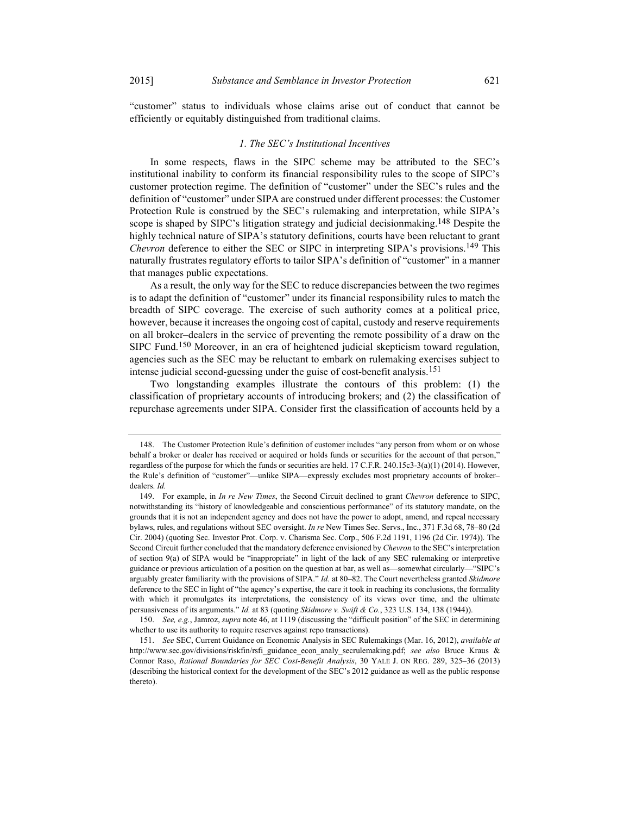"customer" status to individuals whose claims arise out of conduct that cannot be efficiently or equitably distinguished from traditional claims.

#### 1. The SEC's Institutional Incentives

In some respects, flaws in the SIPC scheme may be attributed to the SEC's institutional inability to conform its financial responsibility rules to the scope of SIPC's customer protection regime. The definition of "customer" under the SEC's rules and the definition of "customer" under SIPA are construed under different processes: the Customer Protection Rule is construed by the SEC's rulemaking and interpretation, while SIPA's scope is shaped by SIPC's litigation strategy and judicial decisionmaking.<sup>148</sup> Despite the highly technical nature of SIPA's statutory definitions, courts have been reluctant to grant Chevron deference to either the SEC or SIPC in interpreting SIPA's provisions.<sup>149</sup> This naturally frustrates regulatory efforts to tailor SIPA's definition of "customer" in a manner that manages public expectations.

As a result, the only way for the SEC to reduce discrepancies between the two regimes is to adapt the definition of "customer" under its financial responsibility rules to match the breadth of SIPC coverage. The exercise of such authority comes at a political price, however, because it increases the ongoing cost of capital, custody and reserve requirements on all broker–dealers in the service of preventing the remote possibility of a draw on the SIPC Fund.<sup>150</sup> Moreover, in an era of heightened judicial skepticism toward regulation, agencies such as the SEC may be reluctant to embark on rulemaking exercises subject to intense judicial second-guessing under the guise of cost-benefit analysis.<sup>151</sup>

Two longstanding examples illustrate the contours of this problem: (1) the classification of proprietary accounts of introducing brokers; and (2) the classification of repurchase agreements under SIPA. Consider first the classification of accounts held by a

 <sup>148.</sup> The Customer Protection Rule's definition of customer includes "any person from whom or on whose behalf a broker or dealer has received or acquired or holds funds or securities for the account of that person," regardless of the purpose for which the funds or securities are held. 17 C.F.R. 240.15c3-3(a)(1) (2014). However, the Rule's definition of "customer"—unlike SIPA—expressly excludes most proprietary accounts of broker– dealers. Id.

<sup>149.</sup> For example, in In re New Times, the Second Circuit declined to grant Chevron deference to SIPC, notwithstanding its "history of knowledgeable and conscientious performance" of its statutory mandate, on the grounds that it is not an independent agency and does not have the power to adopt, amend, and repeal necessary bylaws, rules, and regulations without SEC oversight. In re New Times Sec. Servs., Inc., 371 F.3d 68, 78–80 (2d Cir. 2004) (quoting Sec. Investor Prot. Corp. v. Charisma Sec. Corp., 506 F.2d 1191, 1196 (2d Cir. 1974)). The Second Circuit further concluded that the mandatory deference envisioned by Chevron to the SEC's interpretation of section 9(a) of SIPA would be "inappropriate" in light of the lack of any SEC rulemaking or interpretive guidance or previous articulation of a position on the question at bar, as well as—somewhat circularly—"SIPC's arguably greater familiarity with the provisions of SIPA." Id. at 80–82. The Court nevertheless granted Skidmore deference to the SEC in light of "the agency's expertise, the care it took in reaching its conclusions, the formality with which it promulgates its interpretations, the consistency of its views over time, and the ultimate persuasiveness of its arguments." Id. at 83 (quoting Skidmore v. Swift & Co., 323 U.S. 134, 138 (1944)).

 <sup>150.</sup> See, e.g., Jamroz, supra note 46, at 1119 (discussing the "difficult position" of the SEC in determining whether to use its authority to require reserves against repo transactions).

 <sup>151.</sup> See SEC, Current Guidance on Economic Analysis in SEC Rulemakings (Mar. 16, 2012), available at http://www.sec.gov/divisions/riskfin/rsfi\_guidance\_econ\_analy\_secrulemaking.pdf; see also Bruce Kraus & Connor Raso, Rational Boundaries for SEC Cost-Benefit Analysis, 30 YALE J. ON REG. 289, 325–36 (2013) (describing the historical context for the development of the SEC's 2012 guidance as well as the public response thereto).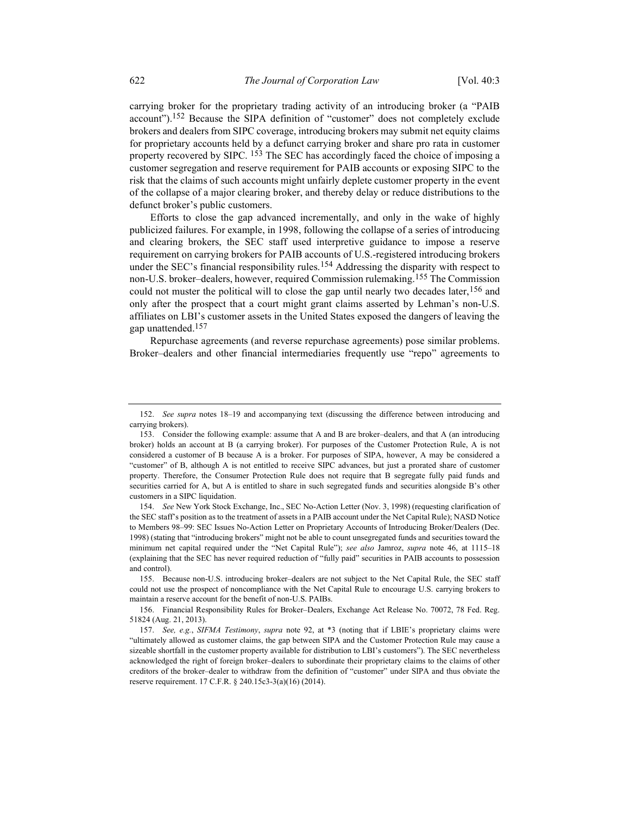carrying broker for the proprietary trading activity of an introducing broker (a "PAIB account").<sup>152</sup> Because the SIPA definition of "customer" does not completely exclude brokers and dealers from SIPC coverage, introducing brokers may submit net equity claims for proprietary accounts held by a defunct carrying broker and share pro rata in customer property recovered by SIPC. <sup>153</sup> The SEC has accordingly faced the choice of imposing a customer segregation and reserve requirement for PAIB accounts or exposing SIPC to the risk that the claims of such accounts might unfairly deplete customer property in the event of the collapse of a major clearing broker, and thereby delay or reduce distributions to the defunct broker's public customers.

Efforts to close the gap advanced incrementally, and only in the wake of highly publicized failures. For example, in 1998, following the collapse of a series of introducing and clearing brokers, the SEC staff used interpretive guidance to impose a reserve requirement on carrying brokers for PAIB accounts of U.S.-registered introducing brokers under the SEC's financial responsibility rules.<sup>154</sup> Addressing the disparity with respect to non-U.S. broker–dealers, however, required Commission rulemaking.155 The Commission could not muster the political will to close the gap until nearly two decades later, <sup>156</sup> and only after the prospect that a court might grant claims asserted by Lehman's non-U.S. affiliates on LBI's customer assets in the United States exposed the dangers of leaving the gap unattended.<sup>157</sup>

Repurchase agreements (and reverse repurchase agreements) pose similar problems. Broker–dealers and other financial intermediaries frequently use "repo" agreements to

 <sup>152.</sup> See supra notes 18–19 and accompanying text (discussing the difference between introducing and carrying brokers).

 <sup>153.</sup> Consider the following example: assume that A and B are broker–dealers, and that A (an introducing broker) holds an account at B (a carrying broker). For purposes of the Customer Protection Rule, A is not considered a customer of B because A is a broker. For purposes of SIPA, however, A may be considered a "customer" of B, although A is not entitled to receive SIPC advances, but just a prorated share of customer property. Therefore, the Consumer Protection Rule does not require that B segregate fully paid funds and securities carried for A, but A is entitled to share in such segregated funds and securities alongside B's other customers in a SIPC liquidation.

 <sup>154.</sup> See New York Stock Exchange, Inc., SEC No-Action Letter (Nov. 3, 1998) (requesting clarification of the SEC staff's position as to the treatment of assets in a PAIB account under the Net Capital Rule); NASD Notice to Members 98-99: SEC Issues No-Action Letter on Proprietary Accounts of Introducing Broker/Dealers (Dec. 1998) (stating that "introducing brokers" might not be able to count unsegregated funds and securities toward the minimum net capital required under the "Net Capital Rule"); see also Jamroz, supra note 46, at 1115–18 (explaining that the SEC has never required reduction of "fully paid" securities in PAIB accounts to possession and control).

 <sup>155.</sup> Because non-U.S. introducing broker–dealers are not subject to the Net Capital Rule, the SEC staff could not use the prospect of noncompliance with the Net Capital Rule to encourage U.S. carrying brokers to maintain a reserve account for the benefit of non-U.S. PAIBs.

 <sup>156.</sup> Financial Responsibility Rules for Broker–Dealers, Exchange Act Release No. 70072, 78 Fed. Reg. 51824 (Aug. 21, 2013).

 <sup>157.</sup> See, e.g., SIFMA Testimony, supra note 92, at \*3 (noting that if LBIE's proprietary claims were "ultimately allowed as customer claims, the gap between SIPA and the Customer Protection Rule may cause a sizeable shortfall in the customer property available for distribution to LBI's customers"). The SEC nevertheless acknowledged the right of foreign broker–dealers to subordinate their proprietary claims to the claims of other creditors of the broker–dealer to withdraw from the definition of "customer" under SIPA and thus obviate the reserve requirement. 17 C.F.R. § 240.15c3-3(a)(16) (2014).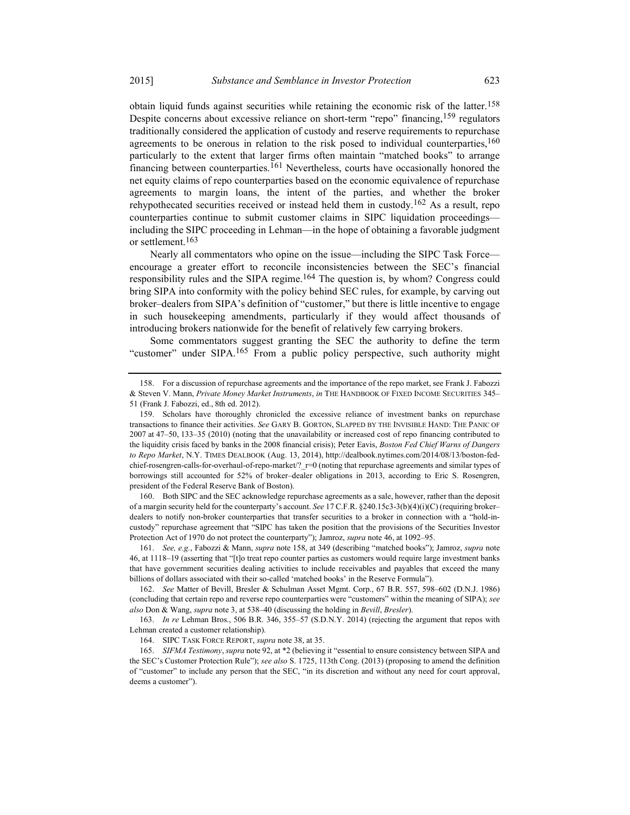obtain liquid funds against securities while retaining the economic risk of the latter.158 Despite concerns about excessive reliance on short-term "repo" financing, <sup>159</sup> regulators traditionally considered the application of custody and reserve requirements to repurchase agreements to be onerous in relation to the risk posed to individual counterparties,  $160$ particularly to the extent that larger firms often maintain "matched books" to arrange financing between counterparties.<sup>161</sup> Nevertheless, courts have occasionally honored the net equity claims of repo counterparties based on the economic equivalence of repurchase agreements to margin loans, the intent of the parties, and whether the broker rehypothecated securities received or instead held them in custody.<sup>162</sup> As a result, repo counterparties continue to submit customer claims in SIPC liquidation proceedings including the SIPC proceeding in Lehman—in the hope of obtaining a favorable judgment or settlement.<sup>163</sup>

Nearly all commentators who opine on the issue—including the SIPC Task Force encourage a greater effort to reconcile inconsistencies between the SEC's financial responsibility rules and the SIPA regime.<sup>164</sup> The question is, by whom? Congress could bring SIPA into conformity with the policy behind SEC rules, for example, by carving out broker–dealers from SIPA's definition of "customer," but there is little incentive to engage in such housekeeping amendments, particularly if they would affect thousands of introducing brokers nationwide for the benefit of relatively few carrying brokers.

Some commentators suggest granting the SEC the authority to define the term "customer" under SIPA.165 From a public policy perspective, such authority might

 160. Both SIPC and the SEC acknowledge repurchase agreements as a sale, however, rather than the deposit of a margin security held for the counterparty's account. See 17 C.F.R. §240.15c3-3(b)(4)(i)(C) (requiring broker– dealers to notify non-broker counterparties that transfer securities to a broker in connection with a "hold-incustody" repurchase agreement that "SIPC has taken the position that the provisions of the Securities Investor Protection Act of 1970 do not protect the counterparty"); Jamroz, supra note 46, at 1092–95.

 161. See, e.g., Fabozzi & Mann, supra note 158, at 349 (describing "matched books"); Jamroz, supra note 46, at 1118–19 (asserting that "[t]o treat repo counter parties as customers would require large investment banks that have government securities dealing activities to include receivables and payables that exceed the many billions of dollars associated with their so-called 'matched books' in the Reserve Formula").

 162. See Matter of Bevill, Bresler & Schulman Asset Mgmt. Corp., 67 B.R. 557, 598–602 (D.N.J. 1986) (concluding that certain repo and reverse repo counterparties were "customers" within the meaning of SIPA); see also Don & Wang, supra note 3, at 538–40 (discussing the holding in Bevill, Bresler).

 163. In re Lehman Bros., 506 B.R. 346, 355–57 (S.D.N.Y. 2014) (rejecting the argument that repos with Lehman created a customer relationship).

164. SIPC TASK FORCE REPORT, supra note 38, at 35.

 165. SIFMA Testimony, supra note 92, at \*2 (believing it "essential to ensure consistency between SIPA and the SEC's Customer Protection Rule"); see also S. 1725, 113th Cong. (2013) (proposing to amend the definition of "customer" to include any person that the SEC, "in its discretion and without any need for court approval, deems a customer").

 <sup>158.</sup> For a discussion of repurchase agreements and the importance of the repo market, see Frank J. Fabozzi & Steven V. Mann, Private Money Market Instruments, in THE HANDBOOK OF FIXED INCOME SECURITIES 345– 51 (Frank J. Fabozzi, ed., 8th ed. 2012).

 <sup>159.</sup> Scholars have thoroughly chronicled the excessive reliance of investment banks on repurchase transactions to finance their activities. See GARY B. GORTON, SLAPPED BY THE INVISIBLE HAND: THE PANIC OF 2007 at 47–50, 133–35 (2010) (noting that the unavailability or increased cost of repo financing contributed to the liquidity crisis faced by banks in the 2008 financial crisis); Peter Eavis, Boston Fed Chief Warns of Dangers to Repo Market, N.Y. TIMES DEALBOOK (Aug. 13, 2014), http://dealbook.nytimes.com/2014/08/13/boston-fedchief-rosengren-calls-for-overhaul-of-repo-market/?\_r=0 (noting that repurchase agreements and similar types of borrowings still accounted for 52% of broker–dealer obligations in 2013, according to Eric S. Rosengren, president of the Federal Reserve Bank of Boston).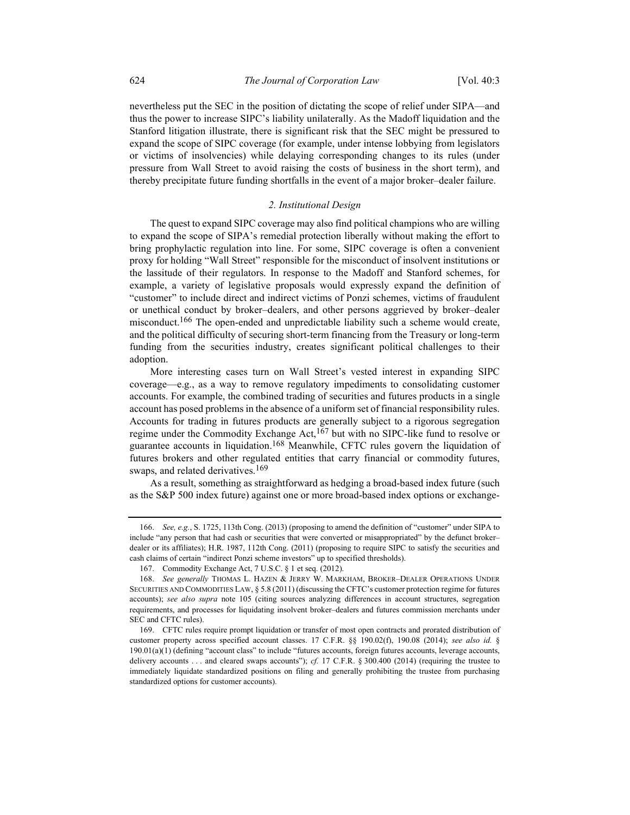nevertheless put the SEC in the position of dictating the scope of relief under SIPA—and thus the power to increase SIPC's liability unilaterally. As the Madoff liquidation and the Stanford litigation illustrate, there is significant risk that the SEC might be pressured to expand the scope of SIPC coverage (for example, under intense lobbying from legislators or victims of insolvencies) while delaying corresponding changes to its rules (under pressure from Wall Street to avoid raising the costs of business in the short term), and thereby precipitate future funding shortfalls in the event of a major broker–dealer failure.

# 2. Institutional Design

The quest to expand SIPC coverage may also find political champions who are willing to expand the scope of SIPA's remedial protection liberally without making the effort to bring prophylactic regulation into line. For some, SIPC coverage is often a convenient proxy for holding "Wall Street" responsible for the misconduct of insolvent institutions or the lassitude of their regulators. In response to the Madoff and Stanford schemes, for example, a variety of legislative proposals would expressly expand the definition of "customer" to include direct and indirect victims of Ponzi schemes, victims of fraudulent or unethical conduct by broker–dealers, and other persons aggrieved by broker–dealer misconduct.166 The open-ended and unpredictable liability such a scheme would create, and the political difficulty of securing short-term financing from the Treasury or long-term funding from the securities industry, creates significant political challenges to their adoption.

More interesting cases turn on Wall Street's vested interest in expanding SIPC coverage—e.g., as a way to remove regulatory impediments to consolidating customer accounts. For example, the combined trading of securities and futures products in a single account has posed problems in the absence of a uniform set of financial responsibility rules. Accounts for trading in futures products are generally subject to a rigorous segregation regime under the Commodity Exchange Act,<sup>167</sup> but with no SIPC-like fund to resolve or guarantee accounts in liquidation.168 Meanwhile, CFTC rules govern the liquidation of futures brokers and other regulated entities that carry financial or commodity futures, swaps, and related derivatives.<sup>169</sup>

As a result, something as straightforward as hedging a broad-based index future (such as the S&P 500 index future) against one or more broad-based index options or exchange-

 <sup>166.</sup> See, e.g., S. 1725, 113th Cong. (2013) (proposing to amend the definition of "customer" under SIPA to include "any person that had cash or securities that were converted or misappropriated" by the defunct broker– dealer or its affiliates); H.R. 1987, 112th Cong. (2011) (proposing to require SIPC to satisfy the securities and cash claims of certain "indirect Ponzi scheme investors" up to specified thresholds).

 <sup>167.</sup> Commodity Exchange Act, 7 U.S.C. § 1 et seq. (2012).

<sup>168.</sup> See generally THOMAS L. HAZEN & JERRY W. MARKHAM, BROKER-DEALER OPERATIONS UNDER SECURITIES AND COMMODITIES LAW, § 5.8 (2011) (discussing the CFTC's customer protection regime for futures accounts); see also supra note 105 (citing sources analyzing differences in account structures, segregation requirements, and processes for liquidating insolvent broker–dealers and futures commission merchants under SEC and CFTC rules).

 <sup>169.</sup> CFTC rules require prompt liquidation or transfer of most open contracts and prorated distribution of customer property across specified account classes. 17 C.F.R. §§ 190.02(f), 190.08 (2014); see also id. § 190.01(a)(1) (defining "account class" to include "futures accounts, foreign futures accounts, leverage accounts, delivery accounts . . . and cleared swaps accounts"); cf. 17 C.F.R. § 300.400 (2014) (requiring the trustee to immediately liquidate standardized positions on filing and generally prohibiting the trustee from purchasing standardized options for customer accounts).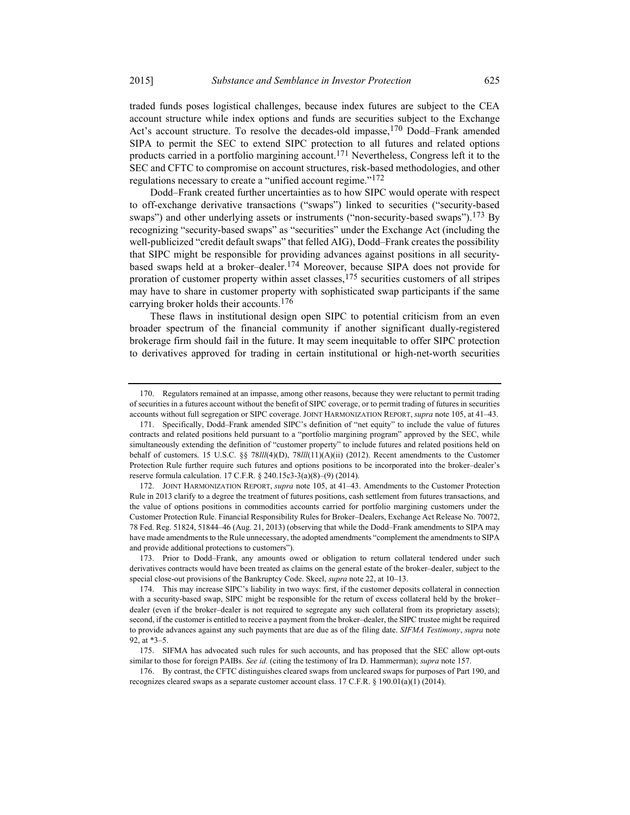traded funds poses logistical challenges, because index futures are subject to the CEA account structure while index options and funds are securities subject to the Exchange Act's account structure. To resolve the decades-old impasse, <sup>170</sup> Dodd–Frank amended SIPA to permit the SEC to extend SIPC protection to all futures and related options products carried in a portfolio margining account.171 Nevertheless, Congress left it to the SEC and CFTC to compromise on account structures, risk-based methodologies, and other regulations necessary to create a "unified account regime."<sup>172</sup>

Dodd–Frank created further uncertainties as to how SIPC would operate with respect to off-exchange derivative transactions ("swaps") linked to securities ("security-based swaps") and other underlying assets or instruments ("non-security-based swaps").<sup>173</sup> By recognizing "security-based swaps" as "securities" under the Exchange Act (including the well-publicized "credit default swaps" that felled AIG), Dodd–Frank creates the possibility that SIPC might be responsible for providing advances against positions in all securitybased swaps held at a broker–dealer.174 Moreover, because SIPA does not provide for proration of customer property within asset classes,175 securities customers of all stripes may have to share in customer property with sophisticated swap participants if the same carrying broker holds their accounts.176

These flaws in institutional design open SIPC to potential criticism from an even broader spectrum of the financial community if another significant dually-registered brokerage firm should fail in the future. It may seem inequitable to offer SIPC protection to derivatives approved for trading in certain institutional or high-net-worth securities

 <sup>170.</sup> Regulators remained at an impasse, among other reasons, because they were reluctant to permit trading of securities in a futures account without the benefit of SIPC coverage, or to permit trading of futures in securities accounts without full segregation or SIPC coverage. JOINT HARMONIZATION REPORT, supra note 105, at 41–43.

 <sup>171.</sup> Specifically, Dodd–Frank amended SIPC's definition of "net equity" to include the value of futures contracts and related positions held pursuant to a "portfolio margining program" approved by the SEC, while simultaneously extending the definition of "customer property" to include futures and related positions held on behalf of customers. 15 U.S.C. §§ 78lll(4)(D), 78lll(11)(A)(ii) (2012). Recent amendments to the Customer Protection Rule further require such futures and options positions to be incorporated into the broker–dealer's reserve formula calculation. 17 C.F.R. § 240.15c3-3(a)(8)–(9) (2014).

<sup>172.</sup> JOINT HARMONIZATION REPORT, supra note 105, at 41-43. Amendments to the Customer Protection Rule in 2013 clarify to a degree the treatment of futures positions, cash settlement from futures transactions, and the value of options positions in commodities accounts carried for portfolio margining customers under the Customer Protection Rule. Financial Responsibility Rules for Broker–Dealers, Exchange Act Release No. 70072, 78 Fed. Reg. 51824, 51844–46 (Aug. 21, 2013) (observing that while the Dodd–Frank amendments to SIPA may have made amendments to the Rule unnecessary, the adopted amendments "complement the amendments to SIPA and provide additional protections to customers").

 <sup>173.</sup> Prior to Dodd–Frank, any amounts owed or obligation to return collateral tendered under such derivatives contracts would have been treated as claims on the general estate of the broker–dealer, subject to the special close-out provisions of the Bankruptcy Code. Skeel, *supra* note 22, at 10–13.

 <sup>174.</sup> This may increase SIPC's liability in two ways: first, if the customer deposits collateral in connection with a security-based swap, SIPC might be responsible for the return of excess collateral held by the broker– dealer (even if the broker–dealer is not required to segregate any such collateral from its proprietary assets); second, if the customer is entitled to receive a payment from the broker–dealer, the SIPC trustee might be required to provide advances against any such payments that are due as of the filing date. SIFMA Testimony, supra note 92, at \*3–5.

 <sup>175.</sup> SIFMA has advocated such rules for such accounts, and has proposed that the SEC allow opt-outs similar to those for foreign PAIBs. See id. (citing the testimony of Ira D. Hammerman); supra note 157.

 <sup>176.</sup> By contrast, the CFTC distinguishes cleared swaps from uncleared swaps for purposes of Part 190, and recognizes cleared swaps as a separate customer account class. 17 C.F.R. § 190.01(a)(1) (2014).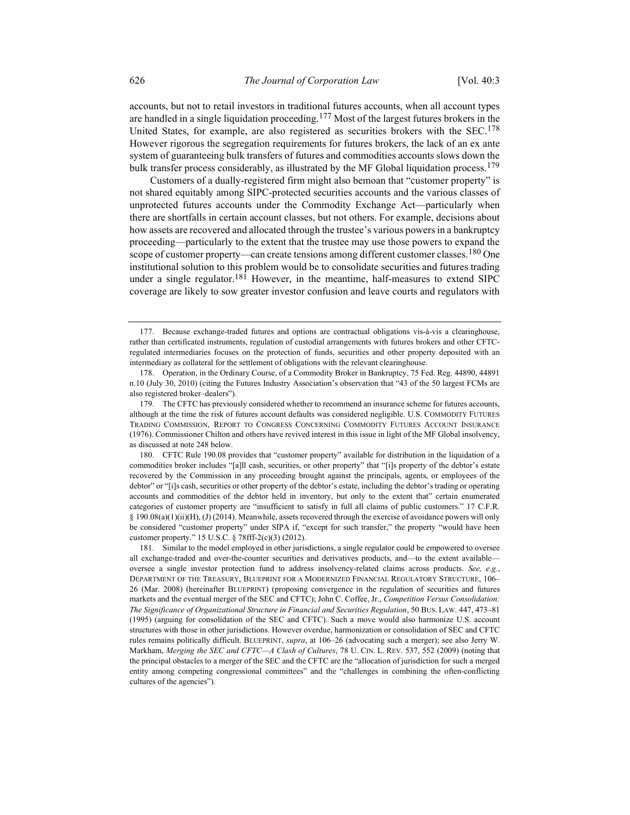accounts, but not to retail investors in traditional futures accounts, when all account types are handled in a single liquidation proceeding.<sup>177</sup> Most of the largest futures brokers in the United States, for example, are also registered as securities brokers with the  $SEC.178$ However rigorous the segregation requirements for futures brokers, the lack of an ex ante system of guaranteeing bulk transfers of futures and commodities accounts slows down the bulk transfer process considerably, as illustrated by the MF Global liquidation process.<sup>179</sup>

Customers of a dually-registered firm might also bemoan that "customer property" is not shared equitably among SIPC-protected securities accounts and the various classes of unprotected futures accounts under the Commodity Exchange Act—particularly when there are shortfalls in certain account classes, but not others. For example, decisions about how assets are recovered and allocated through the trustee's various powers in a bankruptcy proceeding—particularly to the extent that the trustee may use those powers to expand the scope of customer property—can create tensions among different customer classes.<sup>180</sup> One institutional solution to this problem would be to consolidate securities and futures trading under a single regulator.<sup>181</sup> However, in the meantime, half-measures to extend SIPC coverage are likely to sow greater investor confusion and leave courts and regulators with

 181. Similar to the model employed in other jurisdictions, a single regulator could be empowered to oversee all exchange-traded and over-the-counter securities and derivatives products, and—to the extent available oversee a single investor protection fund to address insolvency-related claims across products. See, e.g., DEPARTMENT OF THE TREASURY, BLUEPRINT FOR A MODERNIZED FINANCIAL REGULATORY STRUCTURE, 106– 26 (Mar. 2008) (hereinafter BLUEPRINT) (proposing convergence in the regulation of securities and futures markets and the eventual merger of the SEC and CFTC); John C. Coffee, Jr., Competition Versus Consolidation: The Significance of Organizational Structure in Financial and Securities Regulation, 50 BUS. LAW. 447, 473–81 (1995) (arguing for consolidation of the SEC and CFTC). Such a move would also harmonize U.S. account structures with those in other jurisdictions. However overdue, harmonization or consolidation of SEC and CFTC rules remains politically difficult. BLUEPRINT, supra, at 106–26 (advocating such a merger); see also Jerry W. Markham, Merging the SEC and CFTC--A Clash of Cultures, 78 U. CIN. L. REV. 537, 552 (2009) (noting that the principal obstacles to a merger of the SEC and the CFTC are the "allocation of jurisdiction for such a merged entity among competing congressional committees" and the "challenges in combining the often-conflicting cultures of the agencies").

 <sup>177.</sup> Because exchange-traded futures and options are contractual obligations vis-à-vis a clearinghouse, rather than certificated instruments, regulation of custodial arrangements with futures brokers and other CFTCregulated intermediaries focuses on the protection of funds, securities and other property deposited with an intermediary as collateral for the settlement of obligations with the relevant clearinghouse.

 <sup>178.</sup> Operation, in the Ordinary Course, of a Commodity Broker in Bankruptcy, 75 Fed. Reg. 44890, 44891 n.10 (July 30, 2010) (citing the Futures Industry Association's observation that "43 of the 50 largest FCMs are also registered broker–dealers").

 <sup>179.</sup> The CFTC has previously considered whether to recommend an insurance scheme for futures accounts, although at the time the risk of futures account defaults was considered negligible. U.S. COMMODITY FUTURES TRADING COMMISSION, REPORT TO CONGRESS CONCERNING COMMODITY FUTURES ACCOUNT INSURANCE (1976). Commissioner Chilton and others have revived interest in this issue in light of the MF Global insolvency, as discussed at note 248 below.

 <sup>180.</sup> CFTC Rule 190.08 provides that "customer property" available for distribution in the liquidation of a commodities broker includes "[a]ll cash, securities, or other property" that "[i]s property of the debtor's estate recovered by the Commission in any proceeding brought against the principals, agents, or employees of the debtor" or "[i]s cash, securities or other property of the debtor's estate, including the debtor's trading or operating accounts and commodities of the debtor held in inventory, but only to the extent that" certain enumerated categories of customer property are "insufficient to satisfy in full all claims of public customers." 17 C.F.R. § 190.08(a)(1)(ii)(H), (J) (2014). Meanwhile, assets recovered through the exercise of avoidance powers will only be considered "customer property" under SIPA if, "except for such transfer," the property "would have been customer property." 15 U.S.C. § 78fff-2(c)(3) (2012).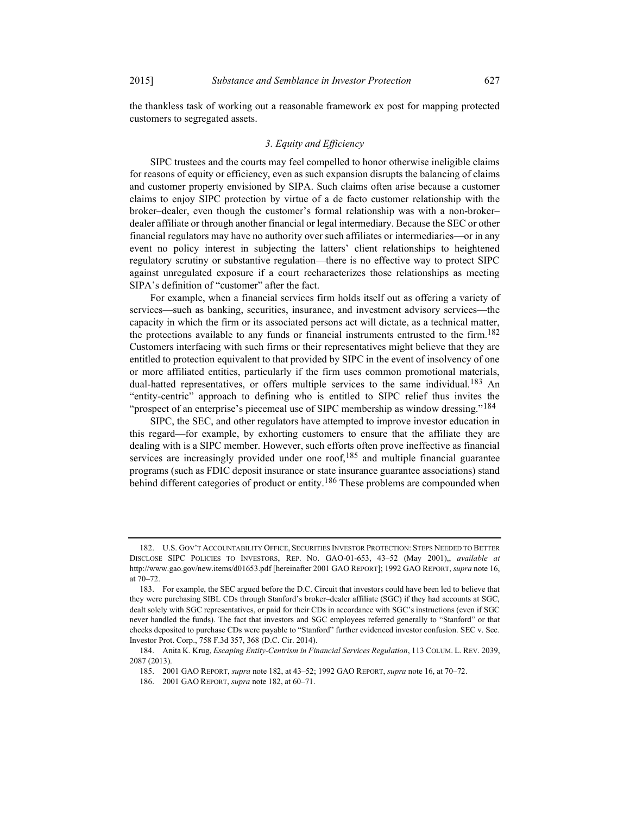the thankless task of working out a reasonable framework ex post for mapping protected customers to segregated assets.

### 3. Equity and Efficiency

SIPC trustees and the courts may feel compelled to honor otherwise ineligible claims for reasons of equity or efficiency, even as such expansion disrupts the balancing of claims and customer property envisioned by SIPA. Such claims often arise because a customer claims to enjoy SIPC protection by virtue of a de facto customer relationship with the broker–dealer, even though the customer's formal relationship was with a non-broker– dealer affiliate or through another financial or legal intermediary. Because the SEC or other financial regulators may have no authority over such affiliates or intermediaries—or in any event no policy interest in subjecting the latters' client relationships to heightened regulatory scrutiny or substantive regulation—there is no effective way to protect SIPC against unregulated exposure if a court recharacterizes those relationships as meeting SIPA's definition of "customer" after the fact.

For example, when a financial services firm holds itself out as offering a variety of services—such as banking, securities, insurance, and investment advisory services—the capacity in which the firm or its associated persons act will dictate, as a technical matter, the protections available to any funds or financial instruments entrusted to the firm.<sup>182</sup> Customers interfacing with such firms or their representatives might believe that they are entitled to protection equivalent to that provided by SIPC in the event of insolvency of one or more affiliated entities, particularly if the firm uses common promotional materials, dual-hatted representatives, or offers multiple services to the same individual.<sup>183</sup> An "entity-centric" approach to defining who is entitled to SIPC relief thus invites the "prospect of an enterprise's piecemeal use of SIPC membership as window dressing."<sup>184</sup>

SIPC, the SEC, and other regulators have attempted to improve investor education in this regard—for example, by exhorting customers to ensure that the affiliate they are dealing with is a SIPC member. However, such efforts often prove ineffective as financial services are increasingly provided under one roof, $185$  and multiple financial guarantee programs (such as FDIC deposit insurance or state insurance guarantee associations) stand behind different categories of product or entity.<sup>186</sup> These problems are compounded when

 <sup>182.</sup> U.S. GOV'T ACCOUNTABILITY OFFICE, SECURITIES INVESTOR PROTECTION: STEPS NEEDED TO BETTER DISCLOSE SIPC POLICIES TO INVESTORS, REP. NO. GAO-01-653, 43–52 (May 2001),, available at http://www.gao.gov/new.items/d01653.pdf [hereinafter 2001 GAO REPORT]; 1992 GAO REPORT, supra note 16, at 70–72.

 <sup>183.</sup> For example, the SEC argued before the D.C. Circuit that investors could have been led to believe that they were purchasing SIBL CDs through Stanford's broker–dealer affiliate (SGC) if they had accounts at SGC, dealt solely with SGC representatives, or paid for their CDs in accordance with SGC's instructions (even if SGC never handled the funds). The fact that investors and SGC employees referred generally to "Stanford" or that checks deposited to purchase CDs were payable to "Stanford" further evidenced investor confusion. SEC v. Sec. Investor Prot. Corp., 758 F.3d 357, 368 (D.C. Cir. 2014).

 <sup>184.</sup> Anita K. Krug, Escaping Entity-Centrism in Financial Services Regulation, 113 COLUM. L. REV. 2039, 2087 (2013).

 <sup>185. 2001</sup> GAO REPORT, supra note 182, at 43–52; 1992 GAO REPORT, supra note 16, at 70–72.

 <sup>186. 2001</sup> GAO REPORT, supra note 182, at 60–71.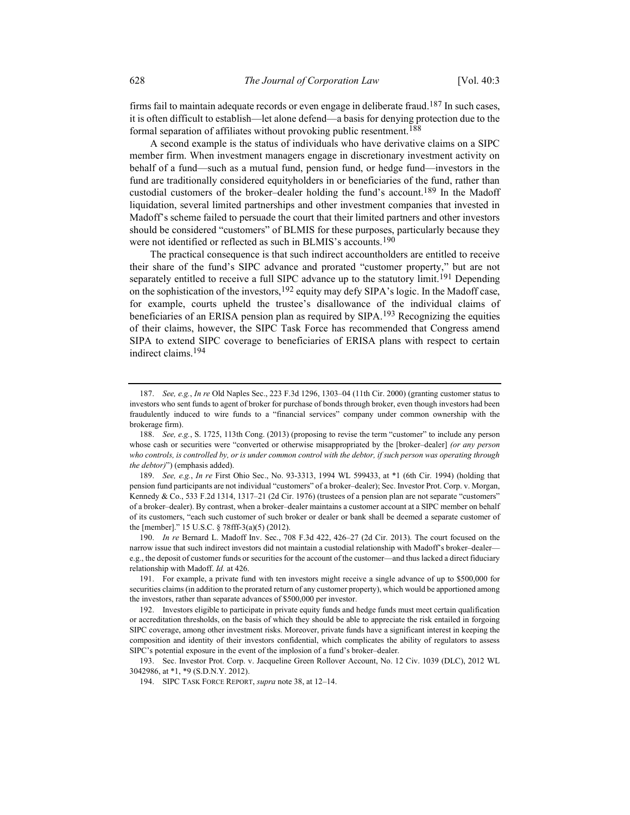firms fail to maintain adequate records or even engage in deliberate fraud.<sup>187</sup> In such cases, it is often difficult to establish—let alone defend—a basis for denying protection due to the formal separation of affiliates without provoking public resentment.<sup>188</sup>

A second example is the status of individuals who have derivative claims on a SIPC member firm. When investment managers engage in discretionary investment activity on behalf of a fund—such as a mutual fund, pension fund, or hedge fund—investors in the fund are traditionally considered equityholders in or beneficiaries of the fund, rather than custodial customers of the broker–dealer holding the fund's account.<sup>189</sup> In the Madoff liquidation, several limited partnerships and other investment companies that invested in Madoff's scheme failed to persuade the court that their limited partners and other investors should be considered "customers" of BLMIS for these purposes, particularly because they were not identified or reflected as such in BLMIS's accounts.<sup>190</sup>

The practical consequence is that such indirect accountholders are entitled to receive their share of the fund's SIPC advance and prorated "customer property," but are not separately entitled to receive a full SIPC advance up to the statutory limit.<sup>191</sup> Depending on the sophistication of the investors,<sup>192</sup> equity may defy SIPA's logic. In the Madoff case, for example, courts upheld the trustee's disallowance of the individual claims of beneficiaries of an ERISA pension plan as required by  $SIPA$ .<sup>193</sup> Recognizing the equities of their claims, however, the SIPC Task Force has recommended that Congress amend SIPA to extend SIPC coverage to beneficiaries of ERISA plans with respect to certain indirect claims.194

 189. See, e.g., In re First Ohio Sec., No. 93-3313, 1994 WL 599433, at \*1 (6th Cir. 1994) (holding that pension fund participants are not individual "customers" of a broker–dealer); Sec. Investor Prot. Corp. v. Morgan, Kennedy & Co., 533 F.2d 1314, 1317–21 (2d Cir. 1976) (trustees of a pension plan are not separate "customers" of a broker–dealer). By contrast, when a broker–dealer maintains a customer account at a SIPC member on behalf of its customers, "each such customer of such broker or dealer or bank shall be deemed a separate customer of the [member]." 15 U.S.C. § 78fff-3(a)(5) (2012).

 190. In re Bernard L. Madoff Inv. Sec., 708 F.3d 422, 426–27 (2d Cir. 2013). The court focused on the narrow issue that such indirect investors did not maintain a custodial relationship with Madoff's broker–dealer e.g., the deposit of customer funds or securities for the account of the customer—and thus lacked a direct fiduciary relationship with Madoff. Id. at 426.

 191. For example, a private fund with ten investors might receive a single advance of up to \$500,000 for securities claims (in addition to the prorated return of any customer property), which would be apportioned among the investors, rather than separate advances of \$500,000 per investor.

 192. Investors eligible to participate in private equity funds and hedge funds must meet certain qualification or accreditation thresholds, on the basis of which they should be able to appreciate the risk entailed in forgoing SIPC coverage, among other investment risks. Moreover, private funds have a significant interest in keeping the composition and identity of their investors confidential, which complicates the ability of regulators to assess SIPC's potential exposure in the event of the implosion of a fund's broker–dealer.

 193. Sec. Investor Prot. Corp. v. Jacqueline Green Rollover Account, No. 12 Civ. 1039 (DLC), 2012 WL 3042986, at \*1, \*9 (S.D.N.Y. 2012).

194. SIPC TASK FORCE REPORT, supra note 38, at 12–14.

 <sup>187.</sup> See, e.g., In re Old Naples Sec., 223 F.3d 1296, 1303–04 (11th Cir. 2000) (granting customer status to investors who sent funds to agent of broker for purchase of bonds through broker, even though investors had been fraudulently induced to wire funds to a "financial services" company under common ownership with the brokerage firm).

 <sup>188.</sup> See, e.g., S. 1725, 113th Cong. (2013) (proposing to revise the term "customer" to include any person whose cash or securities were "converted or otherwise misappropriated by the [broker–dealer] (or any person who controls, is controlled by, or is under common control with the debtor, if such person was operating through the debtor)") (emphasis added).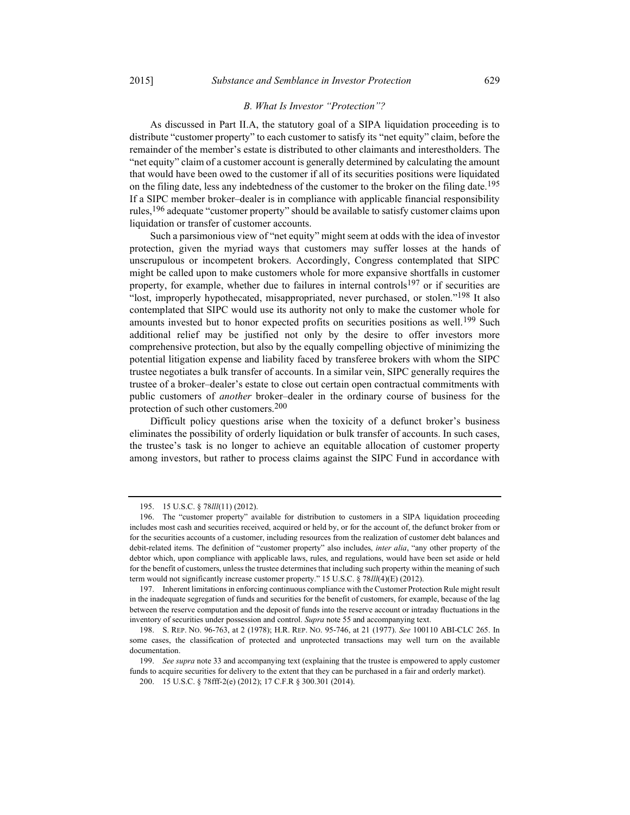### B. What Is Investor "Protection"?

As discussed in Part II.A, the statutory goal of a SIPA liquidation proceeding is to distribute "customer property" to each customer to satisfy its "net equity" claim, before the remainder of the member's estate is distributed to other claimants and interestholders. The "net equity" claim of a customer account is generally determined by calculating the amount that would have been owed to the customer if all of its securities positions were liquidated on the filing date, less any indebtedness of the customer to the broker on the filing date.<sup>195</sup> If a SIPC member broker–dealer is in compliance with applicable financial responsibility rules,196 adequate "customer property" should be available to satisfy customer claims upon liquidation or transfer of customer accounts.

Such a parsimonious view of "net equity" might seem at odds with the idea of investor protection, given the myriad ways that customers may suffer losses at the hands of unscrupulous or incompetent brokers. Accordingly, Congress contemplated that SIPC might be called upon to make customers whole for more expansive shortfalls in customer property, for example, whether due to failures in internal controls<sup>197</sup> or if securities are "lost, improperly hypothecated, misappropriated, never purchased, or stolen."198 It also contemplated that SIPC would use its authority not only to make the customer whole for amounts invested but to honor expected profits on securities positions as well.<sup>199</sup> Such additional relief may be justified not only by the desire to offer investors more comprehensive protection, but also by the equally compelling objective of minimizing the potential litigation expense and liability faced by transferee brokers with whom the SIPC trustee negotiates a bulk transfer of accounts. In a similar vein, SIPC generally requires the trustee of a broker–dealer's estate to close out certain open contractual commitments with public customers of another broker–dealer in the ordinary course of business for the protection of such other customers.200

Difficult policy questions arise when the toxicity of a defunct broker's business eliminates the possibility of orderly liquidation or bulk transfer of accounts. In such cases, the trustee's task is no longer to achieve an equitable allocation of customer property among investors, but rather to process claims against the SIPC Fund in accordance with

 <sup>195. 15</sup> U.S.C. § 78lll(11) (2012).

 <sup>196.</sup> The "customer property" available for distribution to customers in a SIPA liquidation proceeding includes most cash and securities received, acquired or held by, or for the account of, the defunct broker from or for the securities accounts of a customer, including resources from the realization of customer debt balances and debit-related items. The definition of "customer property" also includes, *inter alia*, "any other property of the debtor which, upon compliance with applicable laws, rules, and regulations, would have been set aside or held for the benefit of customers, unless the trustee determines that including such property within the meaning of such term would not significantly increase customer property." 15 U.S.C. § 78III(4)(E) (2012).

 <sup>197.</sup> Inherent limitations in enforcing continuous compliance with the Customer Protection Rule might result in the inadequate segregation of funds and securities for the benefit of customers, for example, because of the lag between the reserve computation and the deposit of funds into the reserve account or intraday fluctuations in the inventory of securities under possession and control. Supra note 55 and accompanying text.

 <sup>198.</sup> S. REP. NO. 96-763, at 2 (1978); H.R. REP. NO. 95-746, at 21 (1977). See 100110 ABI-CLC 265. In some cases, the classification of protected and unprotected transactions may well turn on the available documentation.

<sup>199.</sup> See supra note 33 and accompanying text (explaining that the trustee is empowered to apply customer funds to acquire securities for delivery to the extent that they can be purchased in a fair and orderly market).

 <sup>200. 15</sup> U.S.C. § 78fff-2(e) (2012); 17 C.F.R § 300.301 (2014).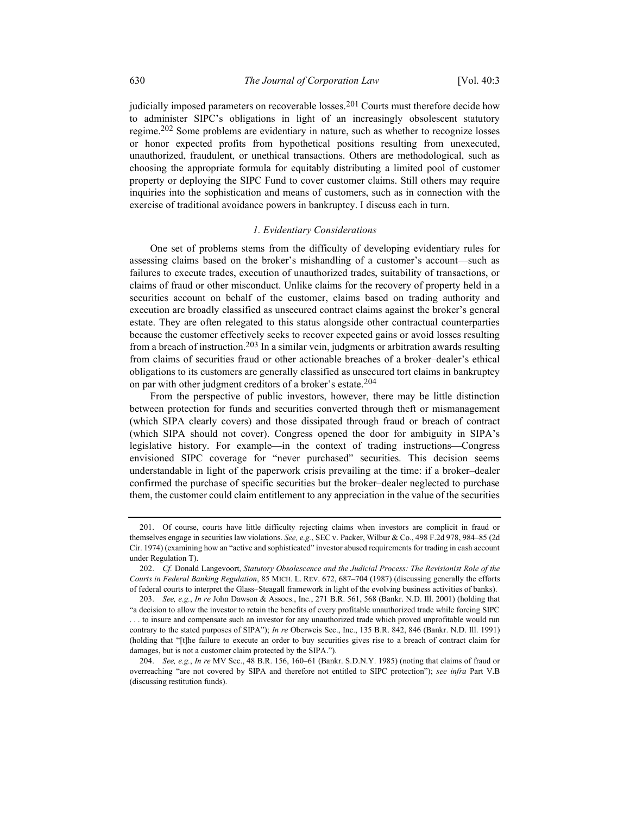judicially imposed parameters on recoverable losses.<sup>201</sup> Courts must therefore decide how to administer SIPC's obligations in light of an increasingly obsolescent statutory regime.<sup>202</sup> Some problems are evidentiary in nature, such as whether to recognize losses or honor expected profits from hypothetical positions resulting from unexecuted, unauthorized, fraudulent, or unethical transactions. Others are methodological, such as choosing the appropriate formula for equitably distributing a limited pool of customer property or deploying the SIPC Fund to cover customer claims. Still others may require inquiries into the sophistication and means of customers, such as in connection with the exercise of traditional avoidance powers in bankruptcy. I discuss each in turn.

#### 1. Evidentiary Considerations

One set of problems stems from the difficulty of developing evidentiary rules for assessing claims based on the broker's mishandling of a customer's account—such as failures to execute trades, execution of unauthorized trades, suitability of transactions, or claims of fraud or other misconduct. Unlike claims for the recovery of property held in a securities account on behalf of the customer, claims based on trading authority and execution are broadly classified as unsecured contract claims against the broker's general estate. They are often relegated to this status alongside other contractual counterparties because the customer effectively seeks to recover expected gains or avoid losses resulting from a breach of instruction.203 In a similar vein, judgments or arbitration awards resulting from claims of securities fraud or other actionable breaches of a broker–dealer's ethical obligations to its customers are generally classified as unsecured tort claims in bankruptcy on par with other judgment creditors of a broker's estate.<sup>204</sup>

From the perspective of public investors, however, there may be little distinction between protection for funds and securities converted through theft or mismanagement (which SIPA clearly covers) and those dissipated through fraud or breach of contract (which SIPA should not cover). Congress opened the door for ambiguity in SIPA's legislative history. For example—in the context of trading instructions—Congress envisioned SIPC coverage for "never purchased" securities. This decision seems understandable in light of the paperwork crisis prevailing at the time: if a broker–dealer confirmed the purchase of specific securities but the broker–dealer neglected to purchase them, the customer could claim entitlement to any appreciation in the value of the securities

 <sup>201.</sup> Of course, courts have little difficulty rejecting claims when investors are complicit in fraud or themselves engage in securities law violations. See, e.g., SEC v. Packer, Wilbur & Co., 498 F.2d 978, 984–85 (2d Cir. 1974) (examining how an "active and sophisticated" investor abused requirements for trading in cash account under Regulation T).

<sup>202.</sup> Cf. Donald Langevoort, Statutory Obsolescence and the Judicial Process: The Revisionist Role of the Courts in Federal Banking Regulation, 85 MICH. L. REV. 672, 687–704 (1987) (discussing generally the efforts of federal courts to interpret the Glass–Steagall framework in light of the evolving business activities of banks).

 <sup>203.</sup> See, e.g., In re John Dawson & Assocs., Inc., 271 B.R. 561, 568 (Bankr. N.D. Ill. 2001) (holding that "a decision to allow the investor to retain the benefits of every profitable unauthorized trade while forcing SIPC . . . to insure and compensate such an investor for any unauthorized trade which proved unprofitable would run contrary to the stated purposes of SIPA"); In re Oberweis Sec., Inc., 135 B.R. 842, 846 (Bankr. N.D. Ill. 1991) (holding that "[t]he failure to execute an order to buy securities gives rise to a breach of contract claim for damages, but is not a customer claim protected by the SIPA.").

 <sup>204.</sup> See, e.g., In re MV Sec., 48 B.R. 156, 160–61 (Bankr. S.D.N.Y. 1985) (noting that claims of fraud or overreaching "are not covered by SIPA and therefore not entitled to SIPC protection"); see infra Part V.B (discussing restitution funds).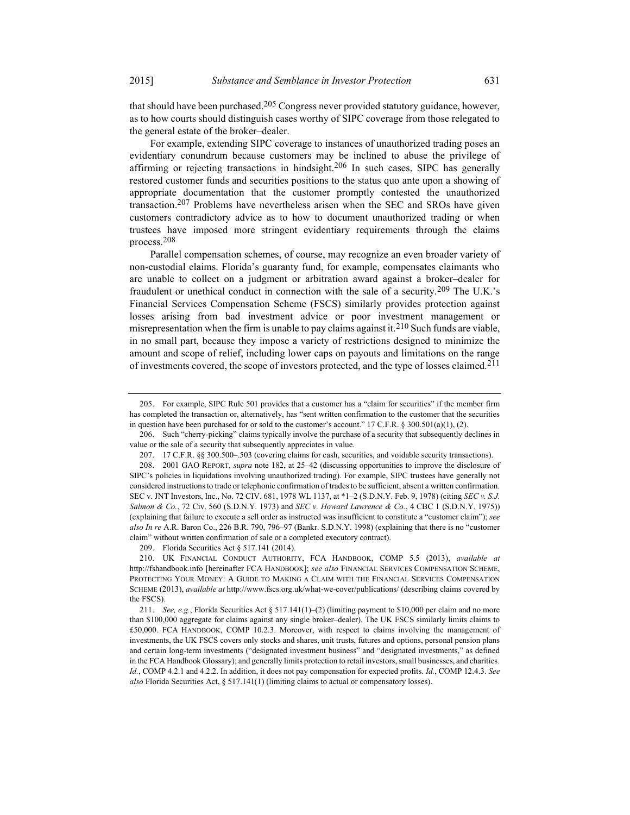that should have been purchased.<sup>205</sup> Congress never provided statutory guidance, however, as to how courts should distinguish cases worthy of SIPC coverage from those relegated to the general estate of the broker–dealer.

For example, extending SIPC coverage to instances of unauthorized trading poses an evidentiary conundrum because customers may be inclined to abuse the privilege of affirming or rejecting transactions in hindsight.206 In such cases, SIPC has generally restored customer funds and securities positions to the status quo ante upon a showing of appropriate documentation that the customer promptly contested the unauthorized transaction.207 Problems have nevertheless arisen when the SEC and SROs have given customers contradictory advice as to how to document unauthorized trading or when trustees have imposed more stringent evidentiary requirements through the claims process.208

Parallel compensation schemes, of course, may recognize an even broader variety of non-custodial claims. Florida's guaranty fund, for example, compensates claimants who are unable to collect on a judgment or arbitration award against a broker–dealer for fraudulent or unethical conduct in connection with the sale of a security.209 The U.K.'s Financial Services Compensation Scheme (FSCS) similarly provides protection against losses arising from bad investment advice or poor investment management or misrepresentation when the firm is unable to pay claims against it.<sup>210</sup> Such funds are viable, in no small part, because they impose a variety of restrictions designed to minimize the amount and scope of relief, including lower caps on payouts and limitations on the range of investments covered, the scope of investors protected, and the type of losses claimed.211

 <sup>205.</sup> For example, SIPC Rule 501 provides that a customer has a "claim for securities" if the member firm has completed the transaction or, alternatively, has "sent written confirmation to the customer that the securities in question have been purchased for or sold to the customer's account." 17 C.F.R. § 300.501(a)(1), (2).

 <sup>206.</sup> Such "cherry-picking" claims typically involve the purchase of a security that subsequently declines in value or the sale of a security that subsequently appreciates in value.

 <sup>207. 17</sup> C.F.R. §§ 300.500–.503 (covering claims for cash, securities, and voidable security transactions).

 <sup>208. 2001</sup> GAO REPORT, supra note 182, at 25–42 (discussing opportunities to improve the disclosure of SIPC's policies in liquidations involving unauthorized trading). For example, SIPC trustees have generally not considered instructions to trade or telephonic confirmation of trades to be sufficient, absent a written confirmation. SEC v. JNT Investors, Inc., No. 72 CIV. 681, 1978 WL 1137, at \*1–2 (S.D.N.Y. Feb. 9, 1978) (citing SEC v. S.J. Salmon & Co., 72 Civ. 560 (S.D.N.Y. 1973) and SEC v. Howard Lawrence & Co., 4 CBC 1 (S.D.N.Y. 1975)) (explaining that failure to execute a sell order as instructed was insufficient to constitute a "customer claim"); see also In re A.R. Baron Co., 226 B.R. 790, 796-97 (Bankr. S.D.N.Y. 1998) (explaining that there is no "customer claim" without written confirmation of sale or a completed executory contract).

 <sup>209.</sup> Florida Securities Act § 517.141 (2014).

 <sup>210.</sup> UK FINANCIAL CONDUCT AUTHORITY, FCA HANDBOOK, COMP 5.5 (2013), available at http://fshandbook.info [hereinafter FCA HANDBOOK]; see also FINANCIAL SERVICES COMPENSATION SCHEME, PROTECTING YOUR MONEY: A GUIDE TO MAKING A CLAIM WITH THE FINANCIAL SERVICES COMPENSATION SCHEME (2013), available at http://www.fscs.org.uk/what-we-cover/publications/ (describing claims covered by the FSCS).

<sup>211.</sup> See, e.g., Florida Securities Act § 517.141(1)–(2) (limiting payment to \$10,000 per claim and no more than \$100,000 aggregate for claims against any single broker–dealer). The UK FSCS similarly limits claims to £50,000. FCA HANDBOOK, COMP 10.2.3. Moreover, with respect to claims involving the management of investments, the UK FSCS covers only stocks and shares, unit trusts, futures and options, personal pension plans and certain long-term investments ("designated investment business" and "designated investments," as defined in the FCA Handbook Glossary); and generally limits protection to retail investors, small businesses, and charities. Id., COMP 4.2.1 and 4.2.2. In addition, it does not pay compensation for expected profits. Id., COMP 12.4.3. See also Florida Securities Act, § 517.141(1) (limiting claims to actual or compensatory losses).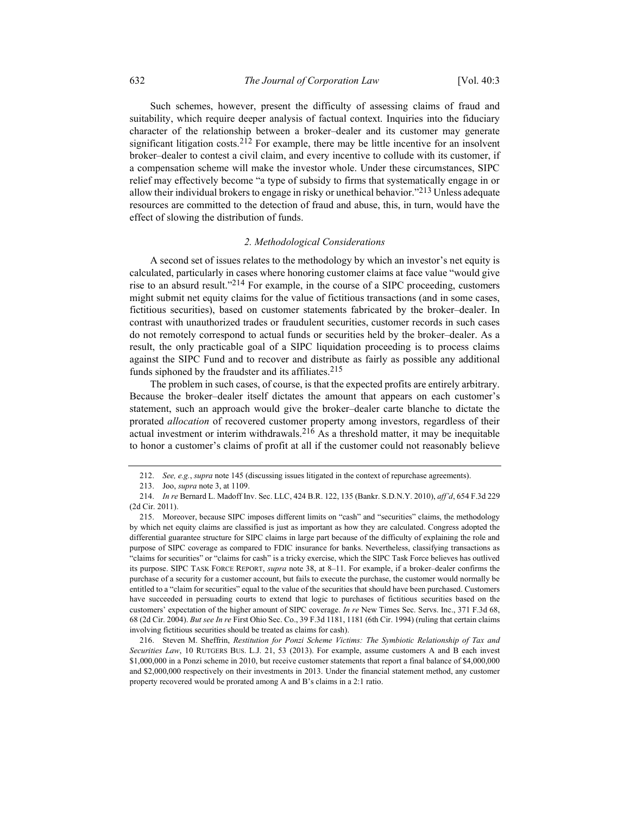Such schemes, however, present the difficulty of assessing claims of fraud and suitability, which require deeper analysis of factual context. Inquiries into the fiduciary character of the relationship between a broker–dealer and its customer may generate significant litigation costs.<sup>212</sup> For example, there may be little incentive for an insolvent broker–dealer to contest a civil claim, and every incentive to collude with its customer, if a compensation scheme will make the investor whole. Under these circumstances, SIPC relief may effectively become "a type of subsidy to firms that systematically engage in or allow their individual brokers to engage in risky or unethical behavior."<sup>213</sup> Unless adequate resources are committed to the detection of fraud and abuse, this, in turn, would have the effect of slowing the distribution of funds.

### 2. Methodological Considerations

A second set of issues relates to the methodology by which an investor's net equity is calculated, particularly in cases where honoring customer claims at face value "would give rise to an absurd result."<sup>214</sup> For example, in the course of a SIPC proceeding, customers might submit net equity claims for the value of fictitious transactions (and in some cases, fictitious securities), based on customer statements fabricated by the broker–dealer. In contrast with unauthorized trades or fraudulent securities, customer records in such cases do not remotely correspond to actual funds or securities held by the broker–dealer. As a result, the only practicable goal of a SIPC liquidation proceeding is to process claims against the SIPC Fund and to recover and distribute as fairly as possible any additional funds siphoned by the fraudster and its affiliates.<sup>215</sup>

The problem in such cases, of course, is that the expected profits are entirely arbitrary. Because the broker–dealer itself dictates the amount that appears on each customer's statement, such an approach would give the broker–dealer carte blanche to dictate the prorated *allocation* of recovered customer property among investors, regardless of their actual investment or interim withdrawals.  $216$  As a threshold matter, it may be inequitable to honor a customer's claims of profit at all if the customer could not reasonably believe

 216. Steven M. Sheffrin, Restitution for Ponzi Scheme Victims: The Symbiotic Relationship of Tax and Securities Law, 10 RUTGERS BUS. L.J. 21, 53 (2013). For example, assume customers A and B each invest \$1,000,000 in a Ponzi scheme in 2010, but receive customer statements that report a final balance of \$4,000,000 and \$2,000,000 respectively on their investments in 2013. Under the financial statement method, any customer property recovered would be prorated among A and B's claims in a 2:1 ratio.

 <sup>212.</sup> See, e.g., supra note 145 (discussing issues litigated in the context of repurchase agreements).

 <sup>213.</sup> Joo, supra note 3, at 1109.

 <sup>214.</sup> In re Bernard L. Madoff Inv. Sec. LLC, 424 B.R. 122, 135 (Bankr. S.D.N.Y. 2010), aff'd, 654 F.3d 229 (2d Cir. 2011).

 <sup>215.</sup> Moreover, because SIPC imposes different limits on "cash" and "securities" claims, the methodology by which net equity claims are classified is just as important as how they are calculated. Congress adopted the differential guarantee structure for SIPC claims in large part because of the difficulty of explaining the role and purpose of SIPC coverage as compared to FDIC insurance for banks. Nevertheless, classifying transactions as "claims for securities" or "claims for cash" is a tricky exercise, which the SIPC Task Force believes has outlived its purpose. SIPC TASK FORCE REPORT, supra note 38, at 8–11. For example, if a broker–dealer confirms the purchase of a security for a customer account, but fails to execute the purchase, the customer would normally be entitled to a "claim for securities" equal to the value of the securities that should have been purchased. Customers have succeeded in persuading courts to extend that logic to purchases of fictitious securities based on the customers' expectation of the higher amount of SIPC coverage. In re New Times Sec. Servs. Inc., 371 F.3d 68, 68 (2d Cir. 2004). But see In re First Ohio Sec. Co., 39 F.3d 1181, 1181 (6th Cir. 1994) (ruling that certain claims involving fictitious securities should be treated as claims for cash).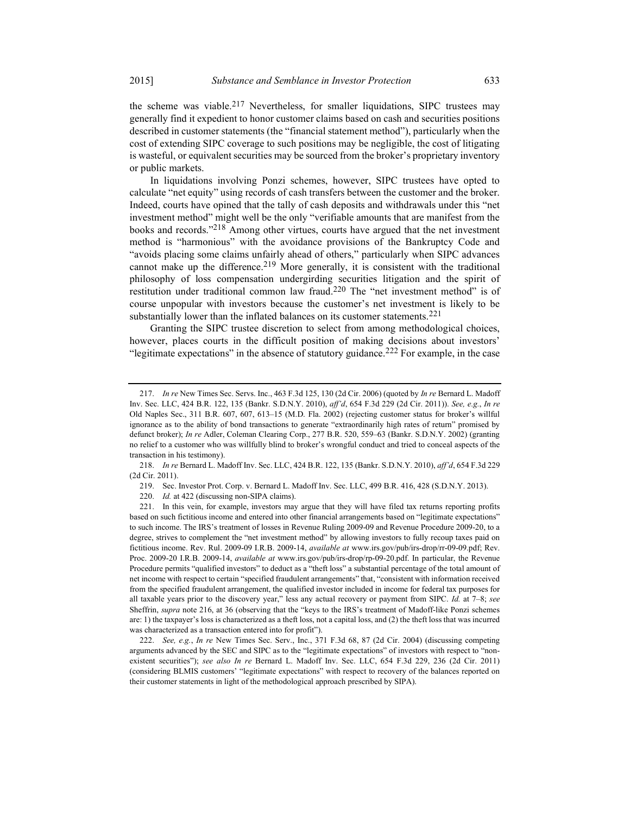the scheme was viable.<sup>217</sup> Nevertheless, for smaller liquidations, SIPC trustees may generally find it expedient to honor customer claims based on cash and securities positions described in customer statements (the "financial statement method"), particularly when the cost of extending SIPC coverage to such positions may be negligible, the cost of litigating is wasteful, or equivalent securities may be sourced from the broker's proprietary inventory or public markets.

In liquidations involving Ponzi schemes, however, SIPC trustees have opted to calculate "net equity" using records of cash transfers between the customer and the broker. Indeed, courts have opined that the tally of cash deposits and withdrawals under this "net investment method" might well be the only "verifiable amounts that are manifest from the books and records."<sup>218</sup> Among other virtues, courts have argued that the net investment method is "harmonious" with the avoidance provisions of the Bankruptcy Code and "avoids placing some claims unfairly ahead of others," particularly when SIPC advances cannot make up the difference.<sup>219</sup> More generally, it is consistent with the traditional philosophy of loss compensation undergirding securities litigation and the spirit of restitution under traditional common law fraud.<sup>220</sup> The "net investment method" is of course unpopular with investors because the customer's net investment is likely to be substantially lower than the inflated balances on its customer statements.<sup>221</sup>

Granting the SIPC trustee discretion to select from among methodological choices, however, places courts in the difficult position of making decisions about investors' "legitimate expectations" in the absence of statutory guidance.<sup>222</sup> For example, in the case

 218. In re Bernard L. Madoff Inv. Sec. LLC, 424 B.R. 122, 135 (Bankr. S.D.N.Y. 2010), aff'd, 654 F.3d 229 (2d Cir. 2011).

219. Sec. Investor Prot. Corp. v. Bernard L. Madoff Inv. Sec. LLC, 499 B.R. 416, 428 (S.D.N.Y. 2013).

220. Id. at 422 (discussing non-SIPA claims).

 222. See, e.g., In re New Times Sec. Serv., Inc., 371 F.3d 68, 87 (2d Cir. 2004) (discussing competing arguments advanced by the SEC and SIPC as to the "legitimate expectations" of investors with respect to "nonexistent securities"); see also In re Bernard L. Madoff Inv. Sec. LLC, 654 F.3d 229, 236 (2d Cir. 2011) (considering BLMIS customers' "legitimate expectations" with respect to recovery of the balances reported on their customer statements in light of the methodological approach prescribed by SIPA).

<sup>217.</sup> In re New Times Sec. Servs. Inc., 463 F.3d 125, 130 (2d Cir. 2006) (quoted by In re Bernard L. Madoff Inv. Sec. LLC, 424 B.R. 122, 135 (Bankr. S.D.N.Y. 2010), aff'd, 654 F.3d 229 (2d Cir. 2011)). See, e.g., In re Old Naples Sec., 311 B.R. 607, 607, 613–15 (M.D. Fla. 2002) (rejecting customer status for broker's willful ignorance as to the ability of bond transactions to generate "extraordinarily high rates of return" promised by defunct broker); In re Adler, Coleman Clearing Corp., 277 B.R. 520, 559-63 (Bankr. S.D.N.Y. 2002) (granting no relief to a customer who was willfully blind to broker's wrongful conduct and tried to conceal aspects of the transaction in his testimony).

 <sup>221.</sup> In this vein, for example, investors may argue that they will have filed tax returns reporting profits based on such fictitious income and entered into other financial arrangements based on "legitimate expectations" to such income. The IRS's treatment of losses in Revenue Ruling 2009-09 and Revenue Procedure 2009-20, to a degree, strives to complement the "net investment method" by allowing investors to fully recoup taxes paid on fictitious income. Rev. Rul. 2009-09 I.R.B. 2009-14, available at www.irs.gov/pub/irs-drop/rr-09-09.pdf; Rev. Proc. 2009-20 I.R.B. 2009-14, available at www.irs.gov/pub/irs-drop/rp-09-20.pdf. In particular, the Revenue Procedure permits "qualified investors" to deduct as a "theft loss" a substantial percentage of the total amount of net income with respect to certain "specified fraudulent arrangements" that, "consistent with information received from the specified fraudulent arrangement, the qualified investor included in income for federal tax purposes for all taxable years prior to the discovery year," less any actual recovery or payment from SIPC. Id. at  $7-8$ ; see Sheffrin, supra note 216, at 36 (observing that the "keys to the IRS's treatment of Madoff-like Ponzi schemes are: 1) the taxpayer's loss is characterized as a theft loss, not a capital loss, and (2) the theft loss that was incurred was characterized as a transaction entered into for profit").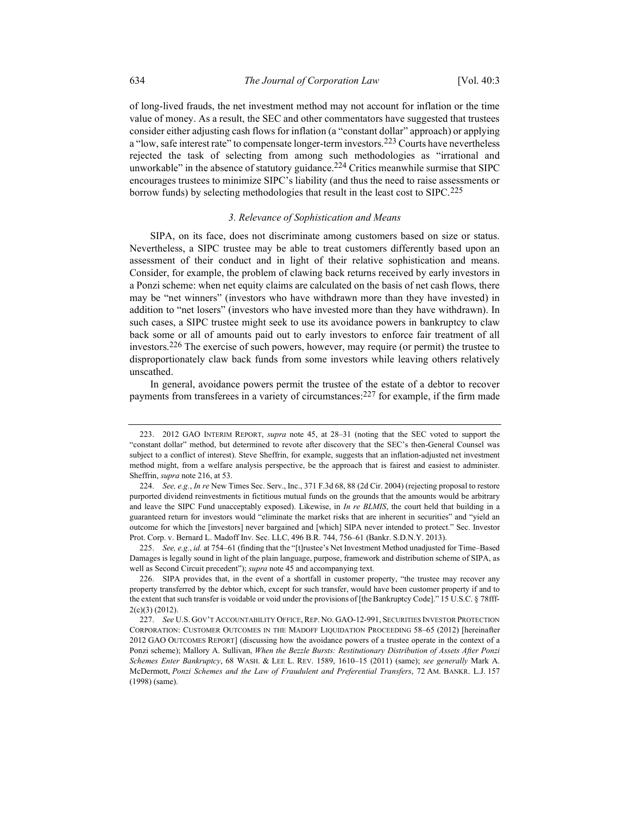of long-lived frauds, the net investment method may not account for inflation or the time value of money. As a result, the SEC and other commentators have suggested that trustees consider either adjusting cash flows for inflation (a "constant dollar" approach) or applying a "low, safe interest rate" to compensate longer-term investors.<sup>223</sup> Courts have nevertheless rejected the task of selecting from among such methodologies as "irrational and unworkable" in the absence of statutory guidance.<sup>224</sup> Critics meanwhile surmise that SIPC encourages trustees to minimize SIPC's liability (and thus the need to raise assessments or borrow funds) by selecting methodologies that result in the least cost to SIPC.<sup>225</sup>

### 3. Relevance of Sophistication and Means

SIPA, on its face, does not discriminate among customers based on size or status. Nevertheless, a SIPC trustee may be able to treat customers differently based upon an assessment of their conduct and in light of their relative sophistication and means. Consider, for example, the problem of clawing back returns received by early investors in a Ponzi scheme: when net equity claims are calculated on the basis of net cash flows, there may be "net winners" (investors who have withdrawn more than they have invested) in addition to "net losers" (investors who have invested more than they have withdrawn). In such cases, a SIPC trustee might seek to use its avoidance powers in bankruptcy to claw back some or all of amounts paid out to early investors to enforce fair treatment of all investors.226 The exercise of such powers, however, may require (or permit) the trustee to disproportionately claw back funds from some investors while leaving others relatively unscathed.

In general, avoidance powers permit the trustee of the estate of a debtor to recover payments from transferees in a variety of circumstances:  $227$  for example, if the firm made

225. See, e.g., id. at 754–61 (finding that the "[t]rustee's Net Investment Method unadjusted for Time–Based Damages is legally sound in light of the plain language, purpose, framework and distribution scheme of SIPA, as well as Second Circuit precedent"); *supra* note 45 and accompanying text.

 <sup>223. 2012</sup> GAO INTERIM REPORT, supra note 45, at 28–31 (noting that the SEC voted to support the "constant dollar" method, but determined to revote after discovery that the SEC's then-General Counsel was subject to a conflict of interest). Steve Sheffrin, for example, suggests that an inflation-adjusted net investment method might, from a welfare analysis perspective, be the approach that is fairest and easiest to administer. Sheffrin, supra note 216, at 53.

<sup>224.</sup> See, e.g., In re New Times Sec. Serv., Inc., 371 F.3d 68, 88 (2d Cir. 2004) (rejecting proposal to restore purported dividend reinvestments in fictitious mutual funds on the grounds that the amounts would be arbitrary and leave the SIPC Fund unacceptably exposed). Likewise, in In re BLMIS, the court held that building in a guaranteed return for investors would "eliminate the market risks that are inherent in securities" and "yield an outcome for which the [investors] never bargained and [which] SIPA never intended to protect." Sec. Investor Prot. Corp. v. Bernard L. Madoff Inv. Sec. LLC, 496 B.R. 744, 756–61 (Bankr. S.D.N.Y. 2013).

 <sup>226.</sup> SIPA provides that, in the event of a shortfall in customer property, "the trustee may recover any property transferred by the debtor which, except for such transfer, would have been customer property if and to the extent that such transfer is voidable or void under the provisions of [the Bankruptcy Code]." 15 U.S.C. § 78fff-2(c)(3) (2012).

 <sup>227.</sup> See U.S. GOV'T ACCOUNTABILITY OFFICE, REP. NO. GAO-12-991, SECURITIES INVESTOR PROTECTION CORPORATION: CUSTOMER OUTCOMES IN THE MADOFF LIQUIDATION PROCEEDING 58–65 (2012) [hereinafter 2012 GAO OUTCOMES REPORT] (discussing how the avoidance powers of a trustee operate in the context of a Ponzi scheme); Mallory A. Sullivan, When the Bezzle Bursts: Restitutionary Distribution of Assets After Ponzi Schemes Enter Bankruptcy, 68 WASH. & LEE L. REV. 1589, 1610–15 (2011) (same); see generally Mark A. McDermott, Ponzi Schemes and the Law of Fraudulent and Preferential Transfers, 72 AM. BANKR. L.J. 157 (1998) (same).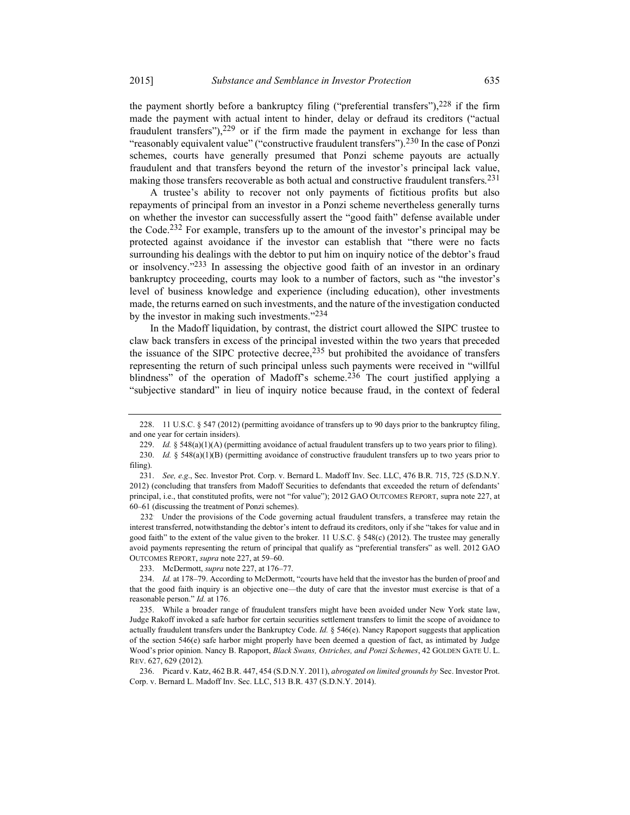the payment shortly before a bankruptcy filing ("preferential transfers"), $228$  if the firm made the payment with actual intent to hinder, delay or defraud its creditors ("actual fraudulent transfers"), $229$  or if the firm made the payment in exchange for less than "reasonably equivalent value" ("constructive fraudulent transfers").<sup>230</sup> In the case of Ponzi schemes, courts have generally presumed that Ponzi scheme payouts are actually fraudulent and that transfers beyond the return of the investor's principal lack value, making those transfers recoverable as both actual and constructive fraudulent transfers.<sup>231</sup>

A trustee's ability to recover not only payments of fictitious profits but also repayments of principal from an investor in a Ponzi scheme nevertheless generally turns on whether the investor can successfully assert the "good faith" defense available under the Code.<sup>232</sup> For example, transfers up to the amount of the investor's principal may be protected against avoidance if the investor can establish that "there were no facts surrounding his dealings with the debtor to put him on inquiry notice of the debtor's fraud or insolvency."<sup>233</sup> In assessing the objective good faith of an investor in an ordinary bankruptcy proceeding, courts may look to a number of factors, such as "the investor's level of business knowledge and experience (including education), other investments made, the returns earned on such investments, and the nature of the investigation conducted by the investor in making such investments."234

In the Madoff liquidation, by contrast, the district court allowed the SIPC trustee to claw back transfers in excess of the principal invested within the two years that preceded the issuance of the SIPC protective decree,<sup>235</sup> but prohibited the avoidance of transfers representing the return of such principal unless such payments were received in "willful blindness" of the operation of Madoff's scheme.<sup>236</sup> The court justified applying a "subjective standard" in lieu of inquiry notice because fraud, in the context of federal

232. Under the provisions of the Code governing actual fraudulent transfers, a transferee may retain the interest transferred, notwithstanding the debtor's intent to defraud its creditors, only if she "takes for value and in good faith" to the extent of the value given to the broker. 11 U.S.C. § 548(c) (2012). The trustee may generally avoid payments representing the return of principal that qualify as "preferential transfers" as well. 2012 GAO OUTCOMES REPORT, supra note 227, at 59–60.

233. McDermott, supra note 227, at 176–77.

 <sup>228. 11</sup> U.S.C. § 547 (2012) (permitting avoidance of transfers up to 90 days prior to the bankruptcy filing, and one year for certain insiders).

<sup>229.</sup> Id. § 548(a)(1)(A) (permitting avoidance of actual fraudulent transfers up to two years prior to filing).

<sup>230.</sup> Id. § 548(a)(1)(B) (permitting avoidance of constructive fraudulent transfers up to two years prior to filing).

 <sup>231.</sup> See, e.g., Sec. Investor Prot. Corp. v. Bernard L. Madoff Inv. Sec. LLC, 476 B.R. 715, 725 (S.D.N.Y. 2012) (concluding that transfers from Madoff Securities to defendants that exceeded the return of defendants' principal, i.e., that constituted profits, were not "for value"); 2012 GAO OUTCOMES REPORT, supra note 227, at 60–61 (discussing the treatment of Ponzi schemes).

 <sup>234.</sup> Id. at 178–79. According to McDermott, "courts have held that the investor has the burden of proof and that the good faith inquiry is an objective one—the duty of care that the investor must exercise is that of a reasonable person." Id. at 176.

 <sup>235.</sup> While a broader range of fraudulent transfers might have been avoided under New York state law, Judge Rakoff invoked a safe harbor for certain securities settlement transfers to limit the scope of avoidance to actually fraudulent transfers under the Bankruptcy Code. Id. § 546(e). Nancy Rapoport suggests that application of the section 546(e) safe harbor might properly have been deemed a question of fact, as intimated by Judge Wood's prior opinion. Nancy B. Rapoport, Black Swans, Ostriches, and Ponzi Schemes, 42 GOLDEN GATE U. L. REV. 627, 629 (2012).

 <sup>236.</sup> Picard v. Katz, 462 B.R. 447, 454 (S.D.N.Y. 2011), abrogated on limited grounds by Sec. Investor Prot. Corp. v. Bernard L. Madoff Inv. Sec. LLC, 513 B.R. 437 (S.D.N.Y. 2014).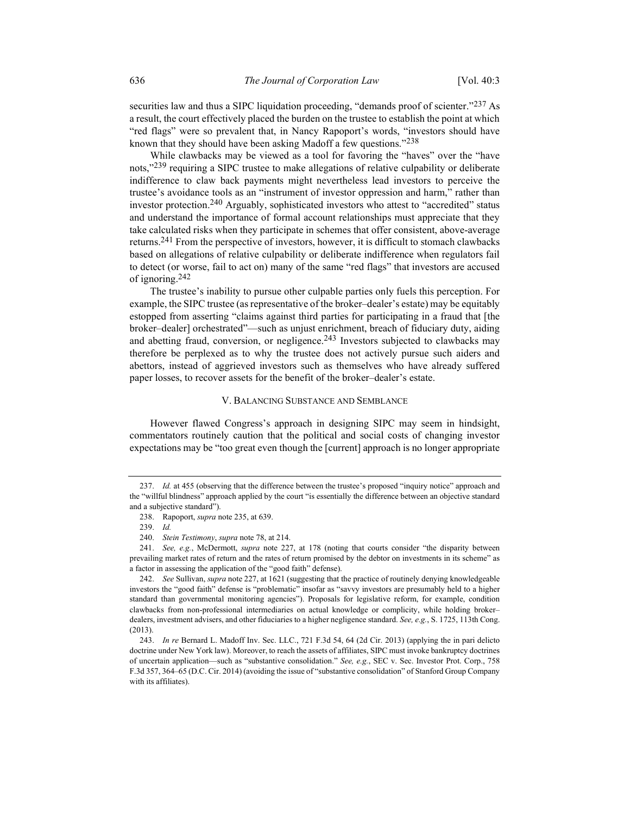securities law and thus a SIPC liquidation proceeding, "demands proof of scienter." $237$  As a result, the court effectively placed the burden on the trustee to establish the point at which "red flags" were so prevalent that, in Nancy Rapoport's words, "investors should have known that they should have been asking Madoff a few questions."<sup>238</sup>

While clawbacks may be viewed as a tool for favoring the "haves" over the "have nots,"<sup>239</sup> requiring a SIPC trustee to make allegations of relative culpability or deliberate indifference to claw back payments might nevertheless lead investors to perceive the trustee's avoidance tools as an "instrument of investor oppression and harm," rather than investor protection.240 Arguably, sophisticated investors who attest to "accredited" status and understand the importance of formal account relationships must appreciate that they take calculated risks when they participate in schemes that offer consistent, above-average returns.241 From the perspective of investors, however, it is difficult to stomach clawbacks based on allegations of relative culpability or deliberate indifference when regulators fail to detect (or worse, fail to act on) many of the same "red flags" that investors are accused of ignoring.242

The trustee's inability to pursue other culpable parties only fuels this perception. For example, the SIPC trustee (as representative of the broker–dealer's estate) may be equitably estopped from asserting "claims against third parties for participating in a fraud that [the broker–dealer] orchestrated"—such as unjust enrichment, breach of fiduciary duty, aiding and abetting fraud, conversion, or negligence.  $243$  Investors subjected to clawbacks may therefore be perplexed as to why the trustee does not actively pursue such aiders and abettors, instead of aggrieved investors such as themselves who have already suffered paper losses, to recover assets for the benefit of the broker–dealer's estate.

### V. BALANCING SUBSTANCE AND SEMBLANCE

However flawed Congress's approach in designing SIPC may seem in hindsight, commentators routinely caution that the political and social costs of changing investor expectations may be "too great even though the [current] approach is no longer appropriate

 <sup>237.</sup> Id. at 455 (observing that the difference between the trustee's proposed "inquiry notice" approach and the "willful blindness" approach applied by the court "is essentially the difference between an objective standard and a subjective standard").

 <sup>238.</sup> Rapoport, supra note 235, at 639.

 <sup>239.</sup> Id.

 <sup>240.</sup> Stein Testimony, supra note 78, at 214.

<sup>241.</sup> See, e.g., McDermott, supra note 227, at 178 (noting that courts consider "the disparity between prevailing market rates of return and the rates of return promised by the debtor on investments in its scheme" as a factor in assessing the application of the "good faith" defense).

 <sup>242.</sup> See Sullivan, supra note 227, at 1621 (suggesting that the practice of routinely denying knowledgeable investors the "good faith" defense is "problematic" insofar as "savvy investors are presumably held to a higher standard than governmental monitoring agencies"). Proposals for legislative reform, for example, condition clawbacks from non-professional intermediaries on actual knowledge or complicity, while holding broker– dealers, investment advisers, and other fiduciaries to a higher negligence standard. See, e.g., S. 1725, 113th Cong. (2013).

 <sup>243.</sup> In re Bernard L. Madoff Inv. Sec. LLC., 721 F.3d 54, 64 (2d Cir. 2013) (applying the in pari delicto doctrine under New York law). Moreover, to reach the assets of affiliates, SIPC must invoke bankruptcy doctrines of uncertain application—such as "substantive consolidation." See, e.g., SEC v. Sec. Investor Prot. Corp., 758 F.3d 357, 364–65 (D.C. Cir. 2014) (avoiding the issue of "substantive consolidation" of Stanford Group Company with its affiliates).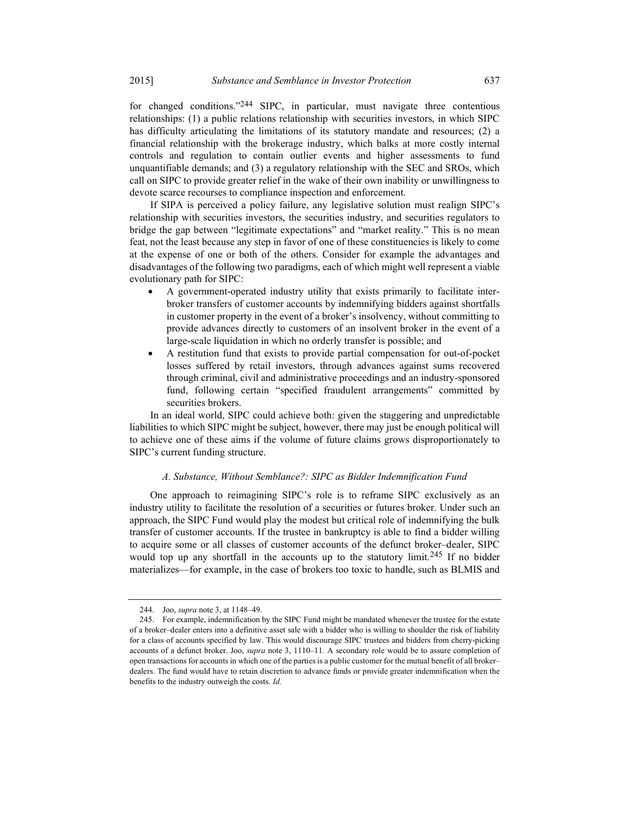for changed conditions."244 SIPC, in particular, must navigate three contentious relationships: (1) a public relations relationship with securities investors, in which SIPC has difficulty articulating the limitations of its statutory mandate and resources; (2) a financial relationship with the brokerage industry, which balks at more costly internal controls and regulation to contain outlier events and higher assessments to fund unquantifiable demands; and (3) a regulatory relationship with the SEC and SROs, which call on SIPC to provide greater relief in the wake of their own inability or unwillingness to devote scarce recourses to compliance inspection and enforcement.

If SIPA is perceived a policy failure, any legislative solution must realign SIPC's relationship with securities investors, the securities industry, and securities regulators to bridge the gap between "legitimate expectations" and "market reality." This is no mean feat, not the least because any step in favor of one of these constituencies is likely to come at the expense of one or both of the others. Consider for example the advantages and disadvantages of the following two paradigms, each of which might well represent a viable evolutionary path for SIPC:

- A government-operated industry utility that exists primarily to facilitate interbroker transfers of customer accounts by indemnifying bidders against shortfalls in customer property in the event of a broker's insolvency, without committing to provide advances directly to customers of an insolvent broker in the event of a large-scale liquidation in which no orderly transfer is possible; and
- A restitution fund that exists to provide partial compensation for out-of-pocket losses suffered by retail investors, through advances against sums recovered through criminal, civil and administrative proceedings and an industry-sponsored fund, following certain "specified fraudulent arrangements" committed by securities brokers.

In an ideal world, SIPC could achieve both: given the staggering and unpredictable liabilities to which SIPC might be subject, however, there may just be enough political will to achieve one of these aims if the volume of future claims grows disproportionately to SIPC's current funding structure.

### A. Substance, Without Semblance?: SIPC as Bidder Indemnification Fund

One approach to reimagining SIPC's role is to reframe SIPC exclusively as an industry utility to facilitate the resolution of a securities or futures broker. Under such an approach, the SIPC Fund would play the modest but critical role of indemnifying the bulk transfer of customer accounts. If the trustee in bankruptcy is able to find a bidder willing to acquire some or all classes of customer accounts of the defunct broker–dealer, SIPC would top up any shortfall in the accounts up to the statutory limit.<sup>245</sup> If no bidder materializes—for example, in the case of brokers too toxic to handle, such as BLMIS and

 <sup>244.</sup> Joo, supra note 3, at 1148–49.

 <sup>245.</sup> For example, indemnification by the SIPC Fund might be mandated whenever the trustee for the estate of a broker–dealer enters into a definitive asset sale with a bidder who is willing to shoulder the risk of liability for a class of accounts specified by law. This would discourage SIPC trustees and bidders from cherry-picking accounts of a defunct broker. Joo, supra note 3, 1110–11. A secondary role would be to assure completion of open transactions for accounts in which one of the parties is a public customer for the mutual benefit of all broker– dealers. The fund would have to retain discretion to advance funds or provide greater indemnification when the benefits to the industry outweigh the costs. Id.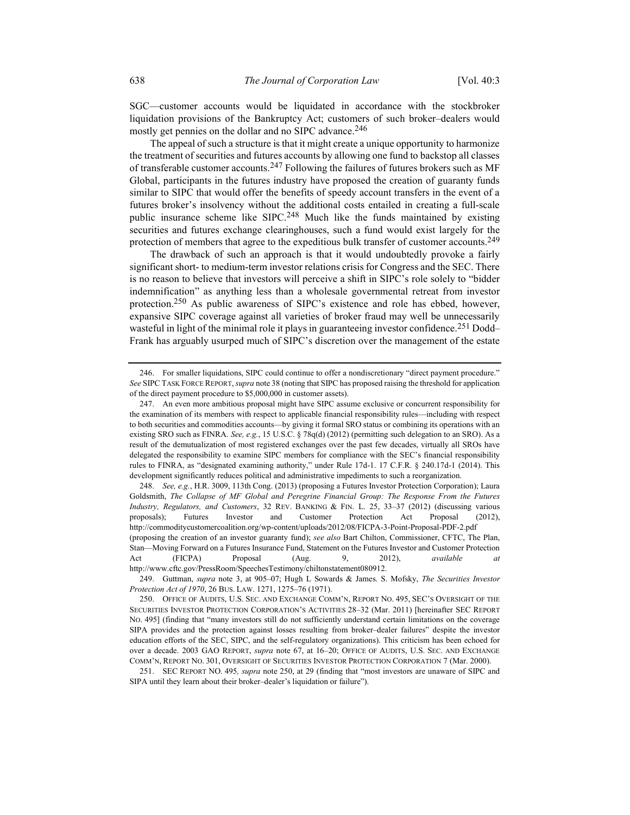SGC—customer accounts would be liquidated in accordance with the stockbroker liquidation provisions of the Bankruptcy Act; customers of such broker–dealers would mostly get pennies on the dollar and no SIPC advance.<sup>246</sup>

The appeal of such a structure is that it might create a unique opportunity to harmonize the treatment of securities and futures accounts by allowing one fund to backstop all classes of transferable customer accounts.<sup>247</sup> Following the failures of futures brokers such as MF Global, participants in the futures industry have proposed the creation of guaranty funds similar to SIPC that would offer the benefits of speedy account transfers in the event of a futures broker's insolvency without the additional costs entailed in creating a full-scale public insurance scheme like  $SIPC<sup>248</sup>$  Much like the funds maintained by existing securities and futures exchange clearinghouses, such a fund would exist largely for the protection of members that agree to the expeditious bulk transfer of customer accounts.<sup>249</sup>

The drawback of such an approach is that it would undoubtedly provoke a fairly significant short- to medium-term investor relations crisis for Congress and the SEC. There is no reason to believe that investors will perceive a shift in SIPC's role solely to "bidder indemnification" as anything less than a wholesale governmental retreat from investor protection.250 As public awareness of SIPC's existence and role has ebbed, however, expansive SIPC coverage against all varieties of broker fraud may well be unnecessarily wasteful in light of the minimal role it plays in guaranteeing investor confidence.<sup>251</sup> Dodd– Frank has arguably usurped much of SIPC's discretion over the management of the estate

 <sup>246.</sup> For smaller liquidations, SIPC could continue to offer a nondiscretionary "direct payment procedure." See SIPC TASK FORCE REPORT, supra note 38 (noting that SIPC has proposed raising the threshold for application of the direct payment procedure to \$5,000,000 in customer assets).

 <sup>247.</sup> An even more ambitious proposal might have SIPC assume exclusive or concurrent responsibility for the examination of its members with respect to applicable financial responsibility rules—including with respect to both securities and commodities accounts—by giving it formal SRO status or combining its operations with an existing SRO such as FINRA. See, e.g., 15 U.S.C. § 78q(d) (2012) (permitting such delegation to an SRO). As a result of the demutualization of most registered exchanges over the past few decades, virtually all SROs have delegated the responsibility to examine SIPC members for compliance with the SEC's financial responsibility rules to FINRA, as "designated examining authority," under Rule 17d-1. 17 C.F.R. § 240.17d-1 (2014). This development significantly reduces political and administrative impediments to such a reorganization.

 <sup>248.</sup> See, e.g., H.R. 3009, 113th Cong. (2013) (proposing a Futures Investor Protection Corporation); Laura Goldsmith, The Collapse of MF Global and Peregrine Financial Group: The Response From the Futures Industry, Regulators, and Customers, 32 REV. BANKING & FIN. L. 25, 33–37 (2012) (discussing various proposals); Futures Investor and Customer Protection Act Proposal (2012), http://commoditycustomercoalition.org/wp-content/uploads/2012/08/FICPA-3-Point-Proposal-PDF-2.pdf (proposing the creation of an investor guaranty fund); see also Bart Chilton, Commissioner, CFTC, The Plan, Stan—Moving Forward on a Futures Insurance Fund, Statement on the Futures Investor and Customer Protection Act (FICPA) Proposal (Aug. 9, 2012), available at http://www.cftc.gov/PressRoom/SpeechesTestimony/chiltonstatement080912.

<sup>249.</sup> Guttman, supra note 3, at 905-07; Hugh L Sowards & James. S. Mofsky, The Securities Investor Protection Act of 1970, 26 BUS. LAW. 1271, 1275–76 (1971).

 <sup>250.</sup> OFFICE OF AUDITS, U.S. SEC. AND EXCHANGE COMM'N, REPORT NO. 495, SEC'S OVERSIGHT OF THE SECURITIES INVESTOR PROTECTION CORPORATION'S ACTIVITIES 28–32 (Mar. 2011) [hereinafter SEC REPORT NO. 495] (finding that "many investors still do not sufficiently understand certain limitations on the coverage SIPA provides and the protection against losses resulting from broker–dealer failures" despite the investor education efforts of the SEC, SIPC, and the self-regulatory organizations). This criticism has been echoed for over a decade. 2003 GAO REPORT, supra note 67, at 16-20; OFFICE OF AUDITS, U.S. SEC. AND EXCHANGE COMM'N, REPORT NO. 301, OVERSIGHT OF SECURITIES INVESTOR PROTECTION CORPORATION 7 (Mar. 2000).

 <sup>251.</sup> SEC REPORT NO. 495, supra note 250, at 29 (finding that "most investors are unaware of SIPC and SIPA until they learn about their broker–dealer's liquidation or failure").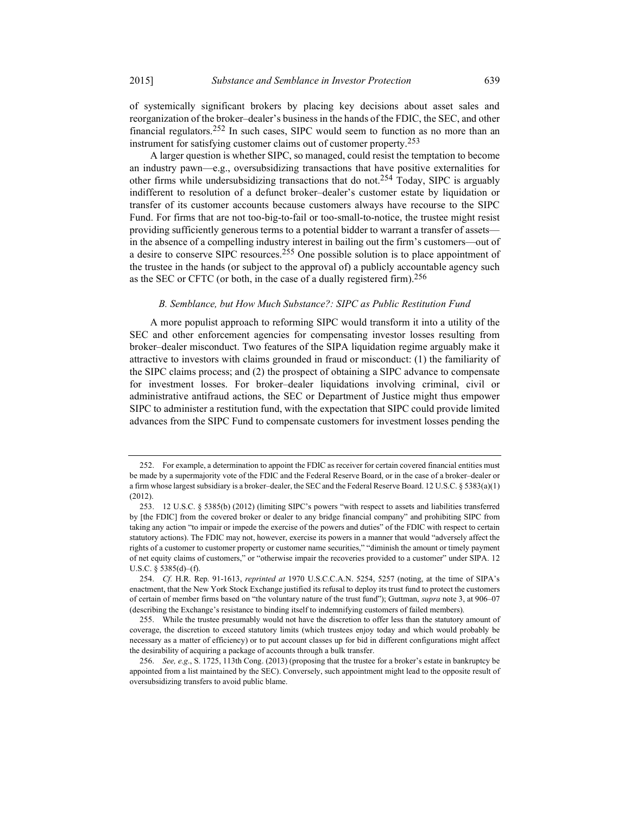of systemically significant brokers by placing key decisions about asset sales and reorganization of the broker–dealer's business in the hands of the FDIC, the SEC, and other financial regulators.252 In such cases, SIPC would seem to function as no more than an instrument for satisfying customer claims out of customer property.253

A larger question is whether SIPC, so managed, could resist the temptation to become an industry pawn—e.g., oversubsidizing transactions that have positive externalities for other firms while undersubsidizing transactions that do not.<sup>254</sup> Today, SIPC is arguably indifferent to resolution of a defunct broker–dealer's customer estate by liquidation or transfer of its customer accounts because customers always have recourse to the SIPC Fund. For firms that are not too-big-to-fail or too-small-to-notice, the trustee might resist providing sufficiently generous terms to a potential bidder to warrant a transfer of assets in the absence of a compelling industry interest in bailing out the firm's customers—out of a desire to conserve SIPC resources.<sup>255</sup> One possible solution is to place appointment of the trustee in the hands (or subject to the approval of) a publicly accountable agency such as the SEC or CFTC (or both, in the case of a dually registered firm).<sup>256</sup>

### B. Semblance, but How Much Substance?: SIPC as Public Restitution Fund

A more populist approach to reforming SIPC would transform it into a utility of the SEC and other enforcement agencies for compensating investor losses resulting from broker–dealer misconduct. Two features of the SIPA liquidation regime arguably make it attractive to investors with claims grounded in fraud or misconduct: (1) the familiarity of the SIPC claims process; and (2) the prospect of obtaining a SIPC advance to compensate for investment losses. For broker–dealer liquidations involving criminal, civil or administrative antifraud actions, the SEC or Department of Justice might thus empower SIPC to administer a restitution fund, with the expectation that SIPC could provide limited advances from the SIPC Fund to compensate customers for investment losses pending the

 <sup>252.</sup> For example, a determination to appoint the FDIC as receiver for certain covered financial entities must be made by a supermajority vote of the FDIC and the Federal Reserve Board, or in the case of a broker–dealer or a firm whose largest subsidiary is a broker–dealer, the SEC and the Federal Reserve Board. 12 U.S.C. § 5383(a)(1) (2012).

 <sup>253. 12</sup> U.S.C. § 5385(b) (2012) (limiting SIPC's powers "with respect to assets and liabilities transferred by [the FDIC] from the covered broker or dealer to any bridge financial company" and prohibiting SIPC from taking any action "to impair or impede the exercise of the powers and duties" of the FDIC with respect to certain statutory actions). The FDIC may not, however, exercise its powers in a manner that would "adversely affect the rights of a customer to customer property or customer name securities," "diminish the amount or timely payment of net equity claims of customers," or "otherwise impair the recoveries provided to a customer" under SIPA. 12 U.S.C. § 5385(d)–(f).

 <sup>254.</sup> Cf. H.R. Rep. 91-1613, reprinted at 1970 U.S.C.C.A.N. 5254, 5257 (noting, at the time of SIPA's enactment, that the New York Stock Exchange justified its refusal to deploy its trust fund to protect the customers of certain of member firms based on "the voluntary nature of the trust fund"); Guttman, supra note 3, at 906–07 (describing the Exchange's resistance to binding itself to indemnifying customers of failed members).

 <sup>255.</sup> While the trustee presumably would not have the discretion to offer less than the statutory amount of coverage, the discretion to exceed statutory limits (which trustees enjoy today and which would probably be necessary as a matter of efficiency) or to put account classes up for bid in different configurations might affect the desirability of acquiring a package of accounts through a bulk transfer.

 <sup>256.</sup> See, e.g., S. 1725, 113th Cong. (2013) (proposing that the trustee for a broker's estate in bankruptcy be appointed from a list maintained by the SEC). Conversely, such appointment might lead to the opposite result of oversubsidizing transfers to avoid public blame.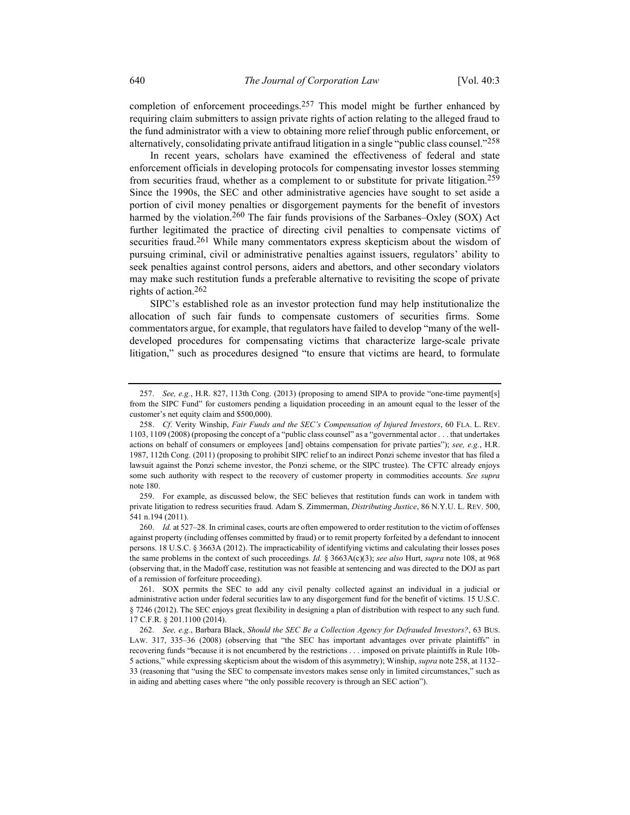completion of enforcement proceedings.<sup>257</sup> This model might be further enhanced by requiring claim submitters to assign private rights of action relating to the alleged fraud to the fund administrator with a view to obtaining more relief through public enforcement, or alternatively, consolidating private antifraud litigation in a single "public class counsel."<sup>258</sup>

In recent years, scholars have examined the effectiveness of federal and state enforcement officials in developing protocols for compensating investor losses stemming from securities fraud, whether as a complement to or substitute for private litigation.<sup>259</sup> Since the 1990s, the SEC and other administrative agencies have sought to set aside a portion of civil money penalties or disgorgement payments for the benefit of investors harmed by the violation.<sup>260</sup> The fair funds provisions of the Sarbanes–Oxley (SOX) Act further legitimated the practice of directing civil penalties to compensate victims of securities fraud.<sup>261</sup> While many commentators express skepticism about the wisdom of pursuing criminal, civil or administrative penalties against issuers, regulators' ability to seek penalties against control persons, aiders and abettors, and other secondary violators may make such restitution funds a preferable alternative to revisiting the scope of private rights of action.262

SIPC's established role as an investor protection fund may help institutionalize the allocation of such fair funds to compensate customers of securities firms. Some commentators argue, for example, that regulators have failed to develop "many of the welldeveloped procedures for compensating victims that characterize large-scale private litigation," such as procedures designed "to ensure that victims are heard, to formulate

 <sup>257.</sup> See, e.g., H.R. 827, 113th Cong. (2013) (proposing to amend SIPA to provide "one-time payment[s] from the SIPC Fund" for customers pending a liquidation proceeding in an amount equal to the lesser of the customer's net equity claim and \$500,000).

 <sup>258.</sup> Cf. Verity Winship, Fair Funds and the SEC's Compensation of Injured Investors, 60 FLA. L. REV. 1103, 1109 (2008) (proposing the concept of a "public class counsel" as a "governmental actor . . . that undertakes actions on behalf of consumers or employees [and] obtains compensation for private parties"); see, e.g., H.R. 1987, 112th Cong. (2011) (proposing to prohibit SIPC relief to an indirect Ponzi scheme investor that has filed a lawsuit against the Ponzi scheme investor, the Ponzi scheme, or the SIPC trustee). The CFTC already enjoys some such authority with respect to the recovery of customer property in commodities accounts. See supra note 180.

 <sup>259.</sup> For example, as discussed below, the SEC believes that restitution funds can work in tandem with private litigation to redress securities fraud. Adam S. Zimmerman, Distributing Justice, 86 N.Y.U. L. REV. 500, 541 n.194 (2011).

 <sup>260.</sup> Id. at 527–28. In criminal cases, courts are often empowered to order restitution to the victim of offenses against property (including offenses committed by fraud) or to remit property forfeited by a defendant to innocent persons. 18 U.S.C. § 3663A (2012). The impracticability of identifying victims and calculating their losses poses the same problems in the context of such proceedings. Id.  $\S$  3663A(c)(3); see also Hurt, supra note 108, at 968 (observing that, in the Madoff case, restitution was not feasible at sentencing and was directed to the DOJ as part of a remission of forfeiture proceeding).

 <sup>261.</sup> SOX permits the SEC to add any civil penalty collected against an individual in a judicial or administrative action under federal securities law to any disgorgement fund for the benefit of victims. 15 U.S.C. § 7246 (2012). The SEC enjoys great flexibility in designing a plan of distribution with respect to any such fund. 17 C.F.R. § 201.1100 (2014).

 <sup>262.</sup> See, e.g., Barbara Black, Should the SEC Be a Collection Agency for Defrauded Investors?, 63 BUS. LAW. 317, 335–36 (2008) (observing that "the SEC has important advantages over private plaintiffs" in recovering funds "because it is not encumbered by the restrictions . . . imposed on private plaintiffs in Rule 10b-5 actions," while expressing skepticism about the wisdom of this asymmetry); Winship, supra note 258, at 1132– 33 (reasoning that "using the SEC to compensate investors makes sense only in limited circumstances," such as in aiding and abetting cases where "the only possible recovery is through an SEC action").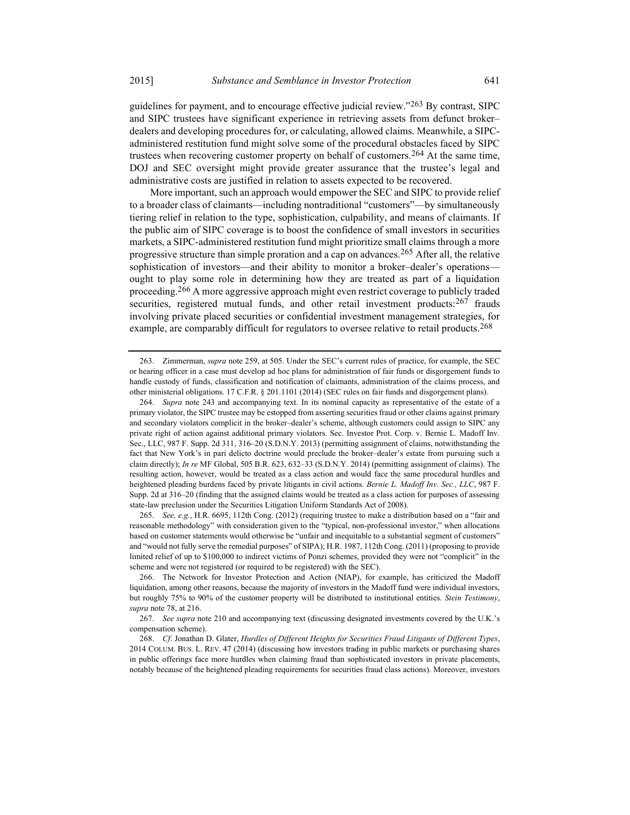guidelines for payment, and to encourage effective judicial review." $^{263}$  By contrast, SIPC and SIPC trustees have significant experience in retrieving assets from defunct broker– dealers and developing procedures for, or calculating, allowed claims. Meanwhile, a SIPCadministered restitution fund might solve some of the procedural obstacles faced by SIPC trustees when recovering customer property on behalf of customers.<sup>264</sup> At the same time, DOJ and SEC oversight might provide greater assurance that the trustee's legal and administrative costs are justified in relation to assets expected to be recovered.

More important, such an approach would empower the SEC and SIPC to provide relief to a broader class of claimants—including nontraditional "customers"—by simultaneously tiering relief in relation to the type, sophistication, culpability, and means of claimants. If the public aim of SIPC coverage is to boost the confidence of small investors in securities markets, a SIPC-administered restitution fund might prioritize small claims through a more progressive structure than simple proration and a cap on advances.<sup>265</sup> After all, the relative sophistication of investors—and their ability to monitor a broker–dealer's operations ought to play some role in determining how they are treated as part of a liquidation proceeding.<sup>266</sup> A more aggressive approach might even restrict coverage to publicly traded securities, registered mutual funds, and other retail investment products: $267$  frauds involving private placed securities or confidential investment management strategies, for example, are comparably difficult for regulators to oversee relative to retail products.<sup>268</sup>

 265. See, e.g., H.R. 6695, 112th Cong. (2012) (requiring trustee to make a distribution based on a "fair and reasonable methodology" with consideration given to the "typical, non-professional investor," when allocations based on customer statements would otherwise be "unfair and inequitable to a substantial segment of customers" and "would not fully serve the remedial purposes" of SIPA); H.R. 1987, 112th Cong. (2011) (proposing to provide limited relief of up to \$100,000 to indirect victims of Ponzi schemes, provided they were not "complicit" in the scheme and were not registered (or required to be registered) with the SEC).

 <sup>263.</sup> Zimmerman, supra note 259, at 505. Under the SEC's current rules of practice, for example, the SEC or hearing officer in a case must develop ad hoc plans for administration of fair funds or disgorgement funds to handle custody of funds, classification and notification of claimants, administration of the claims process, and other ministerial obligations. 17 C.F.R. § 201.1101 (2014) (SEC rules on fair funds and disgorgement plans).

 <sup>264.</sup> Supra note 243 and accompanying text. In its nominal capacity as representative of the estate of a primary violator, the SIPC trustee may be estopped from asserting securities fraud or other claims against primary and secondary violators complicit in the broker–dealer's scheme, although customers could assign to SIPC any private right of action against additional primary violators. Sec. Investor Prot. Corp. v. Bernie L. Madoff Inv. Sec., LLC, 987 F. Supp. 2d 311, 316–20 (S.D.N.Y. 2013) (permitting assignment of claims, notwithstanding the fact that New York's in pari delicto doctrine would preclude the broker–dealer's estate from pursuing such a claim directly); In re MF Global, 505 B.R. 623, 632–33 (S.D.N.Y. 2014) (permitting assignment of claims). The resulting action, however, would be treated as a class action and would face the same procedural hurdles and heightened pleading burdens faced by private litigants in civil actions. Bernie L. Madoff Inv. Sec., LLC, 987 F. Supp. 2d at 316–20 (finding that the assigned claims would be treated as a class action for purposes of assessing state-law preclusion under the Securities Litigation Uniform Standards Act of 2008).

 <sup>266.</sup> The Network for Investor Protection and Action (NIAP), for example, has criticized the Madoff liquidation, among other reasons, because the majority of investors in the Madoff fund were individual investors, but roughly 75% to 90% of the customer property will be distributed to institutional entities. Stein Testimony, supra note 78, at 216.

 <sup>267.</sup> See supra note 210 and accompanying text (discussing designated investments covered by the U.K.'s compensation scheme).

 <sup>268.</sup> Cf. Jonathan D. Glater, Hurdles of Different Heights for Securities Fraud Litigants of Different Types, 2014 COLUM. BUS. L. REV. 47 (2014) (discussing how investors trading in public markets or purchasing shares in public offerings face more hurdles when claiming fraud than sophisticated investors in private placements, notably because of the heightened pleading requirements for securities fraud class actions). Moreover, investors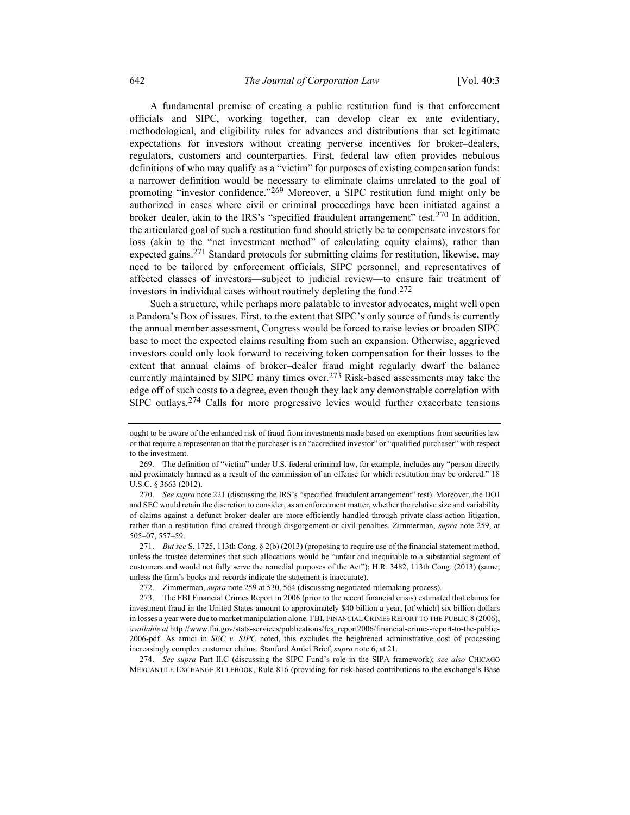A fundamental premise of creating a public restitution fund is that enforcement officials and SIPC, working together, can develop clear ex ante evidentiary, methodological, and eligibility rules for advances and distributions that set legitimate expectations for investors without creating perverse incentives for broker–dealers, regulators, customers and counterparties. First, federal law often provides nebulous definitions of who may qualify as a "victim" for purposes of existing compensation funds: a narrower definition would be necessary to eliminate claims unrelated to the goal of promoting "investor confidence."<sup>269</sup> Moreover, a SIPC restitution fund might only be authorized in cases where civil or criminal proceedings have been initiated against a broker–dealer, akin to the IRS's "specified fraudulent arrangement" test.<sup>270</sup> In addition, the articulated goal of such a restitution fund should strictly be to compensate investors for loss (akin to the "net investment method" of calculating equity claims), rather than expected gains.<sup>271</sup> Standard protocols for submitting claims for restitution, likewise, may need to be tailored by enforcement officials, SIPC personnel, and representatives of affected classes of investors—subject to judicial review—to ensure fair treatment of investors in individual cases without routinely depleting the fund.272

Such a structure, while perhaps more palatable to investor advocates, might well open a Pandora's Box of issues. First, to the extent that SIPC's only source of funds is currently the annual member assessment, Congress would be forced to raise levies or broaden SIPC base to meet the expected claims resulting from such an expansion. Otherwise, aggrieved investors could only look forward to receiving token compensation for their losses to the extent that annual claims of broker–dealer fraud might regularly dwarf the balance currently maintained by SIPC many times over.<sup>273</sup> Risk-based assessments may take the edge off of such costs to a degree, even though they lack any demonstrable correlation with SIPC outlays.<sup>274</sup> Calls for more progressive levies would further exacerbate tensions

ought to be aware of the enhanced risk of fraud from investments made based on exemptions from securities law or that require a representation that the purchaser is an "accredited investor" or "qualified purchaser" with respect to the investment.

 <sup>269.</sup> The definition of "victim" under U.S. federal criminal law, for example, includes any "person directly and proximately harmed as a result of the commission of an offense for which restitution may be ordered." 18 U.S.C. § 3663 (2012).

 <sup>270.</sup> See supra note 221 (discussing the IRS's "specified fraudulent arrangement" test). Moreover, the DOJ and SEC would retain the discretion to consider, as an enforcement matter, whether the relative size and variability of claims against a defunct broker–dealer are more efficiently handled through private class action litigation, rather than a restitution fund created through disgorgement or civil penalties. Zimmerman, supra note 259, at 505–07, 557–59.

 <sup>271.</sup> But see S. 1725, 113th Cong. § 2(b) (2013) (proposing to require use of the financial statement method, unless the trustee determines that such allocations would be "unfair and inequitable to a substantial segment of customers and would not fully serve the remedial purposes of the Act"); H.R. 3482, 113th Cong. (2013) (same, unless the firm's books and records indicate the statement is inaccurate).

 <sup>272.</sup> Zimmerman, supra note 259 at 530, 564 (discussing negotiated rulemaking process).

 <sup>273.</sup> The FBI Financial Crimes Report in 2006 (prior to the recent financial crisis) estimated that claims for investment fraud in the United States amount to approximately \$40 billion a year, [of which] six billion dollars in losses a year were due to market manipulation alone. FBI, FINANCIAL CRIMES REPORT TO THE PUBLIC 8 (2006), available at http://www.fbi.gov/stats-services/publications/fcs\_report2006/financial-crimes-report-to-the-public-2006-pdf. As amici in SEC v. SIPC noted, this excludes the heightened administrative cost of processing increasingly complex customer claims. Stanford Amici Brief, supra note 6, at 21.

<sup>274.</sup> See supra Part II.C (discussing the SIPC Fund's role in the SIPA framework); see also CHICAGO MERCANTILE EXCHANGE RULEBOOK, Rule 816 (providing for risk-based contributions to the exchange's Base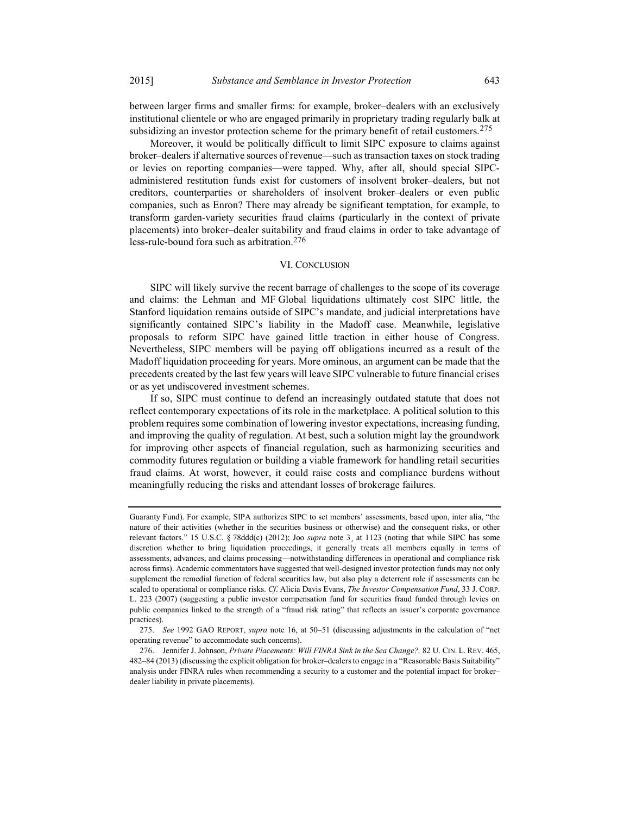between larger firms and smaller firms: for example, broker–dealers with an exclusively institutional clientele or who are engaged primarily in proprietary trading regularly balk at subsidizing an investor protection scheme for the primary benefit of retail customers.<sup>275</sup>

Moreover, it would be politically difficult to limit SIPC exposure to claims against broker–dealers if alternative sources of revenue—such as transaction taxes on stock trading or levies on reporting companies—were tapped. Why, after all, should special SIPCadministered restitution funds exist for customers of insolvent broker–dealers, but not creditors, counterparties or shareholders of insolvent broker–dealers or even public companies, such as Enron? There may already be significant temptation, for example, to transform garden-variety securities fraud claims (particularly in the context of private placements) into broker–dealer suitability and fraud claims in order to take advantage of less-rule-bound fora such as arbitration.276

#### VI. CONCLUSION

SIPC will likely survive the recent barrage of challenges to the scope of its coverage and claims: the Lehman and MF Global liquidations ultimately cost SIPC little, the Stanford liquidation remains outside of SIPC's mandate, and judicial interpretations have significantly contained SIPC's liability in the Madoff case. Meanwhile, legislative proposals to reform SIPC have gained little traction in either house of Congress. Nevertheless, SIPC members will be paying off obligations incurred as a result of the Madoff liquidation proceeding for years. More ominous, an argument can be made that the precedents created by the last few years will leave SIPC vulnerable to future financial crises or as yet undiscovered investment schemes.

If so, SIPC must continue to defend an increasingly outdated statute that does not reflect contemporary expectations of its role in the marketplace. A political solution to this problem requires some combination of lowering investor expectations, increasing funding, and improving the quality of regulation. At best, such a solution might lay the groundwork for improving other aspects of financial regulation, such as harmonizing securities and commodity futures regulation or building a viable framework for handling retail securities fraud claims. At worst, however, it could raise costs and compliance burdens without meaningfully reducing the risks and attendant losses of brokerage failures.

Guaranty Fund). For example, SIPA authorizes SIPC to set members' assessments, based upon, inter alia, "the nature of their activities (whether in the securities business or otherwise) and the consequent risks, or other relevant factors." 15 U.S.C. § 78ddd(c) (2012); Joo supra note 3, at 1123 (noting that while SIPC has some discretion whether to bring liquidation proceedings, it generally treats all members equally in terms of assessments, advances, and claims processing—notwithstanding differences in operational and compliance risk across firms). Academic commentators have suggested that well-designed investor protection funds may not only supplement the remedial function of federal securities law, but also play a deterrent role if assessments can be scaled to operational or compliance risks. Cf. Alicia Davis Evans, The Investor Compensation Fund, 33 J. CORP. L. 223 (2007) (suggesting a public investor compensation fund for securities fraud funded through levies on public companies linked to the strength of a "fraud risk rating" that reflects an issuer's corporate governance practices).

 <sup>275.</sup> See 1992 GAO REPORT, supra note 16, at 50–51 (discussing adjustments in the calculation of "net operating revenue" to accommodate such concerns).

 <sup>276.</sup> Jennifer J. Johnson, Private Placements: Will FINRA Sink in the Sea Change?, 82 U. CIN. L. REV. 465, 482–84 (2013) (discussing the explicit obligation for broker–dealers to engage in a "Reasonable Basis Suitability" analysis under FINRA rules when recommending a security to a customer and the potential impact for broker– dealer liability in private placements).